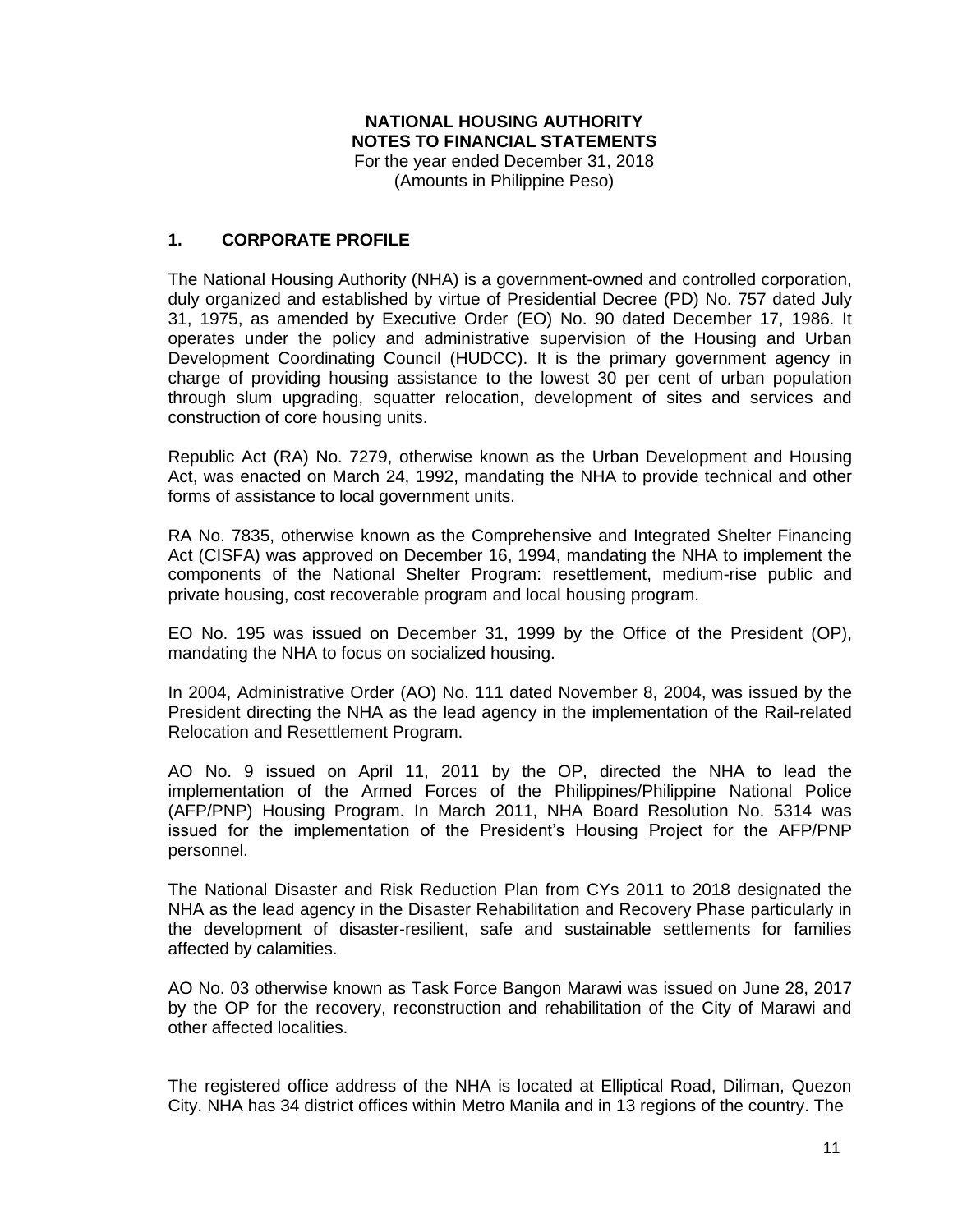### **NATIONAL HOUSING AUTHORITY NOTES TO FINANCIAL STATEMENTS** For the year ended December 31, 2018

(Amounts in Philippine Peso)

## **1. CORPORATE PROFILE**

The National Housing Authority (NHA) is a government-owned and controlled corporation, duly organized and established by virtue of Presidential Decree (PD) No. 757 dated July 31, 1975, as amended by Executive Order (EO) No. 90 dated December 17, 1986. It operates under the policy and administrative supervision of the Housing and Urban Development Coordinating Council (HUDCC). It is the primary government agency in charge of providing housing assistance to the lowest 30 per cent of urban population through slum upgrading, squatter relocation, development of sites and services and construction of core housing units.

Republic Act (RA) No. 7279, otherwise known as the Urban Development and Housing Act, was enacted on March 24, 1992, mandating the NHA to provide technical and other forms of assistance to local government units.

RA No. 7835, otherwise known as the Comprehensive and Integrated Shelter Financing Act (CISFA) was approved on December 16, 1994, mandating the NHA to implement the components of the National Shelter Program: resettlement, medium-rise public and private housing, cost recoverable program and local housing program.

EO No. 195 was issued on December 31, 1999 by the Office of the President (OP), mandating the NHA to focus on socialized housing.

In 2004, Administrative Order (AO) No. 111 dated November 8, 2004, was issued by the President directing the NHA as the lead agency in the implementation of the Rail-related Relocation and Resettlement Program.

AO No. 9 issued on April 11, 2011 by the OP, directed the NHA to lead the implementation of the Armed Forces of the Philippines/Philippine National Police (AFP/PNP) Housing Program. In March 2011, NHA Board Resolution No. 5314 was issued for the implementation of the President's Housing Project for the AFP/PNP personnel.

The National Disaster and Risk Reduction Plan from CYs 2011 to 2018 designated the NHA as the lead agency in the Disaster Rehabilitation and Recovery Phase particularly in the development of disaster-resilient, safe and sustainable settlements for families affected by calamities.

AO No. 03 otherwise known as Task Force Bangon Marawi was issued on June 28, 2017 by the OP for the recovery, reconstruction and rehabilitation of the City of Marawi and other affected localities.

The registered office address of the NHA is located at Elliptical Road, Diliman, Quezon City. NHA has 34 district offices within Metro Manila and in 13 regions of the country. The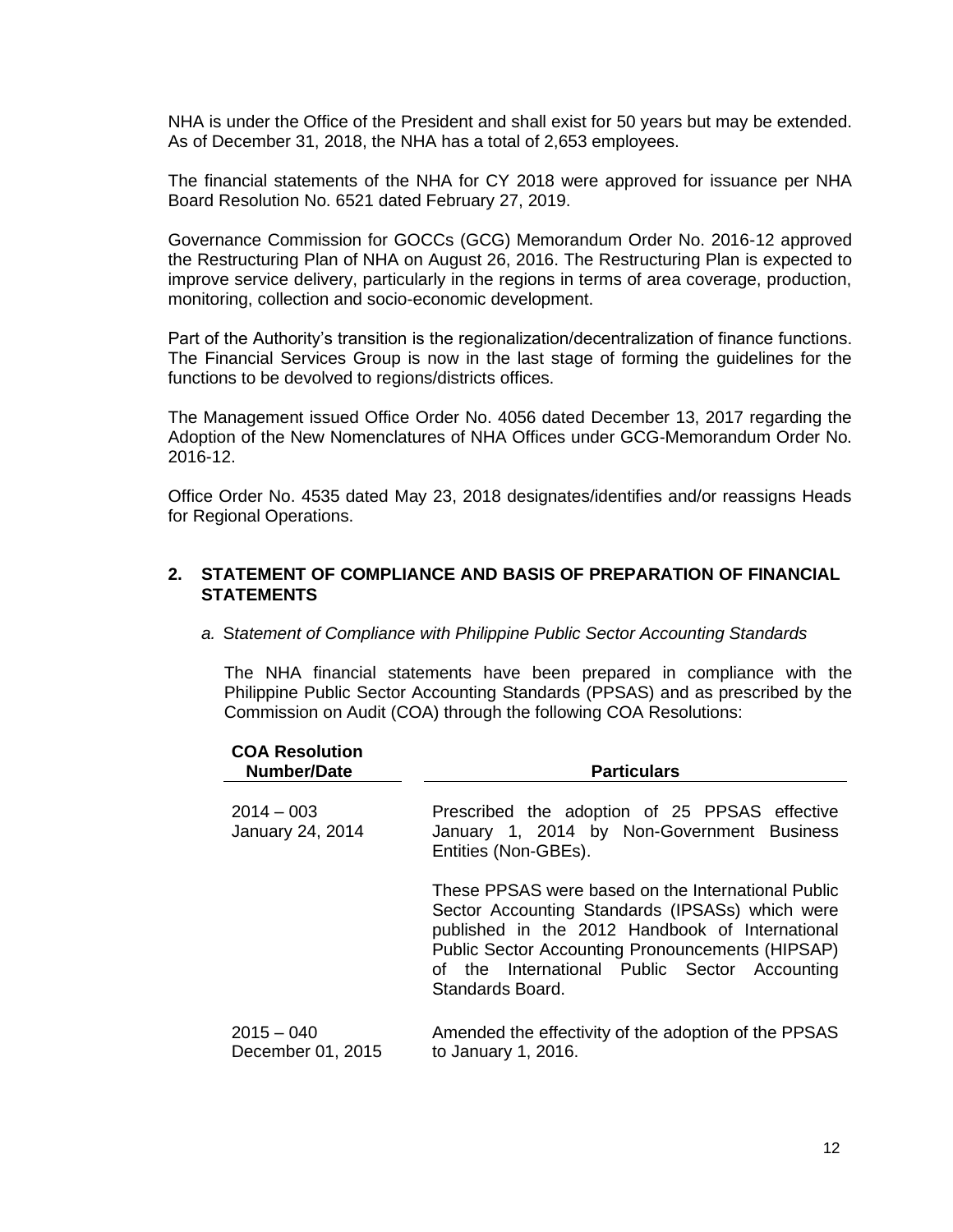NHA is under the Office of the President and shall exist for 50 years but may be extended. As of December 31, 2018, the NHA has a total of 2,653 employees.

The financial statements of the NHA for CY 2018 were approved for issuance per NHA Board Resolution No. 6521 dated February 27, 2019.

Governance Commission for GOCCs (GCG) Memorandum Order No. 2016-12 approved the Restructuring Plan of NHA on August 26, 2016. The Restructuring Plan is expected to improve service delivery, particularly in the regions in terms of area coverage, production, monitoring, collection and socio-economic development.

Part of the Authority's transition is the regionalization/decentralization of finance functions. The Financial Services Group is now in the last stage of forming the guidelines for the functions to be devolved to regions/districts offices.

The Management issued Office Order No. 4056 dated December 13, 2017 regarding the Adoption of the New Nomenclatures of NHA Offices under GCG-Memorandum Order No. 2016-12.

Office Order No. 4535 dated May 23, 2018 designates/identifies and/or reassigns Heads for Regional Operations.

### **2. STATEMENT OF COMPLIANCE AND BASIS OF PREPARATION OF FINANCIAL STATEMENTS**

*a.* S*tatement of Compliance with Philippine Public Sector Accounting Standards*

The NHA financial statements have been prepared in compliance with the Philippine Public Sector Accounting Standards (PPSAS) and as prescribed by the Commission on Audit (COA) through the following COA Resolutions:

| <b>COA Resolution</b><br><b>Number/Date</b> | <b>Particulars</b>                                                                                                                                                                                                                                                                |
|---------------------------------------------|-----------------------------------------------------------------------------------------------------------------------------------------------------------------------------------------------------------------------------------------------------------------------------------|
| $2014 - 003$<br>January 24, 2014            | Prescribed the adoption of 25 PPSAS effective<br>January 1, 2014 by Non-Government Business<br>Entities (Non-GBEs).                                                                                                                                                               |
|                                             | These PPSAS were based on the International Public<br>Sector Accounting Standards (IPSASs) which were<br>published in the 2012 Handbook of International<br>Public Sector Accounting Pronouncements (HIPSAP)<br>of the International Public Sector Accounting<br>Standards Board. |
| $2015 - 040$<br>December 01, 2015           | Amended the effectivity of the adoption of the PPSAS<br>to January 1, 2016.                                                                                                                                                                                                       |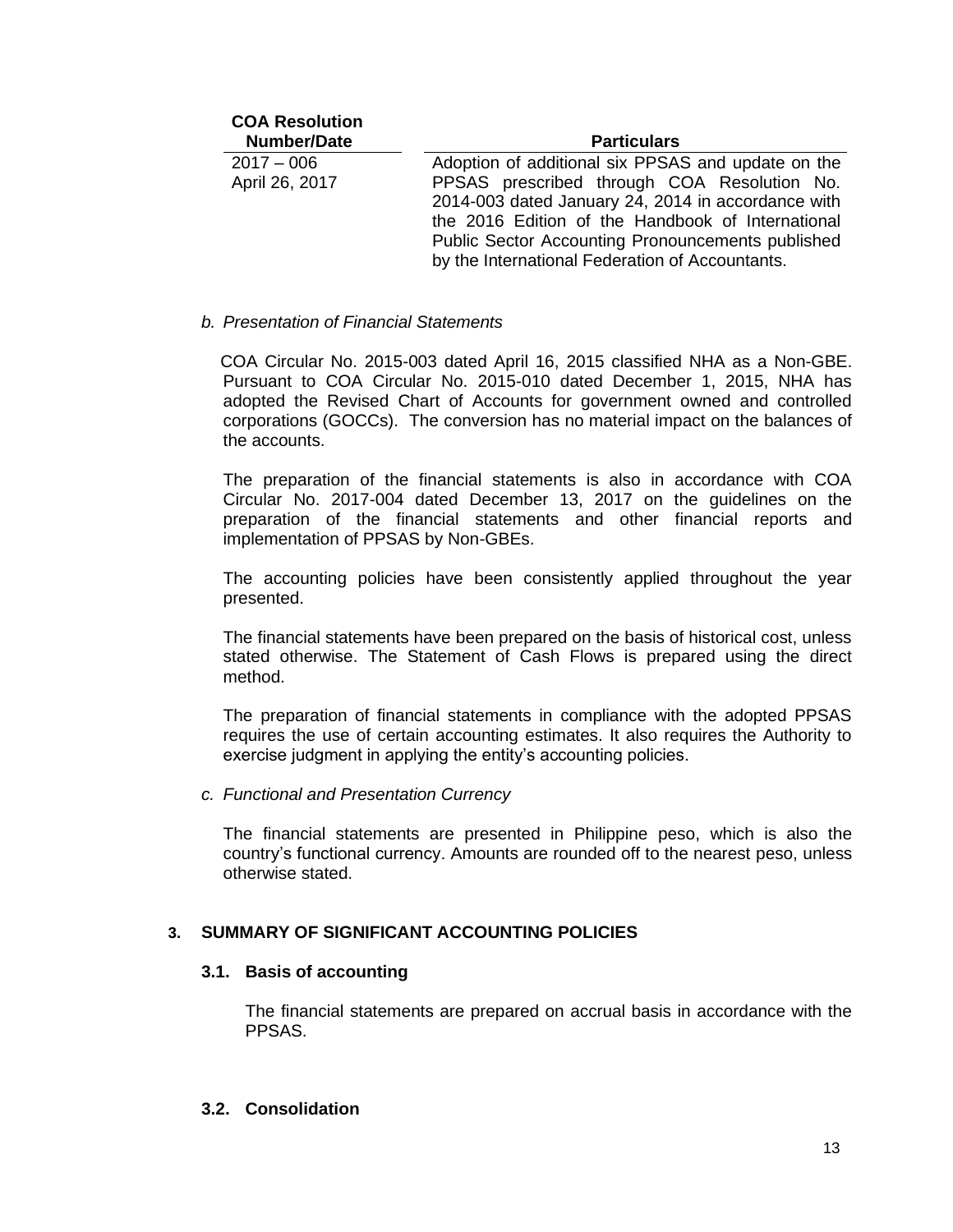| <b>COA Resolution</b><br><b>Number/Date</b> | <b>Particulars</b>                                                                                                                                                                                                                                                    |
|---------------------------------------------|-----------------------------------------------------------------------------------------------------------------------------------------------------------------------------------------------------------------------------------------------------------------------|
| $2017 - 006$                                | Adoption of additional six PPSAS and update on the                                                                                                                                                                                                                    |
| April 26, 2017                              | PPSAS prescribed through COA Resolution No.<br>2014-003 dated January 24, 2014 in accordance with<br>the 2016 Edition of the Handbook of International<br><b>Public Sector Accounting Pronouncements published</b><br>by the International Federation of Accountants. |

#### *b. Presentation of Financial Statements*

 COA Circular No. 2015-003 dated April 16, 2015 classified NHA as a Non-GBE. Pursuant to COA Circular No. 2015-010 dated December 1, 2015, NHA has adopted the Revised Chart of Accounts for government owned and controlled corporations (GOCCs). The conversion has no material impact on the balances of the accounts.

The preparation of the financial statements is also in accordance with COA Circular No. 2017-004 dated December 13, 2017 on the guidelines on the preparation of the financial statements and other financial reports and implementation of PPSAS by Non-GBEs.

The accounting policies have been consistently applied throughout the year presented.

The financial statements have been prepared on the basis of historical cost, unless stated otherwise. The Statement of Cash Flows is prepared using the direct method.

The preparation of financial statements in compliance with the adopted PPSAS requires the use of certain accounting estimates. It also requires the Authority to exercise judgment in applying the entity's accounting policies.

#### *c. Functional and Presentation Currency*

The financial statements are presented in Philippine peso, which is also the country's functional currency. Amounts are rounded off to the nearest peso, unless otherwise stated.

### **3. SUMMARY OF SIGNIFICANT ACCOUNTING POLICIES**

#### **3.1. Basis of accounting**

The financial statements are prepared on accrual basis in accordance with the PPSAS.

#### **3.2. Consolidation**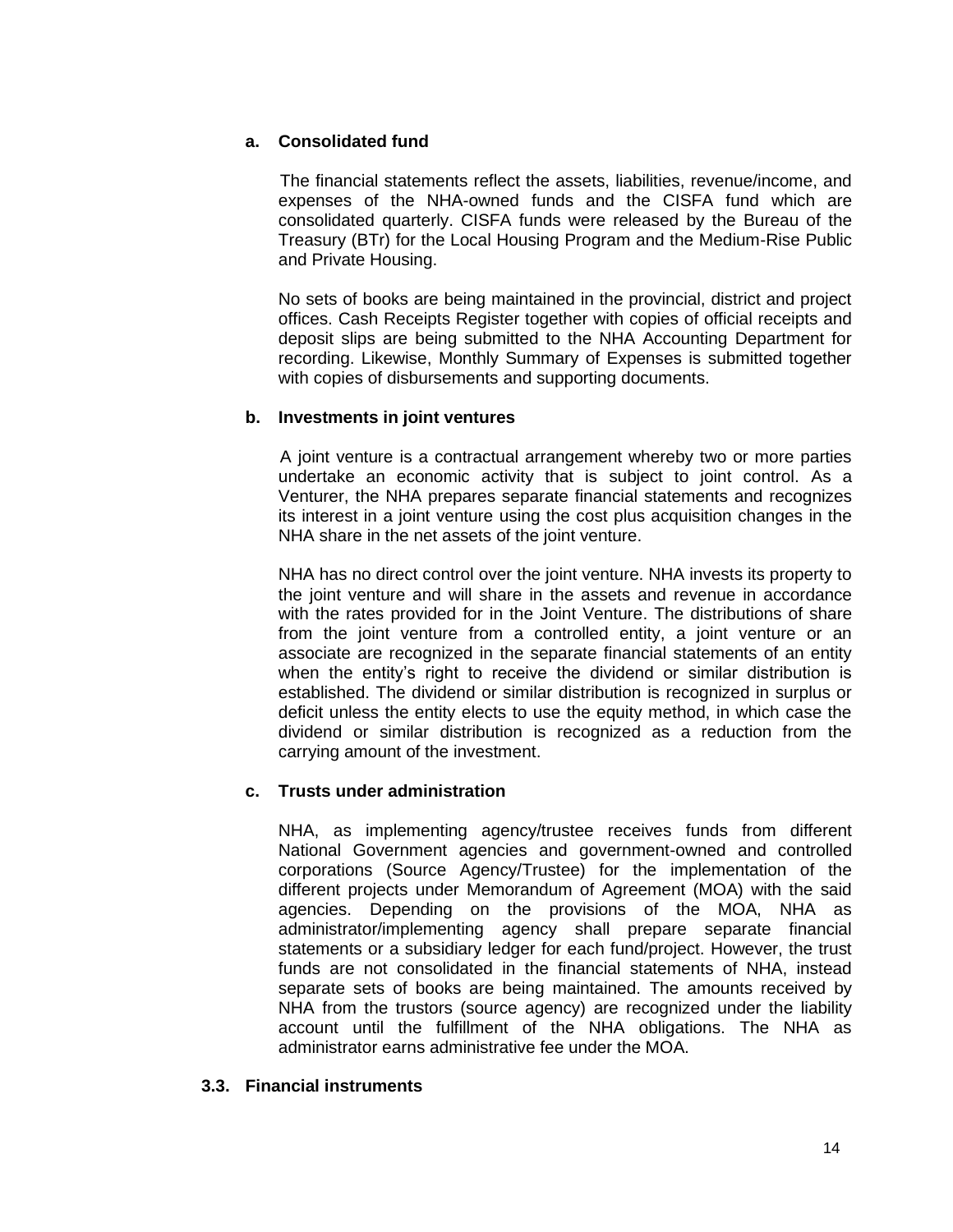## **a. Consolidated fund**

The financial statements reflect the assets, liabilities, revenue/income, and expenses of the NHA-owned funds and the CISFA fund which are consolidated quarterly. CISFA funds were released by the Bureau of the Treasury (BTr) for the Local Housing Program and the Medium-Rise Public and Private Housing.

No sets of books are being maintained in the provincial, district and project offices. Cash Receipts Register together with copies of official receipts and deposit slips are being submitted to the NHA Accounting Department for recording. Likewise, Monthly Summary of Expenses is submitted together with copies of disbursements and supporting documents.

### **b. Investments in joint ventures**

A joint venture is a contractual arrangement whereby two or more parties undertake an economic activity that is subject to joint control. As a Venturer, the NHA prepares separate financial statements and recognizes its interest in a joint venture using the cost plus acquisition changes in the NHA share in the net assets of the joint venture.

NHA has no direct control over the joint venture. NHA invests its property to the joint venture and will share in the assets and revenue in accordance with the rates provided for in the Joint Venture. The distributions of share from the joint venture from a controlled entity, a joint venture or an associate are recognized in the separate financial statements of an entity when the entity's right to receive the dividend or similar distribution is established. The dividend or similar distribution is recognized in surplus or deficit unless the entity elects to use the equity method, in which case the dividend or similar distribution is recognized as a reduction from the carrying amount of the investment.

### **c. Trusts under administration**

NHA, as implementing agency/trustee receives funds from different National Government agencies and government-owned and controlled corporations (Source Agency/Trustee) for the implementation of the different projects under Memorandum of Agreement (MOA) with the said agencies. Depending on the provisions of the MOA, NHA as administrator/implementing agency shall prepare separate financial statements or a subsidiary ledger for each fund/project. However, the trust funds are not consolidated in the financial statements of NHA, instead separate sets of books are being maintained. The amounts received by NHA from the trustors (source agency) are recognized under the liability account until the fulfillment of the NHA obligations. The NHA as administrator earns administrative fee under the MOA.

### **3.3. Financial instruments**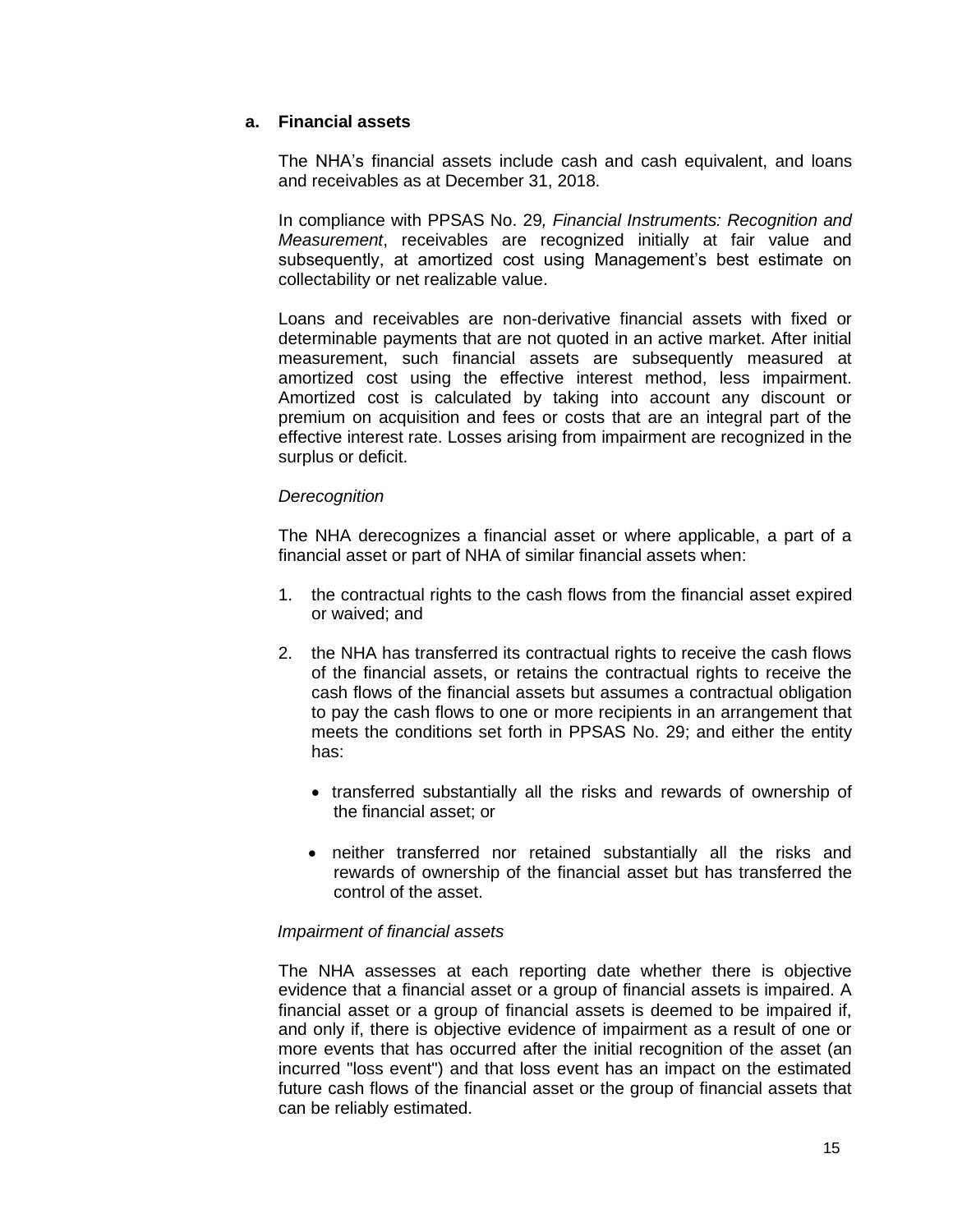### **a. Financial assets**

The NHA's financial assets include cash and cash equivalent, and loans and receivables as at December 31, 2018.

In compliance with PPSAS No. 29*, Financial Instruments: Recognition and Measurement*, receivables are recognized initially at fair value and subsequently, at amortized cost using Management's best estimate on collectability or net realizable value.

Loans and receivables are non-derivative financial assets with fixed or determinable payments that are not quoted in an active market. After initial measurement, such financial assets are subsequently measured at amortized cost using the effective interest method, less impairment. Amortized cost is calculated by taking into account any discount or premium on acquisition and fees or costs that are an integral part of the effective interest rate. Losses arising from impairment are recognized in the surplus or deficit.

### *Derecognition*

The NHA derecognizes a financial asset or where applicable, a part of a financial asset or part of NHA of similar financial assets when:

- 1. the contractual rights to the cash flows from the financial asset expired or waived; and
- 2. the NHA has transferred its contractual rights to receive the cash flows of the financial assets, or retains the contractual rights to receive the cash flows of the financial assets but assumes a contractual obligation to pay the cash flows to one or more recipients in an arrangement that meets the conditions set forth in PPSAS No. 29; and either the entity has:
	- transferred substantially all the risks and rewards of ownership of the financial asset; or
	- neither transferred nor retained substantially all the risks and rewards of ownership of the financial asset but has transferred the control of the asset.

#### *Impairment of financial assets*

The NHA assesses at each reporting date whether there is objective evidence that a financial asset or a group of financial assets is impaired. A financial asset or a group of financial assets is deemed to be impaired if, and only if, there is objective evidence of impairment as a result of one or more events that has occurred after the initial recognition of the asset (an incurred "loss event") and that loss event has an impact on the estimated future cash flows of the financial asset or the group of financial assets that can be reliably estimated.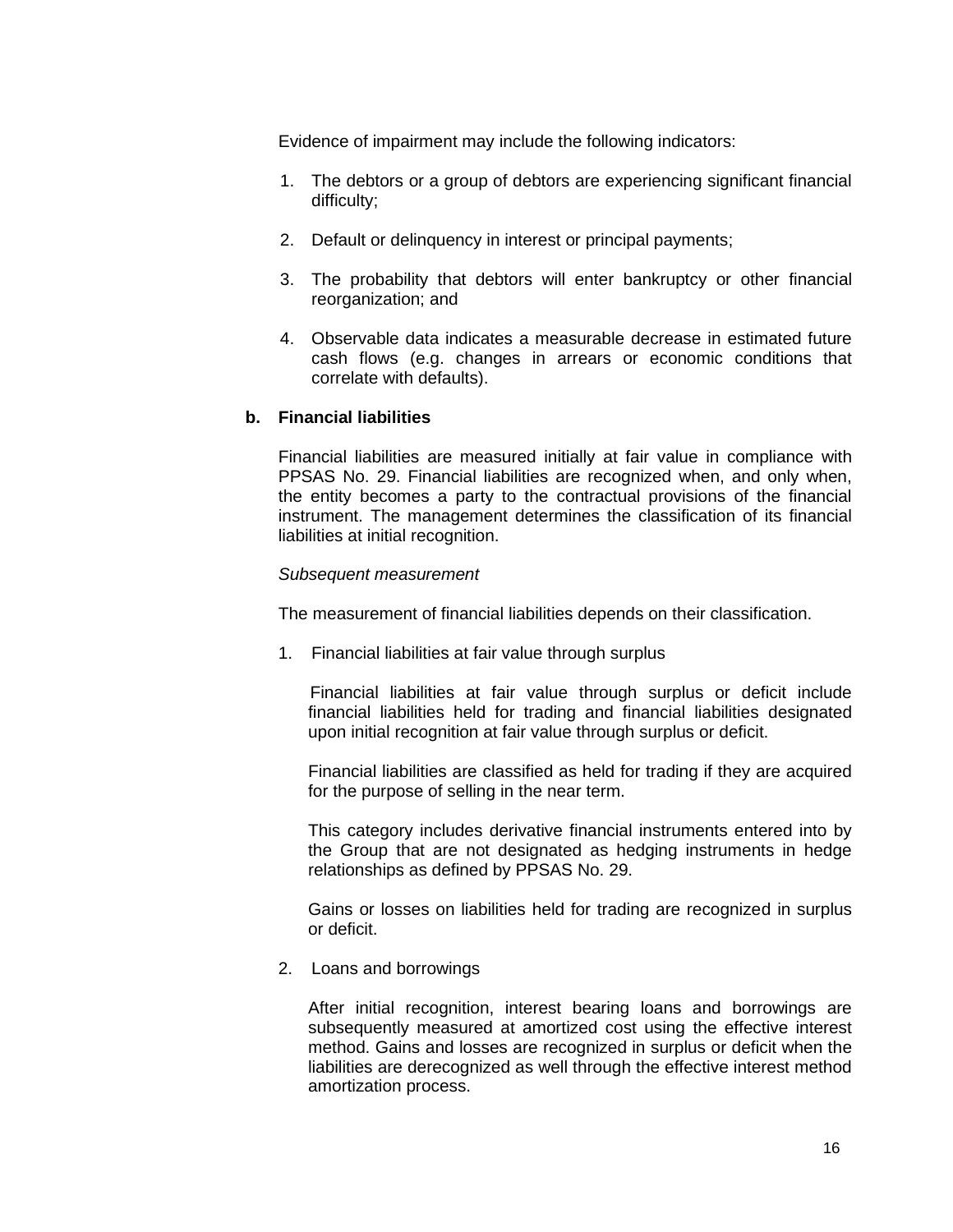Evidence of impairment may include the following indicators:

- 1. The debtors or a group of debtors are experiencing significant financial difficulty;
- 2. Default or delinquency in interest or principal payments;
- 3. The probability that debtors will enter bankruptcy or other financial reorganization; and
- 4. Observable data indicates a measurable decrease in estimated future cash flows (e.g. changes in arrears or economic conditions that correlate with defaults).

### **b. Financial liabilities**

Financial liabilities are measured initially at fair value in compliance with PPSAS No. 29. Financial liabilities are recognized when, and only when, the entity becomes a party to the contractual provisions of the financial instrument. The management determines the classification of its financial liabilities at initial recognition.

#### *Subsequent measurement*

The measurement of financial liabilities depends on their classification.

1. Financial liabilities at fair value through surplus

 Financial liabilities at fair value through surplus or deficit include financial liabilities held for trading and financial liabilities designated upon initial recognition at fair value through surplus or deficit.

Financial liabilities are classified as held for trading if they are acquired for the purpose of selling in the near term.

This category includes derivative financial instruments entered into by the Group that are not designated as hedging instruments in hedge relationships as defined by PPSAS No. 29.

Gains or losses on liabilities held for trading are recognized in surplus or deficit.

2. Loans and borrowings

After initial recognition, interest bearing loans and borrowings are subsequently measured at amortized cost using the effective interest method. Gains and losses are recognized in surplus or deficit when the liabilities are derecognized as well through the effective interest method amortization process.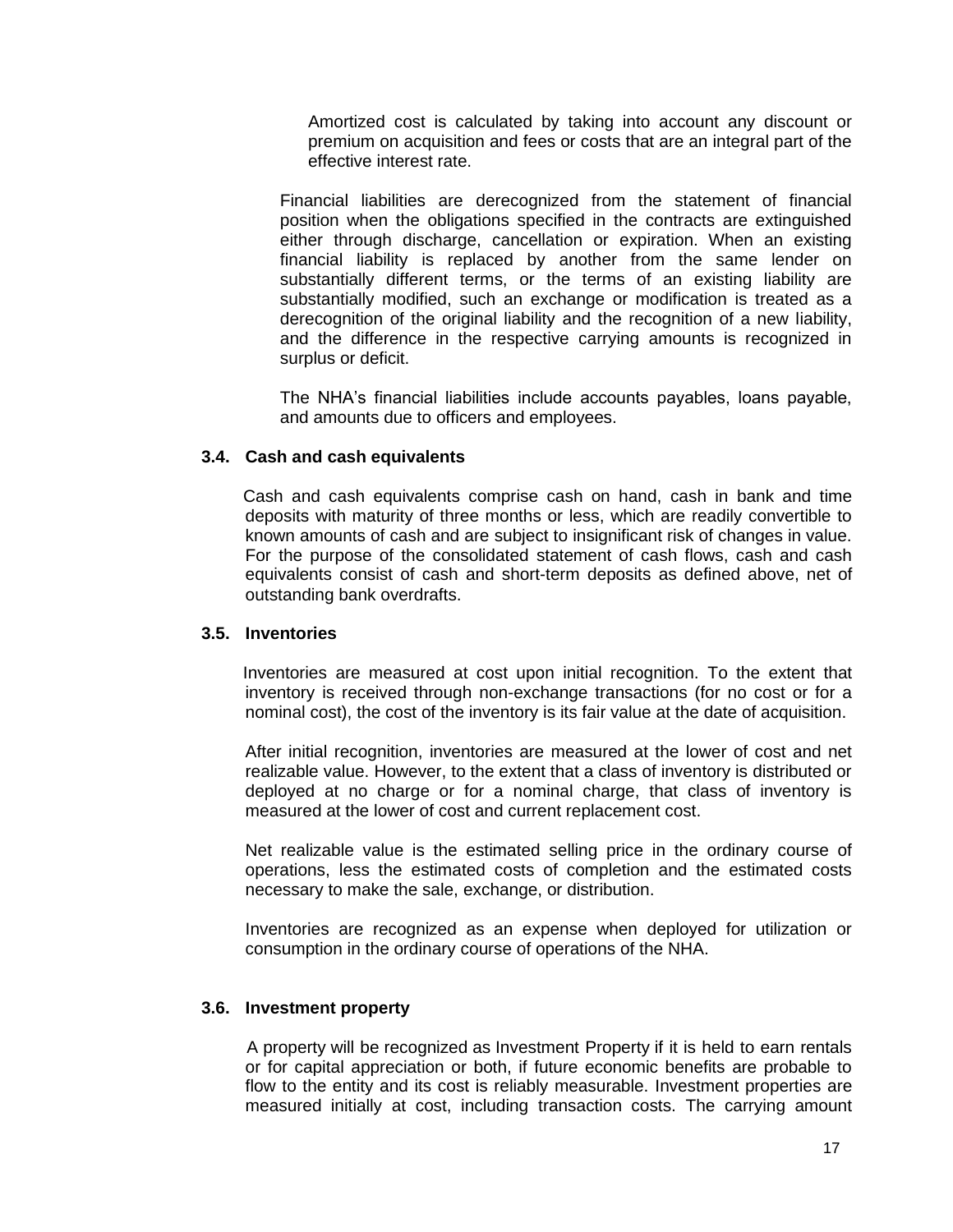Amortized cost is calculated by taking into account any discount or premium on acquisition and fees or costs that are an integral part of the effective interest rate.

Financial liabilities are derecognized from the statement of financial position when the obligations specified in the contracts are extinguished either through discharge, cancellation or expiration. When an existing financial liability is replaced by another from the same lender on substantially different terms, or the terms of an existing liability are substantially modified, such an exchange or modification is treated as a derecognition of the original liability and the recognition of a new liability, and the difference in the respective carrying amounts is recognized in surplus or deficit.

The NHA's financial liabilities include accounts payables, loans payable, and amounts due to officers and employees.

### **3.4. Cash and cash equivalents**

 Cash and cash equivalents comprise cash on hand, cash in bank and time deposits with maturity of three months or less, which are readily convertible to known amounts of cash and are subject to insignificant risk of changes in value. For the purpose of the consolidated statement of cash flows, cash and cash equivalents consist of cash and short-term deposits as defined above, net of outstanding bank overdrafts.

#### **3.5. Inventories**

 Inventories are measured at cost upon initial recognition. To the extent that inventory is received through non-exchange transactions (for no cost or for a nominal cost), the cost of the inventory is its fair value at the date of acquisition.

After initial recognition, inventories are measured at the lower of cost and net realizable value. However, to the extent that a class of inventory is distributed or deployed at no charge or for a nominal charge, that class of inventory is measured at the lower of cost and current replacement cost.

Net realizable value is the estimated selling price in the ordinary course of operations, less the estimated costs of completion and the estimated costs necessary to make the sale, exchange, or distribution.

Inventories are recognized as an expense when deployed for utilization or consumption in the ordinary course of operations of the NHA.

#### **3.6. Investment property**

A property will be recognized as Investment Property if it is held to earn rentals or for capital appreciation or both, if future economic benefits are probable to flow to the entity and its cost is reliably measurable. Investment properties are measured initially at cost, including transaction costs. The carrying amount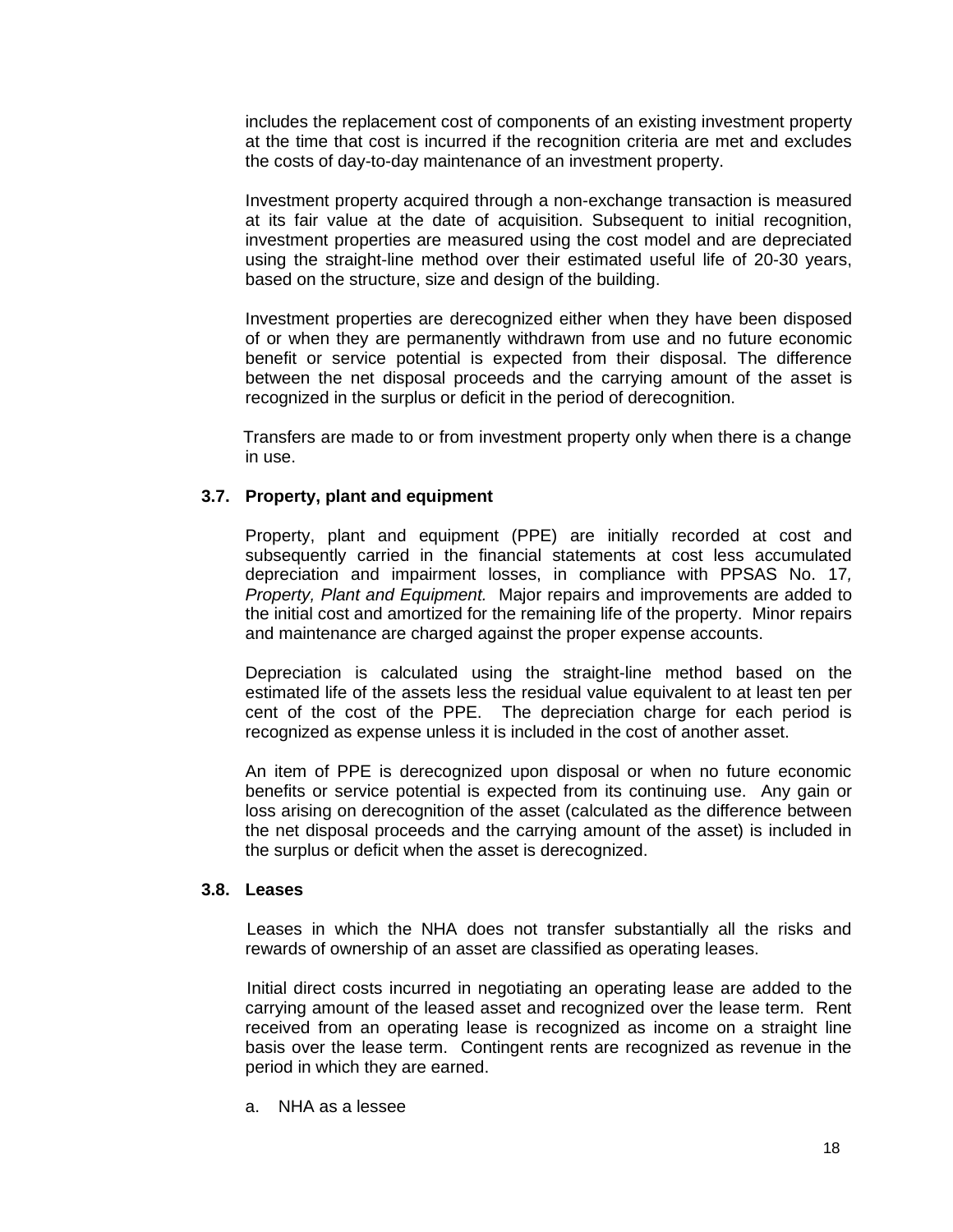includes the replacement cost of components of an existing investment property at the time that cost is incurred if the recognition criteria are met and excludes the costs of day-to-day maintenance of an investment property.

Investment property acquired through a non-exchange transaction is measured at its fair value at the date of acquisition. Subsequent to initial recognition, investment properties are measured using the cost model and are depreciated using the straight-line method over their estimated useful life of 20-30 years, based on the structure, size and design of the building.

Investment properties are derecognized either when they have been disposed of or when they are permanently withdrawn from use and no future economic benefit or service potential is expected from their disposal. The difference between the net disposal proceeds and the carrying amount of the asset is recognized in the surplus or deficit in the period of derecognition.

 Transfers are made to or from investment property only when there is a change in use.

### **3.7. Property, plant and equipment**

Property, plant and equipment (PPE) are initially recorded at cost and subsequently carried in the financial statements at cost less accumulated depreciation and impairment losses, in compliance with PPSAS No. 17*, Property, Plant and Equipment.* Major repairs and improvements are added to the initial cost and amortized for the remaining life of the property. Minor repairs and maintenance are charged against the proper expense accounts.

Depreciation is calculated using the straight-line method based on the estimated life of the assets less the residual value equivalent to at least ten per cent of the cost of the PPE. The depreciation charge for each period is recognized as expense unless it is included in the cost of another asset.

An item of PPE is derecognized upon disposal or when no future economic benefits or service potential is expected from its continuing use. Any gain or loss arising on derecognition of the asset (calculated as the difference between the net disposal proceeds and the carrying amount of the asset) is included in the surplus or deficit when the asset is derecognized.

#### **3.8. Leases**

Leases in which the NHA does not transfer substantially all the risks and rewards of ownership of an asset are classified as operating leases.

Initial direct costs incurred in negotiating an operating lease are added to the carrying amount of the leased asset and recognized over the lease term. Rent received from an operating lease is recognized as income on a straight line basis over the lease term. Contingent rents are recognized as revenue in the period in which they are earned.

a. NHA as a lessee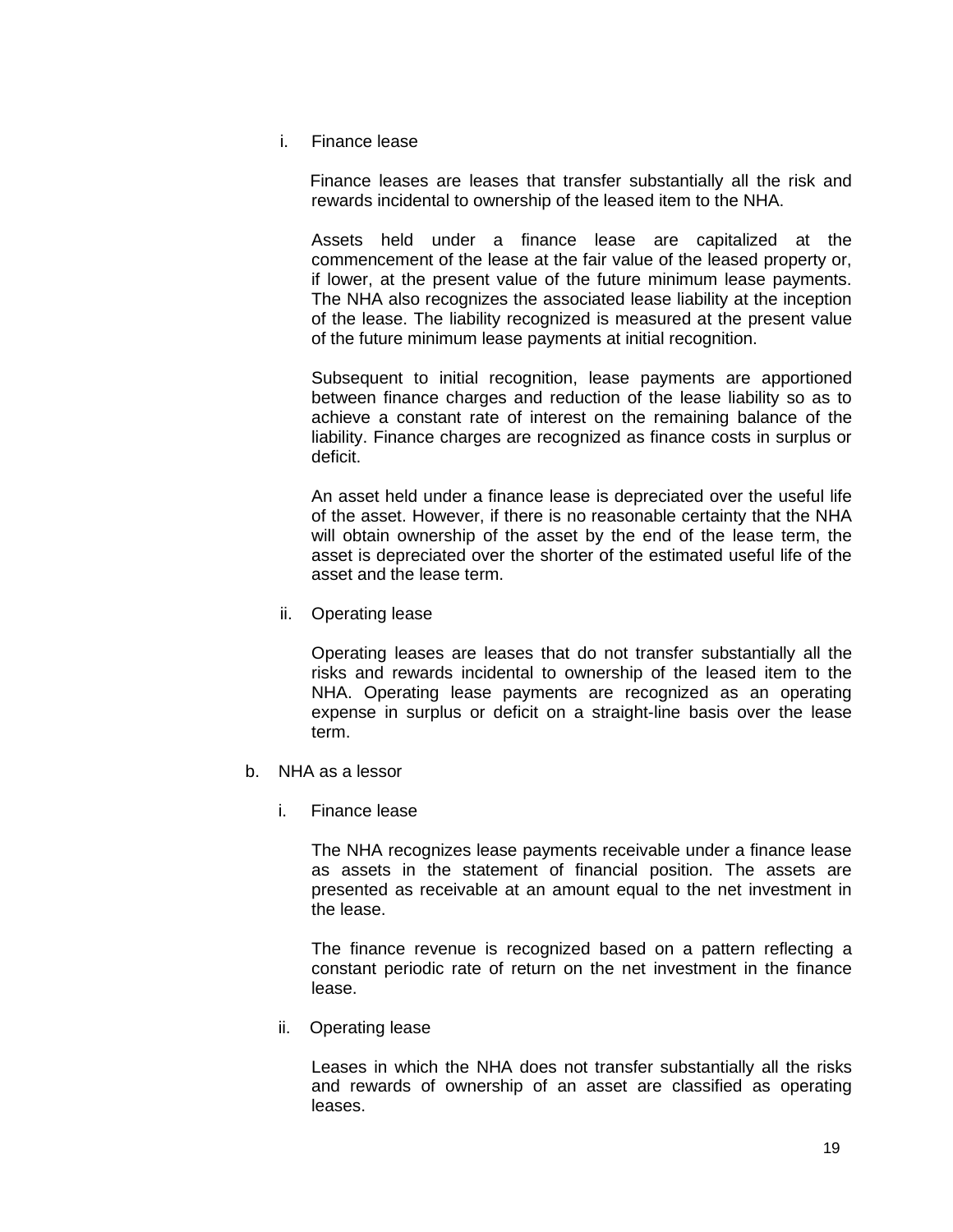i. Finance lease

 Finance leases are leases that transfer substantially all the risk and rewards incidental to ownership of the leased item to the NHA.

Assets held under a finance lease are capitalized at the commencement of the lease at the fair value of the leased property or, if lower, at the present value of the future minimum lease payments. The NHA also recognizes the associated lease liability at the inception of the lease. The liability recognized is measured at the present value of the future minimum lease payments at initial recognition.

Subsequent to initial recognition, lease payments are apportioned between finance charges and reduction of the lease liability so as to achieve a constant rate of interest on the remaining balance of the liability. Finance charges are recognized as finance costs in surplus or deficit.

An asset held under a finance lease is depreciated over the useful life of the asset. However, if there is no reasonable certainty that the NHA will obtain ownership of the asset by the end of the lease term, the asset is depreciated over the shorter of the estimated useful life of the asset and the lease term.

ii. Operating lease

Operating leases are leases that do not transfer substantially all the risks and rewards incidental to ownership of the leased item to the NHA. Operating lease payments are recognized as an operating expense in surplus or deficit on a straight-line basis over the lease term.

- b. NHA as a lessor
	- i. Finance lease

The NHA recognizes lease payments receivable under a finance lease as assets in the statement of financial position. The assets are presented as receivable at an amount equal to the net investment in the lease.

The finance revenue is recognized based on a pattern reflecting a constant periodic rate of return on the net investment in the finance lease.

ii. Operating lease

Leases in which the NHA does not transfer substantially all the risks and rewards of ownership of an asset are classified as operating leases.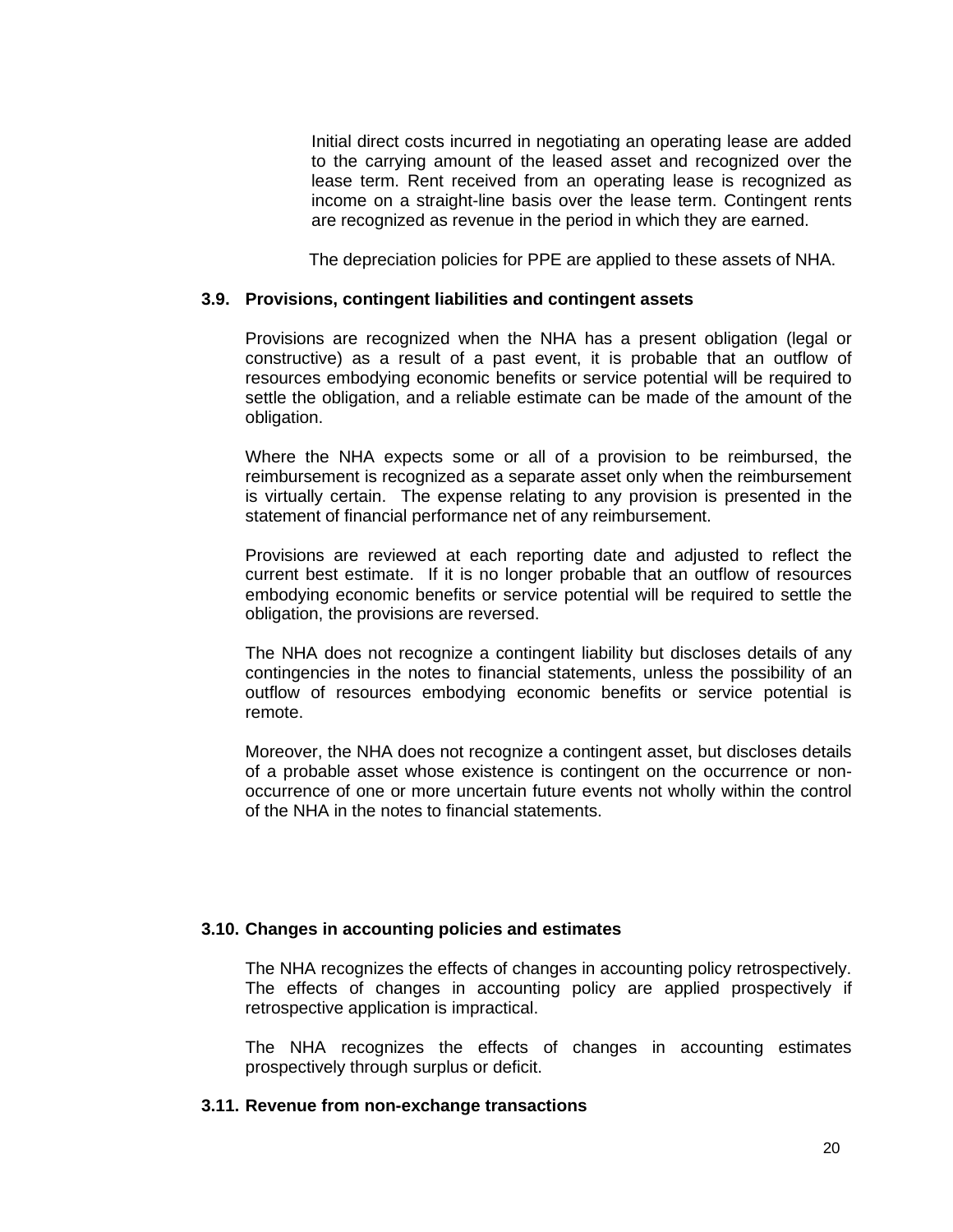Initial direct costs incurred in negotiating an operating lease are added to the carrying amount of the leased asset and recognized over the lease term. Rent received from an operating lease is recognized as income on a straight-line basis over the lease term. Contingent rents are recognized as revenue in the period in which they are earned.

The depreciation policies for PPE are applied to these assets of NHA.

#### **3.9. Provisions, contingent liabilities and contingent assets**

Provisions are recognized when the NHA has a present obligation (legal or constructive) as a result of a past event, it is probable that an outflow of resources embodying economic benefits or service potential will be required to settle the obligation, and a reliable estimate can be made of the amount of the obligation.

Where the NHA expects some or all of a provision to be reimbursed, the reimbursement is recognized as a separate asset only when the reimbursement is virtually certain. The expense relating to any provision is presented in the statement of financial performance net of any reimbursement.

Provisions are reviewed at each reporting date and adjusted to reflect the current best estimate. If it is no longer probable that an outflow of resources embodying economic benefits or service potential will be required to settle the obligation, the provisions are reversed.

The NHA does not recognize a contingent liability but discloses details of any contingencies in the notes to financial statements, unless the possibility of an outflow of resources embodying economic benefits or service potential is remote.

Moreover, the NHA does not recognize a contingent asset, but discloses details of a probable asset whose existence is contingent on the occurrence or nonoccurrence of one or more uncertain future events not wholly within the control of the NHA in the notes to financial statements.

#### **3.10. Changes in accounting policies and estimates**

The NHA recognizes the effects of changes in accounting policy retrospectively. The effects of changes in accounting policy are applied prospectively if retrospective application is impractical.

The NHA recognizes the effects of changes in accounting estimates prospectively through surplus or deficit.

#### **3.11. Revenue from non-exchange transactions**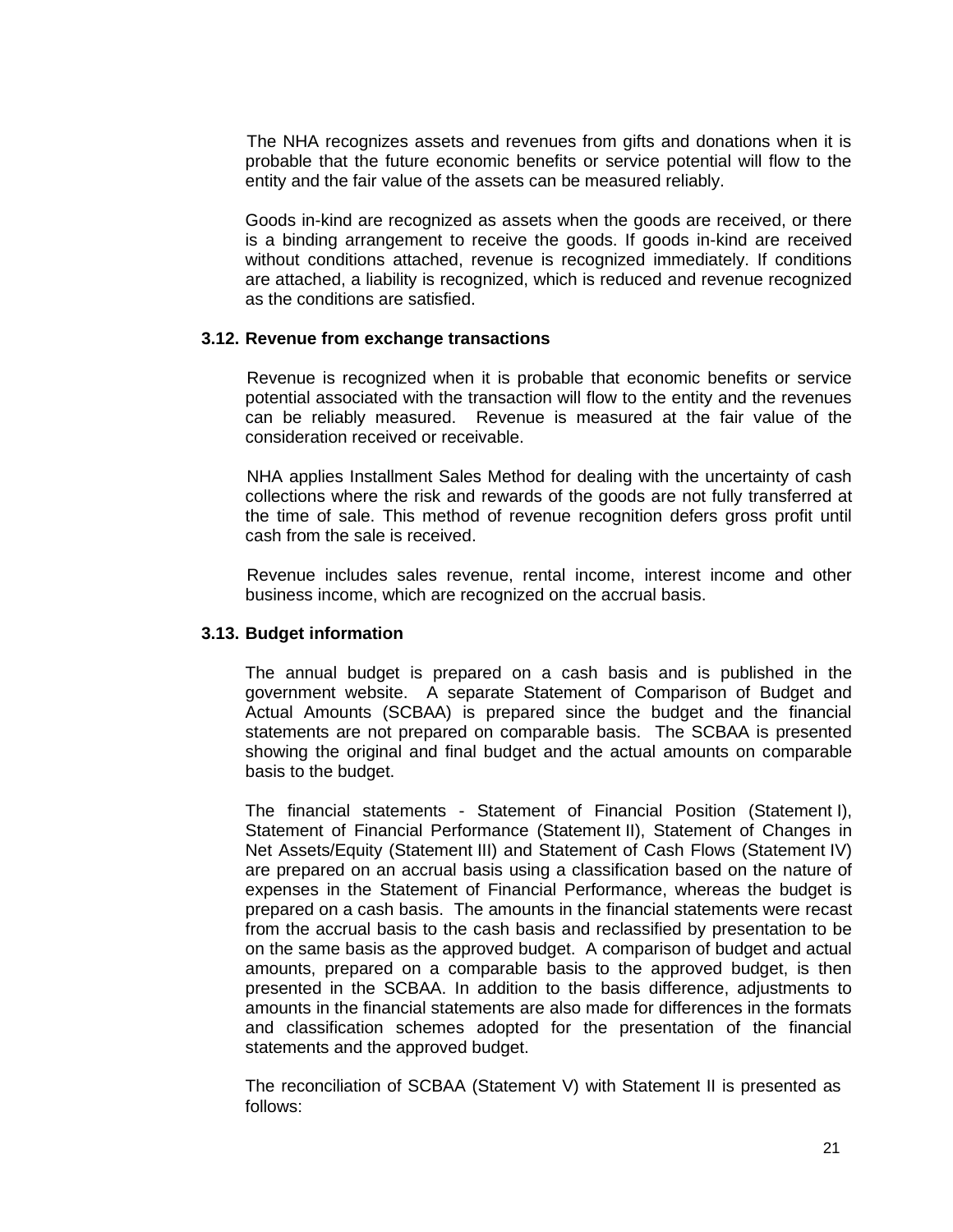The NHA recognizes assets and revenues from gifts and donations when it is probable that the future economic benefits or service potential will flow to the entity and the fair value of the assets can be measured reliably.

Goods in-kind are recognized as assets when the goods are received, or there is a binding arrangement to receive the goods. If goods in-kind are received without conditions attached, revenue is recognized immediately. If conditions are attached, a liability is recognized, which is reduced and revenue recognized as the conditions are satisfied.

#### **3.12. Revenue from exchange transactions**

Revenue is recognized when it is probable that economic benefits or service potential associated with the transaction will flow to the entity and the revenues can be reliably measured. Revenue is measured at the fair value of the consideration received or receivable.

NHA applies Installment Sales Method for dealing with the uncertainty of cash collections where the risk and rewards of the goods are not fully transferred at the time of sale. This method of revenue recognition defers gross profit until cash from the sale is received.

Revenue includes sales revenue, rental income, interest income and other business income, which are recognized on the accrual basis.

### **3.13. Budget information**

The annual budget is prepared on a cash basis and is published in the government website. A separate Statement of Comparison of Budget and Actual Amounts (SCBAA) is prepared since the budget and the financial statements are not prepared on comparable basis. The SCBAA is presented showing the original and final budget and the actual amounts on comparable basis to the budget.

The financial statements - Statement of Financial Position (Statement I), Statement of Financial Performance (Statement II), Statement of Changes in Net Assets/Equity (Statement III) and Statement of Cash Flows (Statement IV) are prepared on an accrual basis using a classification based on the nature of expenses in the Statement of Financial Performance, whereas the budget is prepared on a cash basis. The amounts in the financial statements were recast from the accrual basis to the cash basis and reclassified by presentation to be on the same basis as the approved budget. A comparison of budget and actual amounts, prepared on a comparable basis to the approved budget, is then presented in the SCBAA. In addition to the basis difference, adjustments to amounts in the financial statements are also made for differences in the formats and classification schemes adopted for the presentation of the financial statements and the approved budget.

The reconciliation of SCBAA (Statement V) with Statement II is presented as follows: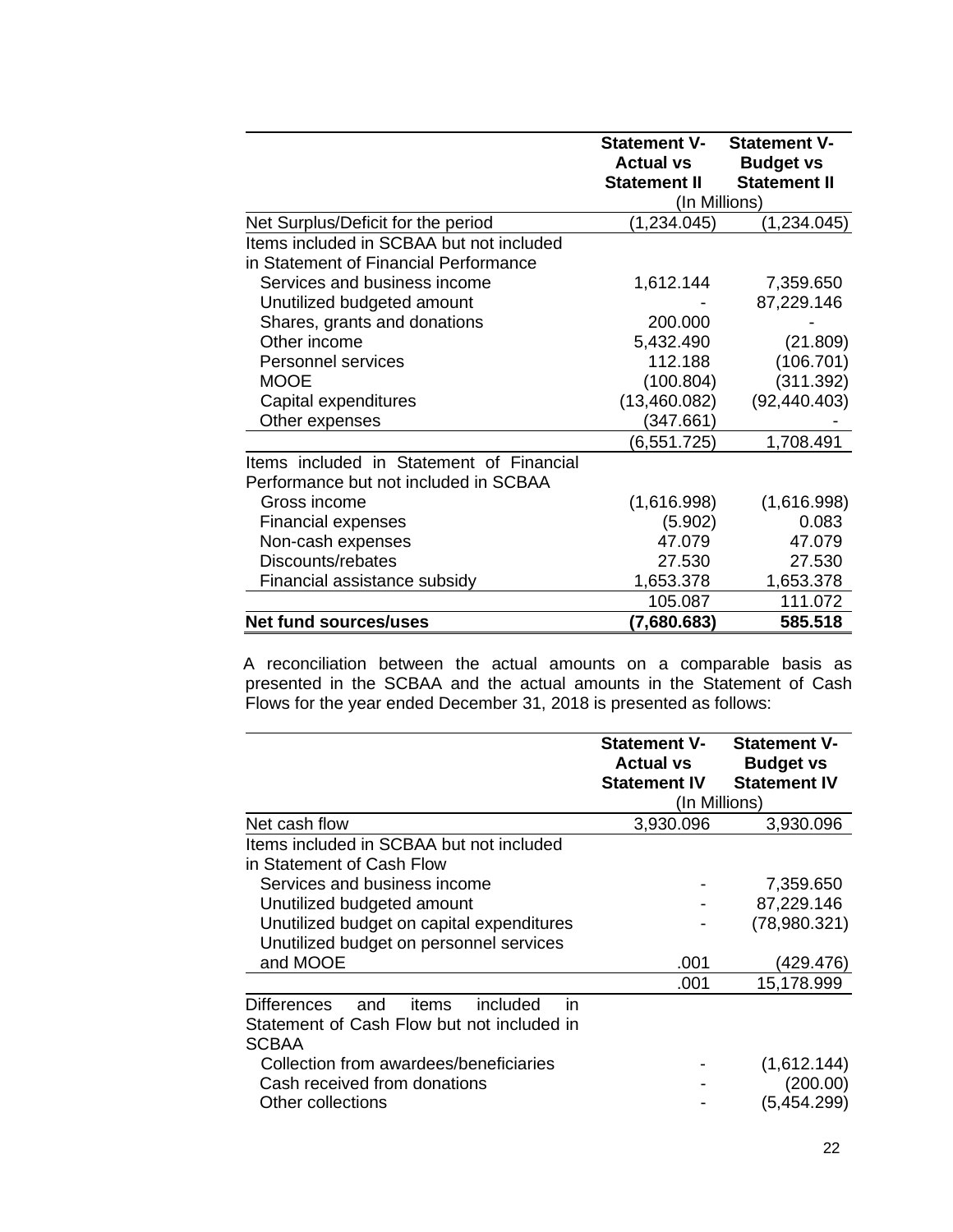|                                          | <b>Statement V-</b>                     | <b>Statement V-</b>                     |
|------------------------------------------|-----------------------------------------|-----------------------------------------|
|                                          | <b>Actual vs</b><br><b>Statement II</b> | <b>Budget vs</b><br><b>Statement II</b> |
|                                          | (In Millions)                           |                                         |
| Net Surplus/Deficit for the period       | (1, 234.045)                            | (1,234.045)                             |
| Items included in SCBAA but not included |                                         |                                         |
| in Statement of Financial Performance    |                                         |                                         |
|                                          |                                         |                                         |
| Services and business income             | 1,612.144                               | 7,359.650                               |
| Unutilized budgeted amount               |                                         | 87,229.146                              |
| Shares, grants and donations             | 200.000                                 |                                         |
| Other income                             | 5,432.490                               | (21.809)                                |
| <b>Personnel services</b>                | 112.188                                 | (106.701)                               |
| <b>MOOE</b>                              | (100.804)                               | (311.392)                               |
| Capital expenditures                     | (13,460.082)                            | (92, 440.403)                           |
| Other expenses                           | (347.661)                               |                                         |
|                                          | (6,551.725)                             | 1,708.491                               |
| Items included in Statement of Financial |                                         |                                         |
| Performance but not included in SCBAA    |                                         |                                         |
| Gross income                             | (1,616.998)                             | (1,616.998)                             |
| <b>Financial expenses</b>                | (5.902)                                 | 0.083                                   |
| Non-cash expenses                        | 47.079                                  | 47.079                                  |
| Discounts/rebates                        | 27.530                                  | 27.530                                  |
| Financial assistance subsidy             | 1,653.378                               | 1,653.378                               |
|                                          | 105.087                                 | 111.072                                 |
| <b>Net fund sources/uses</b>             | (7,680.683)                             | 585.518                                 |

 A reconciliation between the actual amounts on a comparable basis as presented in the SCBAA and the actual amounts in the Statement of Cash Flows for the year ended December 31, 2018 is presented as follows:

|                                                                                                                    | <b>Statement V-</b><br><b>Actual vs</b><br><b>Statement IV</b> | <b>Statement V-</b><br><b>Budget vs</b><br><b>Statement IV</b> |
|--------------------------------------------------------------------------------------------------------------------|----------------------------------------------------------------|----------------------------------------------------------------|
|                                                                                                                    | (In Millions)                                                  |                                                                |
| Net cash flow                                                                                                      | 3,930.096                                                      | 3,930.096                                                      |
| Items included in SCBAA but not included<br>in Statement of Cash Flow                                              |                                                                |                                                                |
| Services and business income                                                                                       |                                                                | 7,359.650                                                      |
| Unutilized budgeted amount                                                                                         |                                                                | 87,229.146                                                     |
| Unutilized budget on capital expenditures                                                                          |                                                                | (78,980.321)                                                   |
| Unutilized budget on personnel services                                                                            |                                                                |                                                                |
| and MOOE                                                                                                           | .001                                                           | (429.476)                                                      |
|                                                                                                                    | .001                                                           | 15,178.999                                                     |
| included<br><b>Differences</b><br>items<br>in<br>and<br>Statement of Cash Flow but not included in<br><b>SCBAA</b> |                                                                |                                                                |
| Collection from awardees/beneficiaries<br>Cash received from donations<br>Other collections                        |                                                                | (1,612.144)<br>(200.00)<br>(5,454.299)                         |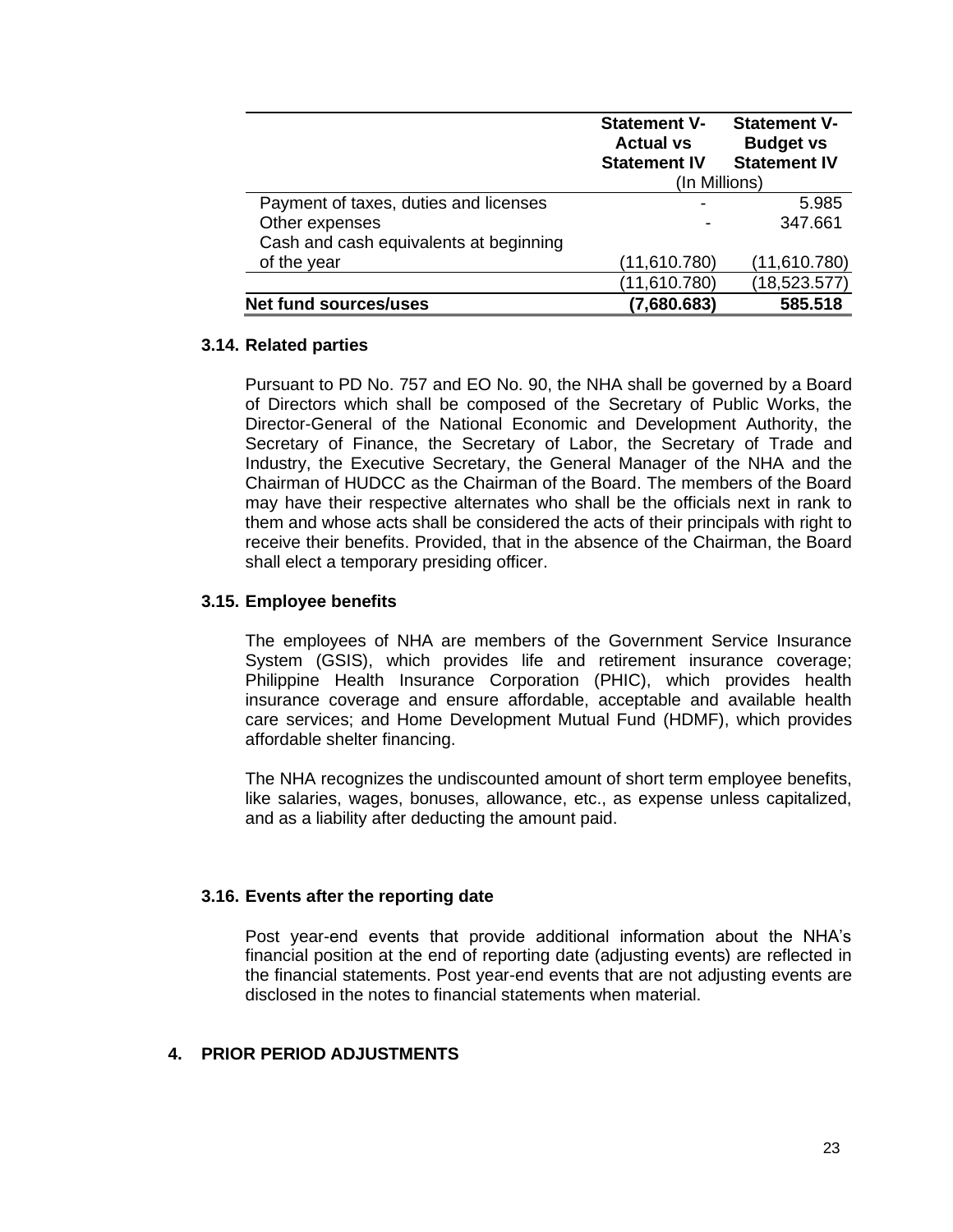|                                        | <b>Statement V-</b><br><b>Actual vs</b><br><b>Statement IV</b> | <b>Statement V-</b><br><b>Budget vs</b><br><b>Statement IV</b> |
|----------------------------------------|----------------------------------------------------------------|----------------------------------------------------------------|
|                                        | (In Millions)                                                  |                                                                |
| Payment of taxes, duties and licenses  |                                                                | 5.985                                                          |
| Other expenses                         |                                                                | 347.661                                                        |
| Cash and cash equivalents at beginning |                                                                |                                                                |
| of the year                            | (11,610.780)                                                   | (11,610.780)                                                   |
|                                        | (11,610.780)                                                   | (18,523.577)                                                   |
| <b>Net fund sources/uses</b>           | (7,680.683)                                                    | 585.518                                                        |

#### **3.14. Related parties**

Pursuant to PD No. 757 and EO No. 90, the NHA shall be governed by a Board of Directors which shall be composed of the Secretary of Public Works, the Director-General of the National Economic and Development Authority, the Secretary of Finance, the Secretary of Labor, the Secretary of Trade and Industry, the Executive Secretary, the General Manager of the NHA and the Chairman of HUDCC as the Chairman of the Board. The members of the Board may have their respective alternates who shall be the officials next in rank to them and whose acts shall be considered the acts of their principals with right to receive their benefits. Provided, that in the absence of the Chairman, the Board shall elect a temporary presiding officer.

### **3.15. Employee benefits**

The employees of NHA are members of the Government Service Insurance System (GSIS), which provides life and retirement insurance coverage; Philippine Health Insurance Corporation (PHIC), which provides health insurance coverage and ensure affordable, acceptable and available health care services; and Home Development Mutual Fund (HDMF), which provides affordable shelter financing.

The NHA recognizes the undiscounted amount of short term employee benefits, like salaries, wages, bonuses, allowance, etc., as expense unless capitalized, and as a liability after deducting the amount paid.

### **3.16. Events after the reporting date**

Post year-end events that provide additional information about the NHA's financial position at the end of reporting date (adjusting events) are reflected in the financial statements. Post year-end events that are not adjusting events are disclosed in the notes to financial statements when material.

#### **4. PRIOR PERIOD ADJUSTMENTS**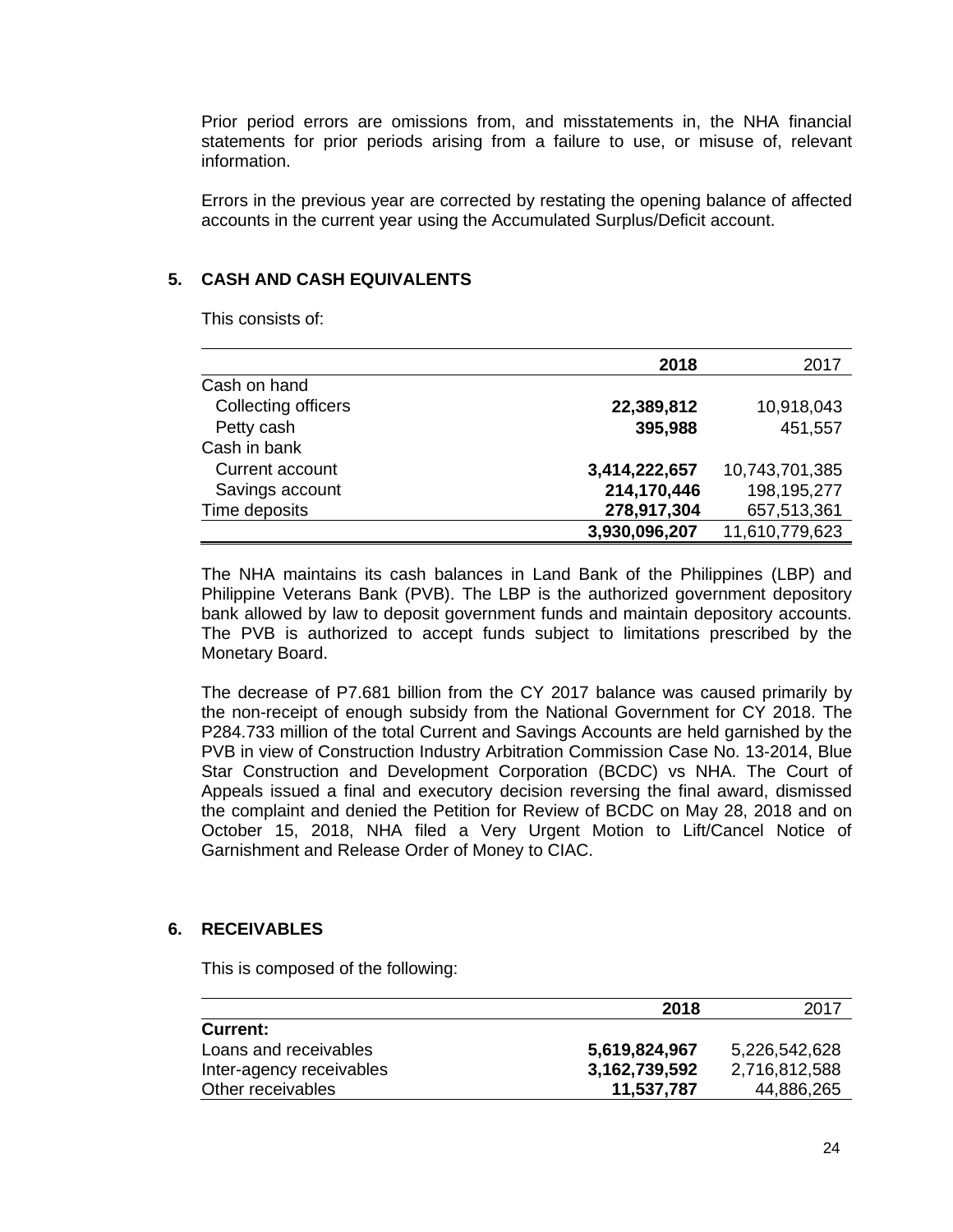Prior period errors are omissions from, and misstatements in, the NHA financial statements for prior periods arising from a failure to use, or misuse of, relevant information.

Errors in the previous year are corrected by restating the opening balance of affected accounts in the current year using the Accumulated Surplus/Deficit account.

# **5. CASH AND CASH EQUIVALENTS**

This consists of:

|                     | 2018          | 2017           |
|---------------------|---------------|----------------|
| Cash on hand        |               |                |
| Collecting officers | 22,389,812    | 10,918,043     |
| Petty cash          | 395,988       | 451,557        |
| Cash in bank        |               |                |
| Current account     | 3,414,222,657 | 10,743,701,385 |
| Savings account     | 214,170,446   | 198,195,277    |
| Time deposits       | 278,917,304   | 657,513,361    |
|                     | 3,930,096,207 | 11,610,779,623 |

The NHA maintains its cash balances in Land Bank of the Philippines (LBP) and Philippine Veterans Bank (PVB). The LBP is the authorized government depository bank allowed by law to deposit government funds and maintain depository accounts. The PVB is authorized to accept funds subject to limitations prescribed by the Monetary Board.

The decrease of P7.681 billion from the CY 2017 balance was caused primarily by the non-receipt of enough subsidy from the National Government for CY 2018. The P284.733 million of the total Current and Savings Accounts are held garnished by the PVB in view of Construction Industry Arbitration Commission Case No. 13-2014, Blue Star Construction and Development Corporation (BCDC) vs NHA. The Court of Appeals issued a final and executory decision reversing the final award, dismissed the complaint and denied the Petition for Review of BCDC on May 28, 2018 and on October 15, 2018, NHA filed a Very Urgent Motion to Lift/Cancel Notice of Garnishment and Release Order of Money to CIAC.

### **6. RECEIVABLES**

This is composed of the following:

|                          | 2018          | 2017          |
|--------------------------|---------------|---------------|
| <b>Current:</b>          |               |               |
| Loans and receivables    | 5,619,824,967 | 5,226,542,628 |
| Inter-agency receivables | 3,162,739,592 | 2,716,812,588 |
| Other receivables        | 11,537,787    | 44,886,265    |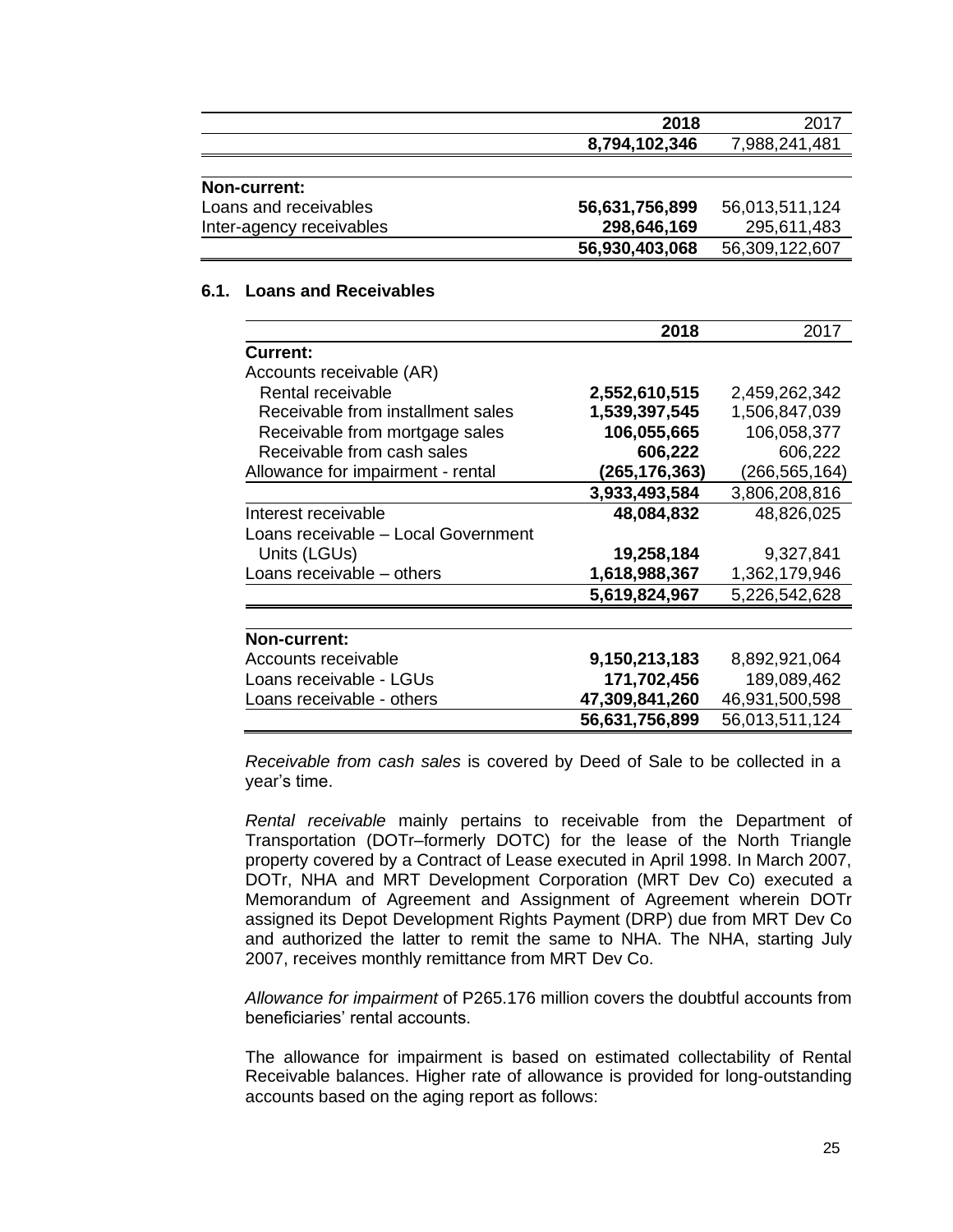|                          | 2018           | 2017           |
|--------------------------|----------------|----------------|
|                          | 8,794,102,346  | 7,988,241,481  |
|                          |                |                |
| Non-current:             |                |                |
| Loans and receivables    | 56,631,756,899 | 56,013,511,124 |
| Inter-agency receivables | 298,646,169    | 295,611,483    |
|                          | 56,930,403,068 | 56,309,122,607 |

# **6.1. Loans and Receivables**

|                                     | 2018            | 2017           |
|-------------------------------------|-----------------|----------------|
| <b>Current:</b>                     |                 |                |
| Accounts receivable (AR)            |                 |                |
| Rental receivable                   | 2,552,610,515   | 2,459,262,342  |
| Receivable from installment sales   | 1,539,397,545   | 1,506,847,039  |
| Receivable from mortgage sales      | 106,055,665     | 106,058,377    |
| Receivable from cash sales          | 606,222         | 606,222        |
| Allowance for impairment - rental   | (265, 176, 363) | (266,565,164)  |
|                                     | 3,933,493,584   | 3,806,208,816  |
| Interest receivable                 | 48,084,832      | 48,826,025     |
| Loans receivable - Local Government |                 |                |
| Units (LGUs)                        | 19,258,184      | 9,327,841      |
| Loans receivable - others           | 1,618,988,367   | 1,362,179,946  |
|                                     | 5,619,824,967   | 5,226,542,628  |
|                                     |                 |                |
| <b>Non-current:</b>                 |                 |                |
| Accounts receivable                 | 9,150,213,183   | 8,892,921,064  |
| Loans receivable - LGUs             | 171,702,456     | 189,089,462    |
| Loans receivable - others           | 47,309,841,260  | 46,931,500,598 |
|                                     | 56,631,756,899  | 56,013,511,124 |

*Receivable from cash sales* is covered by Deed of Sale to be collected in a year's time.

*Rental receivable* mainly pertains to receivable from the Department of Transportation (DOTr–formerly DOTC) for the lease of the North Triangle property covered by a Contract of Lease executed in April 1998. In March 2007, DOTr, NHA and MRT Development Corporation (MRT Dev Co) executed a Memorandum of Agreement and Assignment of Agreement wherein DOTr assigned its Depot Development Rights Payment (DRP) due from MRT Dev Co and authorized the latter to remit the same to NHA. The NHA, starting July 2007, receives monthly remittance from MRT Dev Co.

*Allowance for impairment* of P265.176 million covers the doubtful accounts from beneficiaries' rental accounts.

The allowance for impairment is based on estimated collectability of Rental Receivable balances. Higher rate of allowance is provided for long-outstanding accounts based on the aging report as follows: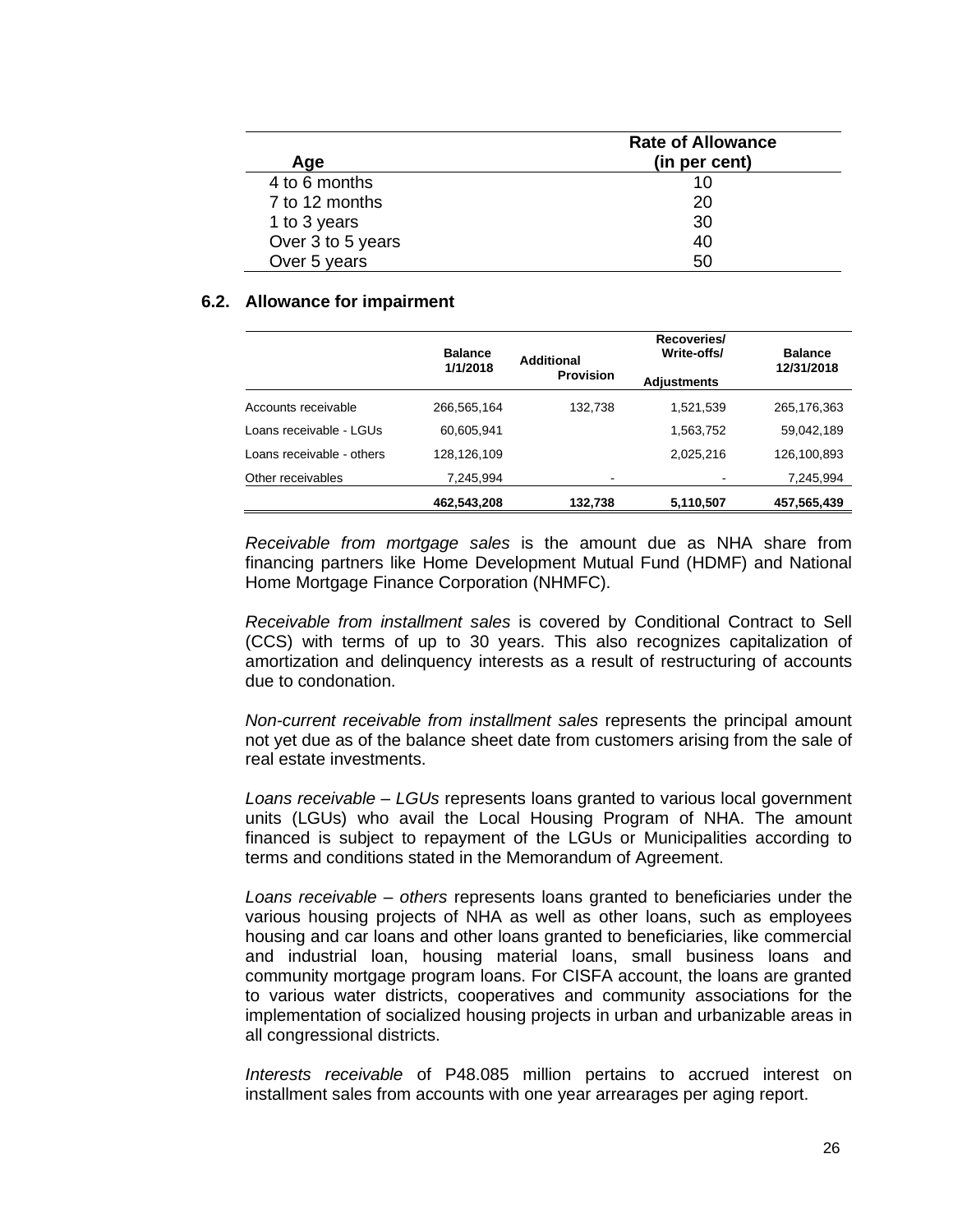| Aae               | <b>Rate of Allowance</b><br>(in per cent) |
|-------------------|-------------------------------------------|
| 4 to 6 months     | 10                                        |
| 7 to 12 months    | 20                                        |
| 1 to 3 years      | 30                                        |
| Over 3 to 5 years | 40                                        |
| Over 5 years      | 50                                        |

#### **6.2. Allowance for impairment**

|                           | <b>Balance</b><br>1/1/2018 | Additional<br><b>Provision</b> | Recoveries/<br>Write-offs/<br><b>Adjustments</b> | <b>Balance</b><br>12/31/2018 |
|---------------------------|----------------------------|--------------------------------|--------------------------------------------------|------------------------------|
| Accounts receivable       | 266,565,164                | 132,738                        | 1,521,539                                        | 265,176,363                  |
| Loans receivable - LGUs   | 60.605.941                 |                                | 1,563,752                                        | 59,042,189                   |
| Loans receivable - others | 128,126,109                |                                | 2,025,216                                        | 126,100,893                  |
| Other receivables         | 7,245,994                  | $\,$                           |                                                  | 7,245,994                    |
|                           | 462,543,208                | 132,738                        | 5,110,507                                        | 457,565,439                  |

*Receivable from mortgage sales* is the amount due as NHA share from financing partners like Home Development Mutual Fund (HDMF) and National Home Mortgage Finance Corporation (NHMFC).

*Receivable from installment sales* is covered by Conditional Contract to Sell (CCS) with terms of up to 30 years. This also recognizes capitalization of amortization and delinquency interests as a result of restructuring of accounts due to condonation.

*Non-current receivable from installment sales* represents the principal amount not yet due as of the balance sheet date from customers arising from the sale of real estate investments.

*Loans receivable – LGUs* represents loans granted to various local government units (LGUs) who avail the Local Housing Program of NHA. The amount financed is subject to repayment of the LGUs or Municipalities according to terms and conditions stated in the Memorandum of Agreement.

*Loans receivable – others* represents loans granted to beneficiaries under the various housing projects of NHA as well as other loans, such as employees housing and car loans and other loans granted to beneficiaries, like commercial and industrial loan, housing material loans, small business loans and community mortgage program loans. For CISFA account, the loans are granted to various water districts, cooperatives and community associations for the implementation of socialized housing projects in urban and urbanizable areas in all congressional districts.

*Interests receivable* of P48.085 million pertains to accrued interest on installment sales from accounts with one year arrearages per aging report.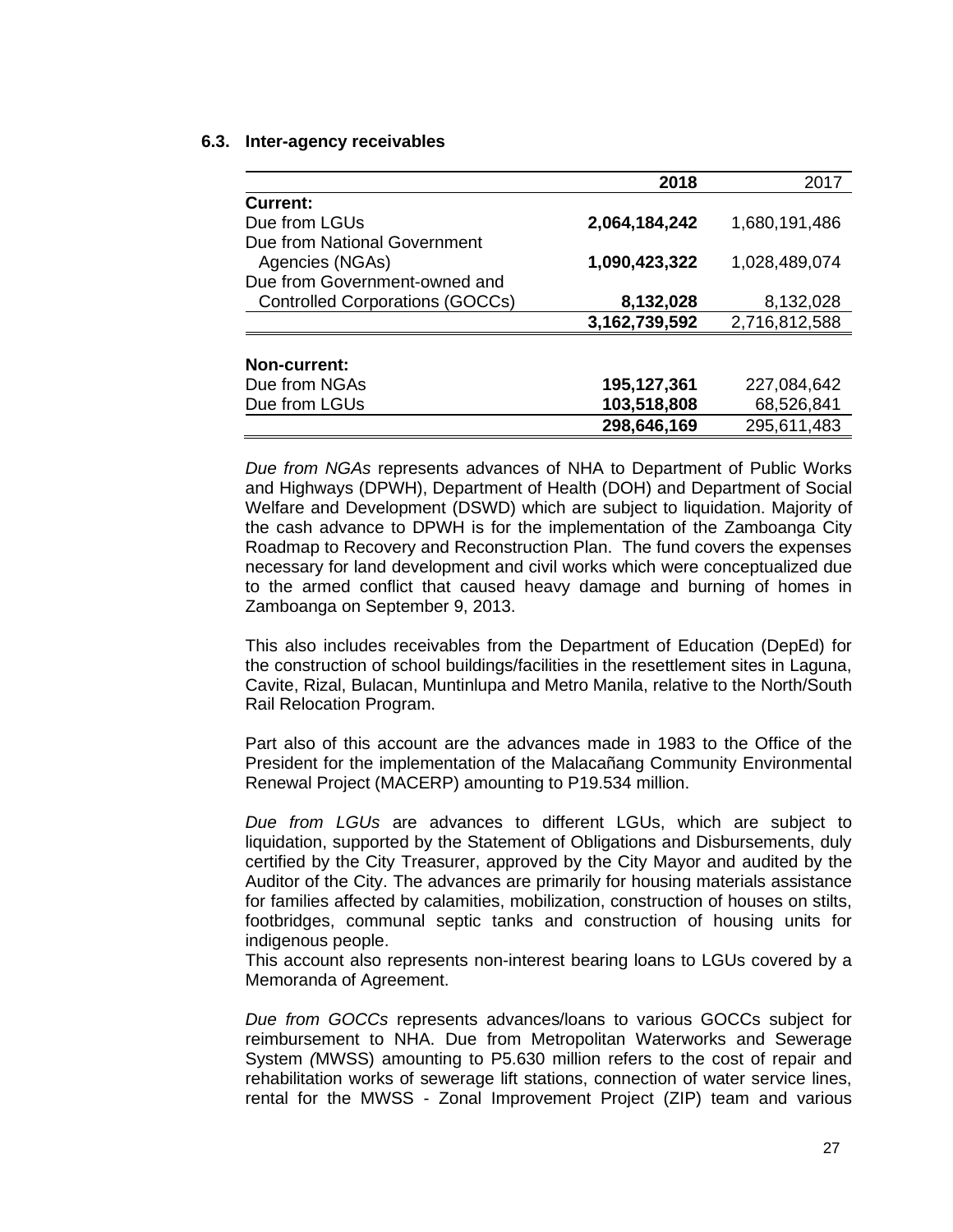#### **6.3. Inter-agency receivables**

|                                        | 2018          | 2017          |
|----------------------------------------|---------------|---------------|
| Current:                               |               |               |
| Due from LGUs                          | 2,064,184,242 | 1,680,191,486 |
| Due from National Government           |               |               |
| Agencies (NGAs)                        | 1,090,423,322 | 1,028,489,074 |
| Due from Government-owned and          |               |               |
| <b>Controlled Corporations (GOCCs)</b> | 8,132,028     | 8,132,028     |
|                                        | 3,162,739,592 | 2,716,812,588 |
|                                        |               |               |
| <b>Non-current:</b>                    |               |               |
| Due from NGAs                          | 195,127,361   | 227,084,642   |
| Due from LGUs                          | 103,518,808   | 68,526,841    |
|                                        | 298.646.169   | 295,611,483   |

*Due from NGAs* represents advances of NHA to Department of Public Works and Highways (DPWH), Department of Health (DOH) and Department of Social Welfare and Development (DSWD) which are subject to liquidation. Majority of the cash advance to DPWH is for the implementation of the Zamboanga City Roadmap to Recovery and Reconstruction Plan. The fund covers the expenses necessary for land development and civil works which were conceptualized due to the armed conflict that caused heavy damage and burning of homes in Zamboanga on September 9, 2013.

This also includes receivables from the Department of Education (DepEd) for the construction of school buildings/facilities in the resettlement sites in Laguna, Cavite, Rizal, Bulacan, Muntinlupa and Metro Manila, relative to the North/South Rail Relocation Program.

Part also of this account are the advances made in 1983 to the Office of the President for the implementation of the Malacañang Community Environmental Renewal Project (MACERP) amounting to P19.534 million.

*Due from LGUs* are advances to different LGUs, which are subject to liquidation, supported by the Statement of Obligations and Disbursements, duly certified by the City Treasurer, approved by the City Mayor and audited by the Auditor of the City. The advances are primarily for housing materials assistance for families affected by calamities, mobilization, construction of houses on stilts, footbridges, communal septic tanks and construction of housing units for indigenous people.

This account also represents non-interest bearing loans to LGUs covered by a Memoranda of Agreement.

*Due from GOCCs* represents advances/loans to various GOCCs subject for reimbursement to NHA. Due from Metropolitan Waterworks and Sewerage System *(*MWSS) amounting to P5.630 million refers to the cost of repair and rehabilitation works of sewerage lift stations, connection of water service lines, rental for the MWSS - Zonal Improvement Project (ZIP) team and various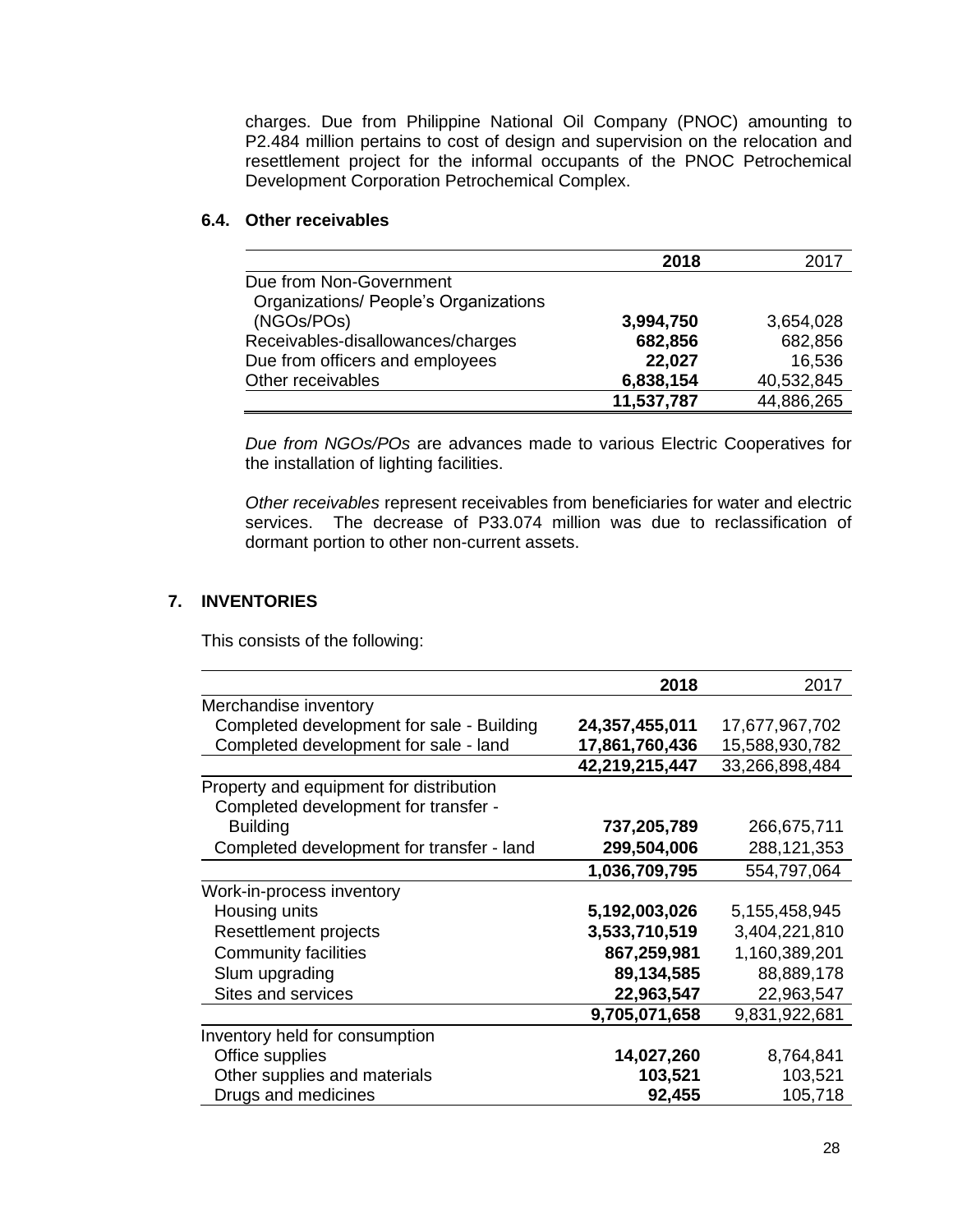charges. Due from Philippine National Oil Company (PNOC) amounting to P2.484 million pertains to cost of design and supervision on the relocation and resettlement project for the informal occupants of the PNOC Petrochemical Development Corporation Petrochemical Complex.

### **6.4. Other receivables**

|                                       | 2018       | 2017       |
|---------------------------------------|------------|------------|
| Due from Non-Government               |            |            |
| Organizations/ People's Organizations |            |            |
| (NGOs/POs)                            | 3,994,750  | 3,654,028  |
| Receivables-disallowances/charges     | 682,856    | 682,856    |
| Due from officers and employees       | 22,027     | 16,536     |
| Other receivables                     | 6,838,154  | 40,532,845 |
|                                       | 11,537,787 | 44,886,265 |

*Due from NGOs/POs* are advances made to various Electric Cooperatives for the installation of lighting facilities.

*Other receivables* represent receivables from beneficiaries for water and electric services. The decrease of P33.074 million was due to reclassification of dormant portion to other non-current assets.

# **7. INVENTORIES**

This consists of the following:

|                                           | 2018           | 2017           |
|-------------------------------------------|----------------|----------------|
| Merchandise inventory                     |                |                |
| Completed development for sale - Building | 24,357,455,011 | 17,677,967,702 |
| Completed development for sale - land     | 17,861,760,436 | 15,588,930,782 |
|                                           | 42,219,215,447 | 33,266,898,484 |
| Property and equipment for distribution   |                |                |
| Completed development for transfer -      |                |                |
| <b>Building</b>                           | 737,205,789    | 266,675,711    |
| Completed development for transfer - land | 299,504,006    | 288,121,353    |
|                                           | 1,036,709,795  | 554,797,064    |
| Work-in-process inventory                 |                |                |
| Housing units                             | 5,192,003,026  | 5,155,458,945  |
| Resettlement projects                     | 3,533,710,519  | 3,404,221,810  |
| <b>Community facilities</b>               | 867,259,981    | 1,160,389,201  |
| Slum upgrading                            | 89,134,585     | 88,889,178     |
| Sites and services                        | 22,963,547     | 22,963,547     |
|                                           | 9,705,071,658  | 9,831,922,681  |
| Inventory held for consumption            |                |                |
| Office supplies                           | 14,027,260     | 8,764,841      |
| Other supplies and materials              | 103,521        | 103,521        |
| Drugs and medicines                       | 92,455         | 105,718        |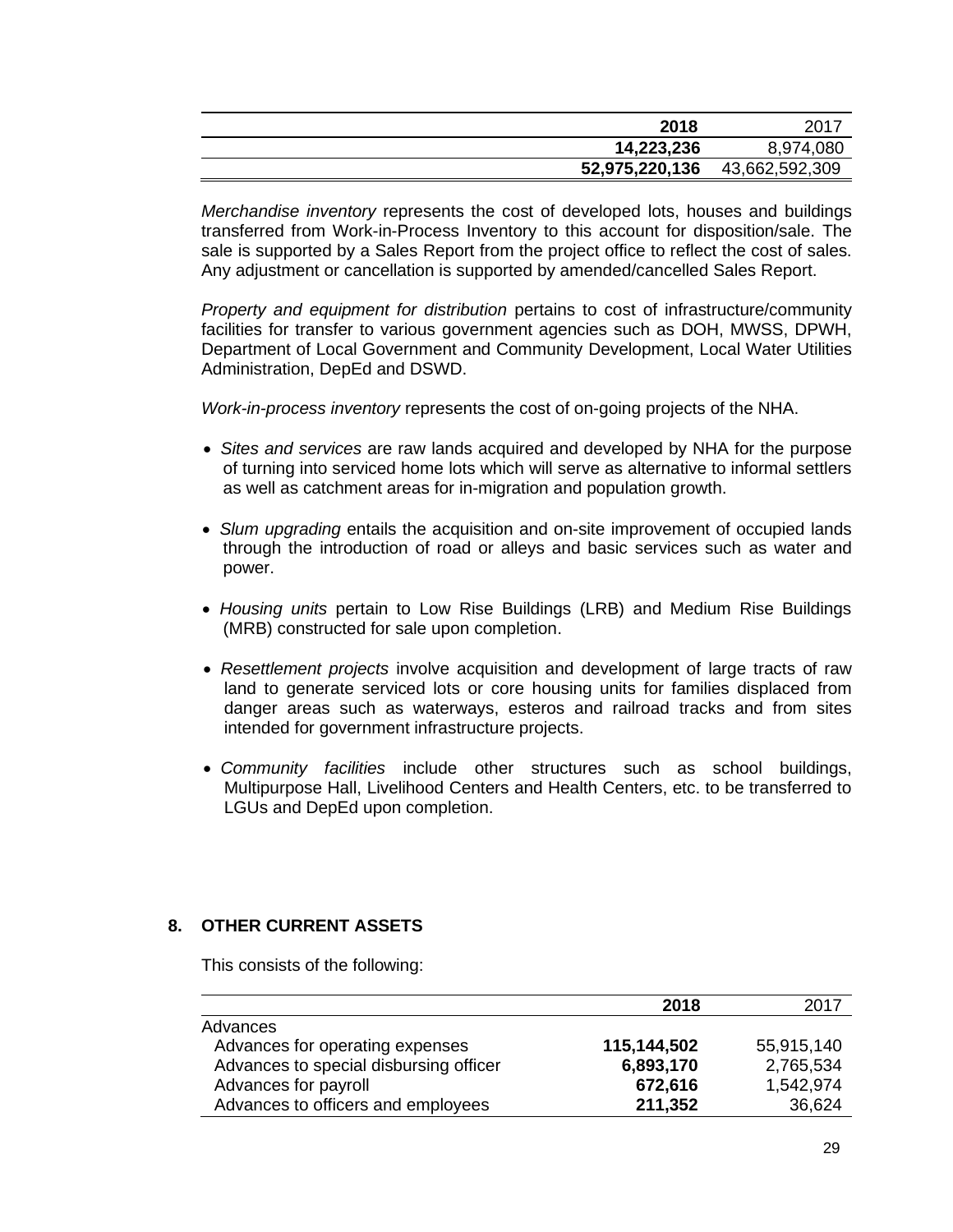| 2018           | - 2017         |
|----------------|----------------|
| 14,223,236     | 8,974,080      |
| 52,975,220,136 | 43,662,592,309 |

*Merchandise inventory* represents the cost of developed lots, houses and buildings transferred from Work-in-Process Inventory to this account for disposition/sale. The sale is supported by a Sales Report from the project office to reflect the cost of sales. Any adjustment or cancellation is supported by amended/cancelled Sales Report.

*Property and equipment for distribution* pertains to cost of infrastructure/community facilities for transfer to various government agencies such as DOH, MWSS, DPWH, Department of Local Government and Community Development, Local Water Utilities Administration, DepEd and DSWD.

*Work-in-process inventory* represents the cost of on-going projects of the NHA.

- • *Sites and services* are raw lands acquired and developed by NHA for the purpose of turning into serviced home lots which will serve as alternative to informal settlers as well as catchment areas for in-migration and population growth.
- • *Slum upgrading* entails the acquisition and on-site improvement of occupied lands through the introduction of road or alleys and basic services such as water and power.
- • *Housing units* pertain to Low Rise Buildings (LRB) and Medium Rise Buildings (MRB) constructed for sale upon completion.
- • *Resettlement projects* involve acquisition and development of large tracts of raw land to generate serviced lots or core housing units for families displaced from danger areas such as waterways, esteros and railroad tracks and from sites intended for government infrastructure projects.
- • *Community facilities* include other structures such as school buildings, Multipurpose Hall, Livelihood Centers and Health Centers, etc. to be transferred to LGUs and DepEd upon completion.

# **8. OTHER CURRENT ASSETS**

This consists of the following:

|                                        | 2018        | 2017       |
|----------------------------------------|-------------|------------|
| Advances                               |             |            |
| Advances for operating expenses        | 115,144,502 | 55,915,140 |
| Advances to special disbursing officer | 6,893,170   | 2,765,534  |
| Advances for payroll                   | 672,616     | 1,542,974  |
| Advances to officers and employees     | 211,352     | 36,624     |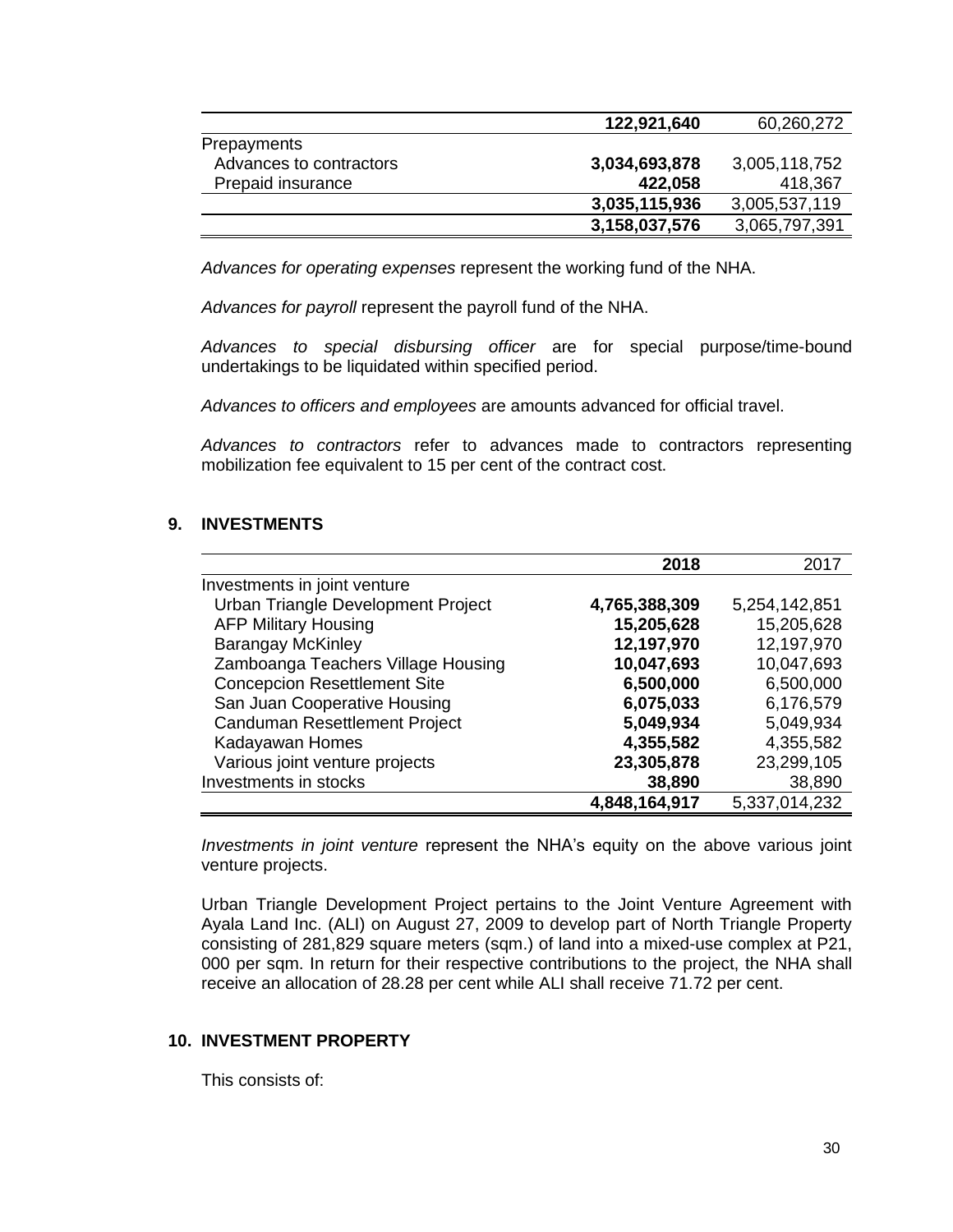|                         | 122,921,640   | 60,260,272    |
|-------------------------|---------------|---------------|
| Prepayments             |               |               |
| Advances to contractors | 3,034,693,878 | 3,005,118,752 |
| Prepaid insurance       | 422,058       | 418,367       |
|                         | 3,035,115,936 | 3,005,537,119 |
|                         | 3,158,037,576 | 3,065,797,391 |

 *Advances for operating expenses* represent the working fund of the NHA.

 *Advances for payroll* represent the payroll fund of the NHA.

*Advances to special disbursing officer* are for special purpose/time-bound undertakings to be liquidated within specified period.

*Advances to officers and employees* are amounts advanced for official travel.

*Advances to contractors* refer to advances made to contractors representing mobilization fee equivalent to 15 per cent of the contract cost.

### **9. INVESTMENTS**

|                                     | 2018          | 2017          |
|-------------------------------------|---------------|---------------|
| Investments in joint venture        |               |               |
| Urban Triangle Development Project  | 4,765,388,309 | 5,254,142,851 |
| <b>AFP Military Housing</b>         | 15,205,628    | 15,205,628    |
| <b>Barangay McKinley</b>            | 12,197,970    | 12,197,970    |
| Zamboanga Teachers Village Housing  | 10,047,693    | 10,047,693    |
| <b>Concepcion Resettlement Site</b> | 6,500,000     | 6,500,000     |
| San Juan Cooperative Housing        | 6,075,033     | 6,176,579     |
| Canduman Resettlement Project       | 5,049,934     | 5,049,934     |
| Kadayawan Homes                     | 4,355,582     | 4,355,582     |
| Various joint venture projects      | 23,305,878    | 23,299,105    |
| Investments in stocks               | 38,890        | 38,890        |
|                                     | 4,848,164,917 | 5,337,014,232 |

*Investments in joint venture* represent the NHA's equity on the above various joint venture projects.

Urban Triangle Development Project pertains to the Joint Venture Agreement with Ayala Land Inc. (ALI) on August 27, 2009 to develop part of North Triangle Property consisting of 281,829 square meters (sqm.) of land into a mixed-use complex at P21, 000 per sqm. In return for their respective contributions to the project, the NHA shall receive an allocation of 28.28 per cent while ALI shall receive 71.72 per cent.

#### **10. INVESTMENT PROPERTY**

This consists of: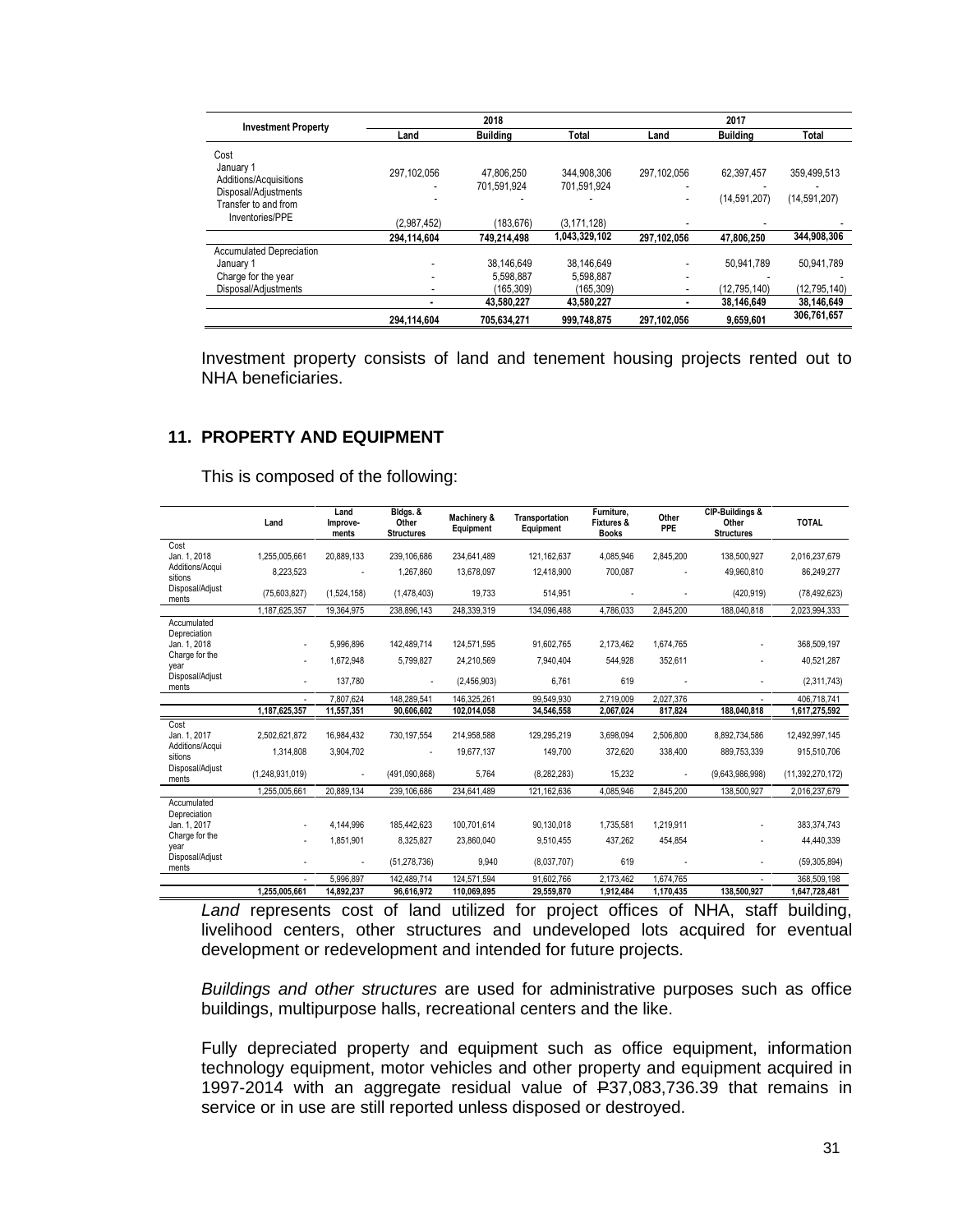| <b>Investment Property</b>                                          |                | 2018                      |                            | 2017        |                 |                |
|---------------------------------------------------------------------|----------------|---------------------------|----------------------------|-------------|-----------------|----------------|
|                                                                     | Land           | Building                  | Total                      | Land        | <b>Building</b> | Total          |
| Cost<br>January 1<br>Additions/Acquisitions<br>Disposal/Adjustments | 297.102.056    | 47.806.250<br>701.591.924 | 344.908.306<br>701.591.924 | 297.102.056 | 62.397.457      | 359,499,513    |
| Transfer to and from<br>Inventories/PPE                             | (2.987.452)    | (183, 676)                | (3.171.128)                |             | (14,591,207)    | (14,591,207)   |
|                                                                     | 294.114.604    | 749.214.498               | 1,043,329,102              | 297,102,056 | 47.806.250      | 344,908,306    |
| <b>Accumulated Depreciation</b>                                     |                |                           |                            |             |                 |                |
| January 1<br>Charge for the year                                    | ٠              | 38.146.649<br>5.598.887   | 38.146.649<br>5.598.887    | ۰           | 50.941.789      | 50.941.789     |
| Disposal/Adjustments                                                | $\blacksquare$ | (165, 309)                | (165.309)                  |             | (12,795,140)    | (12, 795, 140) |
|                                                                     |                | 43.580.227                | 43.580.227                 |             | 38.146.649      | 38.146.649     |
|                                                                     | 294.114.604    | 705.634.271               | 999.748.875                | 297,102,056 | 9,659,601       | 306,761,657    |

Investment property consists of land and tenement housing projects rented out to NHA beneficiaries.

### **11. PROPERTY AND EQUIPMENT**

This is composed of the following:

|                             | Land            | Land<br>Improve-<br>ments | Bldgs. &<br>Other<br><b>Structures</b> | Machinery &<br>Equipment | Transportation<br>Equipment | Furniture,<br><b>Fixtures &amp;</b><br><b>Books</b> | Other<br>PPE | CIP-Buildings &<br>Other<br><b>Structures</b> | <b>TOTAL</b>     |
|-----------------------------|-----------------|---------------------------|----------------------------------------|--------------------------|-----------------------------|-----------------------------------------------------|--------------|-----------------------------------------------|------------------|
| Cost<br>Jan. 1, 2018        | 1.255.005.661   | 20.889.133                | 239.106.686                            | 234.641.489              | 121.162.637                 | 4.085.946                                           | 2,845,200    | 138.500.927                                   | 2,016,237,679    |
| Additions/Acqui<br>sitions  | 8,223,523       |                           | 1,267,860                              | 13,678,097               | 12,418,900                  | 700,087                                             |              | 49,960,810                                    | 86,249,277       |
| Disposal/Adjust<br>ments    | (75,603,827)    | (1,524,158)               | (1,478,403)                            | 19,733                   | 514,951                     |                                                     |              | (420, 919)                                    | (78, 492, 623)   |
|                             | 1,187,625,357   | 19,364,975                | 238,896,143                            | 248,339,319              | 134,096,488                 | 4,786,033                                           | 2,845,200    | 188,040,818                                   | 2,023,994,333    |
| Accumulated<br>Depreciation |                 |                           |                                        |                          |                             |                                                     |              |                                               |                  |
| Jan. 1, 2018                | ٠               | 5.996.896                 | 142.489.714                            | 124.571.595              | 91.602.765                  | 2.173.462                                           | 1,674,765    | ٠                                             | 368,509,197      |
| Charge for the<br>vear      |                 | 1,672,948                 | 5,799,827                              | 24.210.569               | 7.940.404                   | 544.928                                             | 352,611      | ٠                                             | 40,521,287       |
| Disposal/Adjust<br>ments    | ٠               | 137,780                   | $\blacksquare$                         | (2,456,903)              | 6,761                       | 619                                                 |              | ٠                                             | (2,311,743)      |
|                             |                 | 7.807.624                 | 148.289.541                            | 146,325,261              | 99,549,930                  | 2,719,009                                           | 2,027,376    |                                               | 406,718,741      |
|                             | 1,187,625,357   | 11,557,351                | 90,606,602                             | 102,014,058              | 34,546,558                  | 2,067,024                                           | 817,824      | 188,040,818                                   | 1,617,275,592    |
| Cost<br>Jan. 1, 2017        | 2,502,621,872   | 16,984,432                | 730,197,554                            | 214,958,588              | 129,295,219                 | 3,698,094                                           | 2,506,800    | 8,892,734,586                                 | 12,492,997,145   |
| Additions/Acqui<br>sitions  | 1.314.808       | 3,904,702                 | ä,                                     | 19.677.137               | 149.700                     | 372.620                                             | 338,400      | 889.753.339                                   | 915,510,706      |
| Disposal/Adjust<br>ments    | (1,248,931,019) | $\blacksquare$            | (491,090,868)                          | 5.764                    | (8, 282, 283)               | 15,232                                              |              | (9,643,986,998)                               | (11,392,270,172) |
|                             | 1.255.005.661   | 20.889.134                | 239,106,686                            | 234,641,489              | 121.162.636                 | 4,085,946                                           | 2,845,200    | 138,500,927                                   | 2,016,237,679    |
| Accumulated<br>Depreciation |                 |                           |                                        |                          |                             |                                                     |              |                                               |                  |
| Jan. 1, 2017                |                 | 4,144,996                 | 185,442,623                            | 100,701,614              | 90,130,018                  | 1,735,581                                           | 1,219,911    |                                               | 383,374,743      |
| Charge for the<br>year      |                 | 1,851,901                 | 8,325,827                              | 23,860,040               | 9,510,455                   | 437,262                                             | 454,854      |                                               | 44,440,339       |
| Disposal/Adjust<br>ments    |                 |                           | (51, 278, 736)                         | 9,940                    | (8,037,707)                 | 619                                                 |              | ٠                                             | (59, 305, 894)   |
|                             |                 | 5.996.897                 | 142,489,714                            | 124,571,594              | 91,602,766                  | 2,173,462                                           | 1,674,765    |                                               | 368,509,198      |
|                             | 1.255.005.661   | 14,892,237                | 96,616,972                             | 110,069,895              | 29,559,870                  | 1,912,484                                           | 1.170.435    | 138.500.927                                   | 1,647,728,481    |

Land represents cost of land utilized for project offices of NHA, staff building, livelihood centers, other structures and undeveloped lots acquired for eventual development or redevelopment and intended for future projects.

*Buildings and other structures* are used for administrative purposes such as office buildings, multipurpose halls, recreational centers and the like.

Fully depreciated property and equipment such as office equipment, information technology equipment, motor vehicles and other property and equipment acquired in 1997-2014 with an aggregate residual value of P37,083,736.39 that remains in service or in use are still reported unless disposed or destroyed.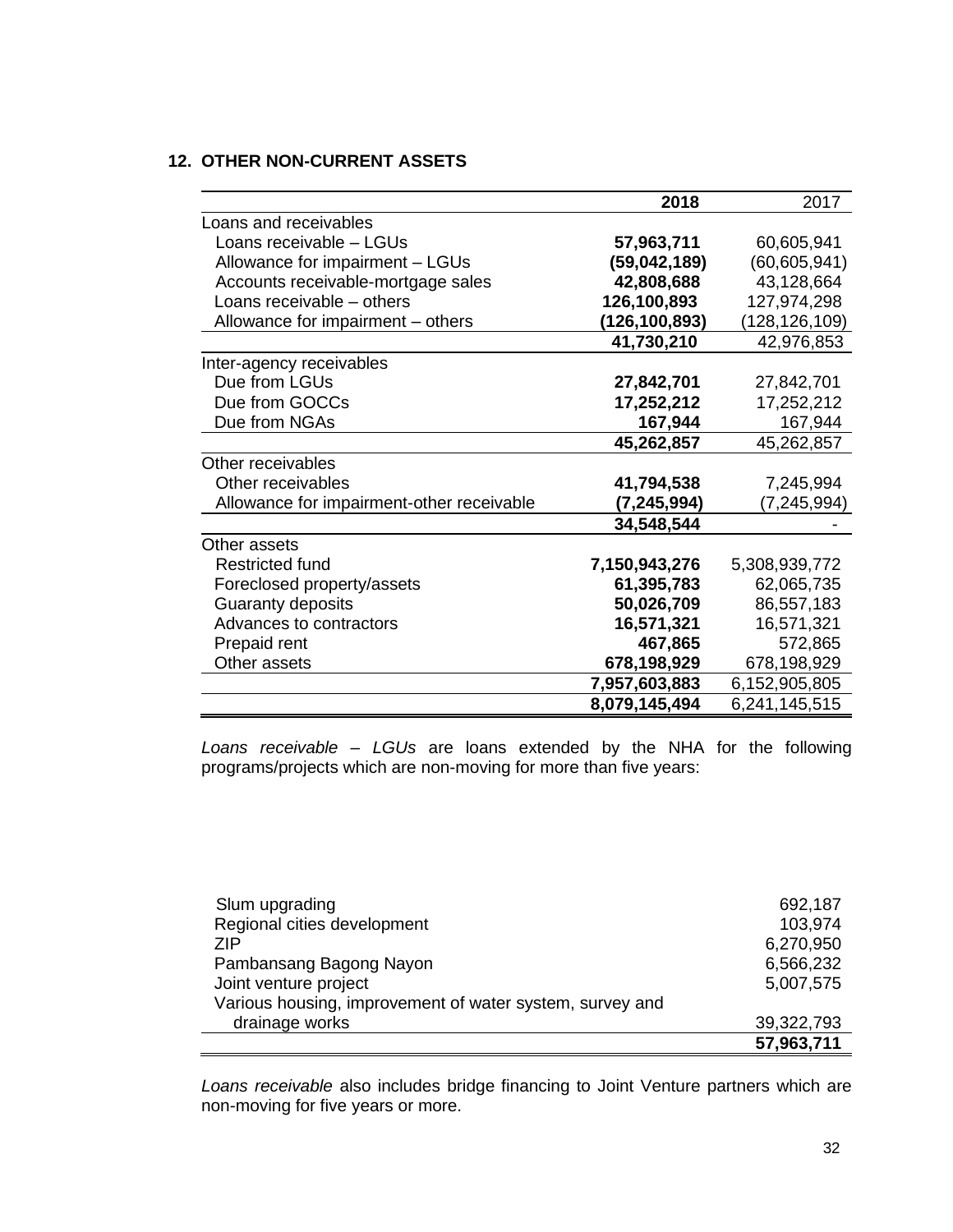### **12. OTHER NON-CURRENT ASSETS**

|                                           | 2018           | 2017            |
|-------------------------------------------|----------------|-----------------|
| Loans and receivables                     |                |                 |
| Loans receivable - LGUs                   | 57,963,711     | 60,605,941      |
| Allowance for impairment - LGUs           | (59, 042, 189) | (60, 605, 941)  |
| Accounts receivable-mortgage sales        | 42,808,688     | 43,128,664      |
| Loans receivable - others                 | 126,100,893    | 127,974,298     |
| Allowance for impairment - others         | (126,100,893)  | (128, 126, 109) |
|                                           | 41,730,210     | 42,976,853      |
| Inter-agency receivables                  |                |                 |
| Due from LGUs                             | 27,842,701     | 27,842,701      |
| Due from GOCCs                            | 17,252,212     | 17,252,212      |
| Due from NGAs                             | 167,944        | 167,944         |
|                                           | 45,262,857     | 45,262,857      |
| Other receivables                         |                |                 |
| Other receivables                         | 41,794,538     | 7,245,994       |
| Allowance for impairment-other receivable | (7, 245, 994)  | (7, 245, 994)   |
|                                           | 34,548,544     |                 |
| Other assets                              |                |                 |
| <b>Restricted fund</b>                    | 7,150,943,276  | 5,308,939,772   |
| Foreclosed property/assets                | 61,395,783     | 62,065,735      |
| Guaranty deposits                         | 50,026,709     | 86,557,183      |
| Advances to contractors                   | 16,571,321     | 16,571,321      |
| Prepaid rent                              | 467,865        | 572,865         |
| Other assets                              | 678,198,929    | 678,198,929     |
|                                           | 7,957,603,883  | 6,152,905,805   |
|                                           | 8,079,145,494  | 6,241,145,515   |

 *Loans receivable – LGUs* are loans extended by the NHA for the following programs/projects which are non-moving for more than five years:

| Slum upgrading                                           | 692,187    |
|----------------------------------------------------------|------------|
| Regional cities development                              | 103,974    |
| 7IP                                                      | 6,270,950  |
| Pambansang Bagong Nayon                                  | 6,566,232  |
| Joint venture project                                    | 5,007,575  |
| Various housing, improvement of water system, survey and |            |
| drainage works                                           | 39,322,793 |
|                                                          | 57,963,711 |

*Loans receivable* also includes bridge financing to Joint Venture partners which are non-moving for five years or more.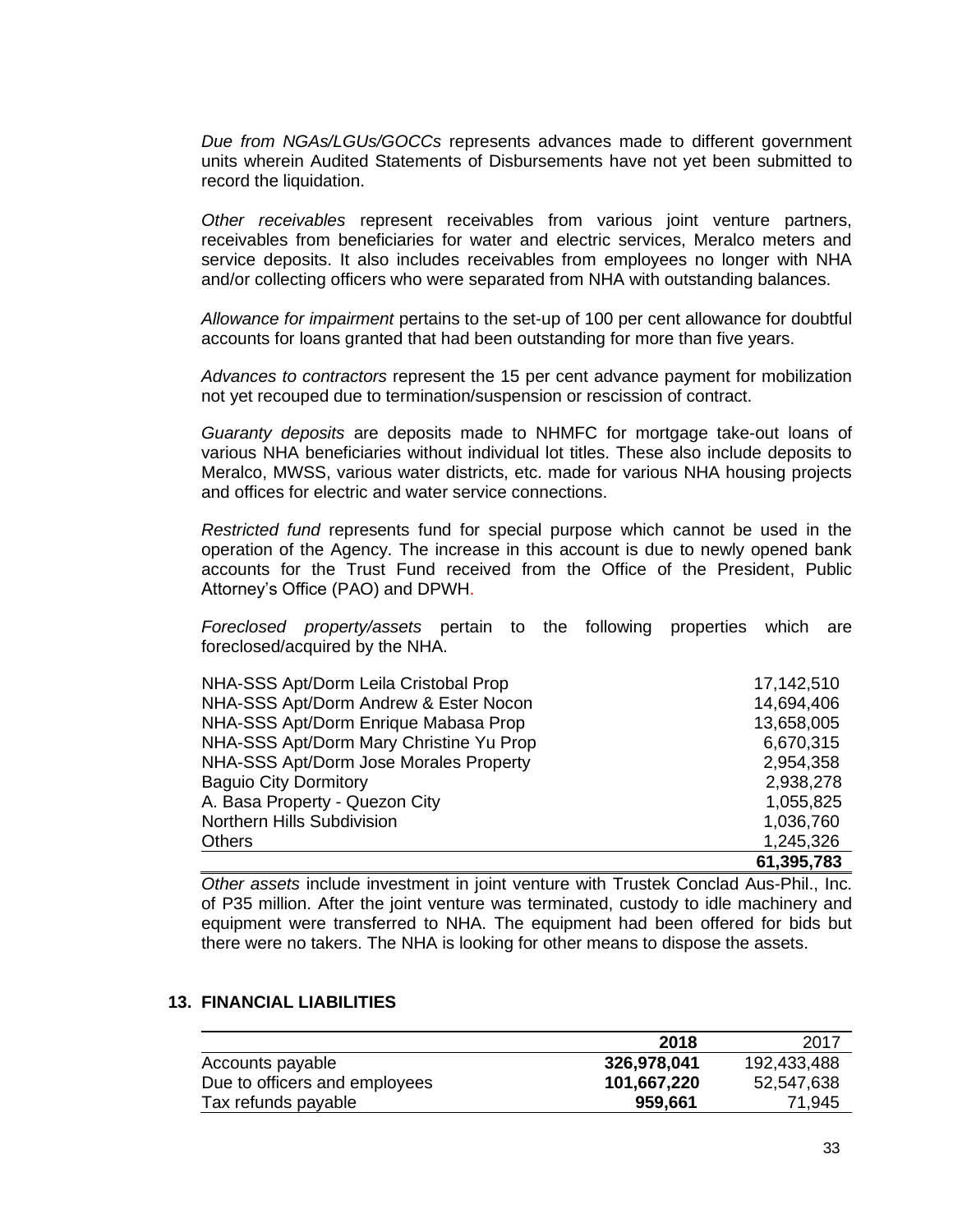*Due from NGAs/LGUs/GOCCs* represents advances made to different government units wherein Audited Statements of Disbursements have not yet been submitted to record the liquidation.

*Other receivables* represent receivables from various joint venture partners, receivables from beneficiaries for water and electric services, Meralco meters and service deposits. It also includes receivables from employees no longer with NHA and/or collecting officers who were separated from NHA with outstanding balances.

*Allowance for impairment* pertains to the set-up of 100 per cent allowance for doubtful accounts for loans granted that had been outstanding for more than five years.

*Advances to contractors* represent the 15 per cent advance payment for mobilization not yet recouped due to termination/suspension or rescission of contract.

*Guaranty deposits* are deposits made to NHMFC for mortgage take-out loans of various NHA beneficiaries without individual lot titles. These also include deposits to Meralco, MWSS, various water districts, etc. made for various NHA housing projects and offices for electric and water service connections.

*Restricted fund* represents fund for special purpose which cannot be used in the operation of the Agency. The increase in this account is due to newly opened bank accounts for the Trust Fund received from the Office of the President, Public Attorney's Office (PAO) and DPWH.

*Foreclosed property/assets* pertain to the following properties which are foreclosed/acquired by the NHA.

| NHA-SSS Apt/Dorm Leila Cristobal Prop   | 17,142,510 |
|-----------------------------------------|------------|
| NHA-SSS Apt/Dorm Andrew & Ester Nocon   | 14,694,406 |
| NHA-SSS Apt/Dorm Enrique Mabasa Prop    | 13,658,005 |
| NHA-SSS Apt/Dorm Mary Christine Yu Prop | 6,670,315  |
| NHA-SSS Apt/Dorm Jose Morales Property  | 2,954,358  |
| <b>Baguio City Dormitory</b>            | 2,938,278  |
| A. Basa Property - Quezon City          | 1,055,825  |
| <b>Northern Hills Subdivision</b>       | 1,036,760  |
| <b>Others</b>                           | 1,245,326  |
|                                         | 61,395,783 |

*Other assets* include investment in joint venture with Trustek Conclad Aus-Phil., Inc. of P35 million. After the joint venture was terminated, custody to idle machinery and equipment were transferred to NHA. The equipment had been offered for bids but there were no takers. The NHA is looking for other means to dispose the assets.

### **13. FINANCIAL LIABILITIES**

|                               | 2018        | 2017        |
|-------------------------------|-------------|-------------|
| Accounts payable              | 326,978,041 | 192,433,488 |
| Due to officers and employees | 101,667,220 | 52,547,638  |
| Tax refunds payable           | 959,661     | 71.945      |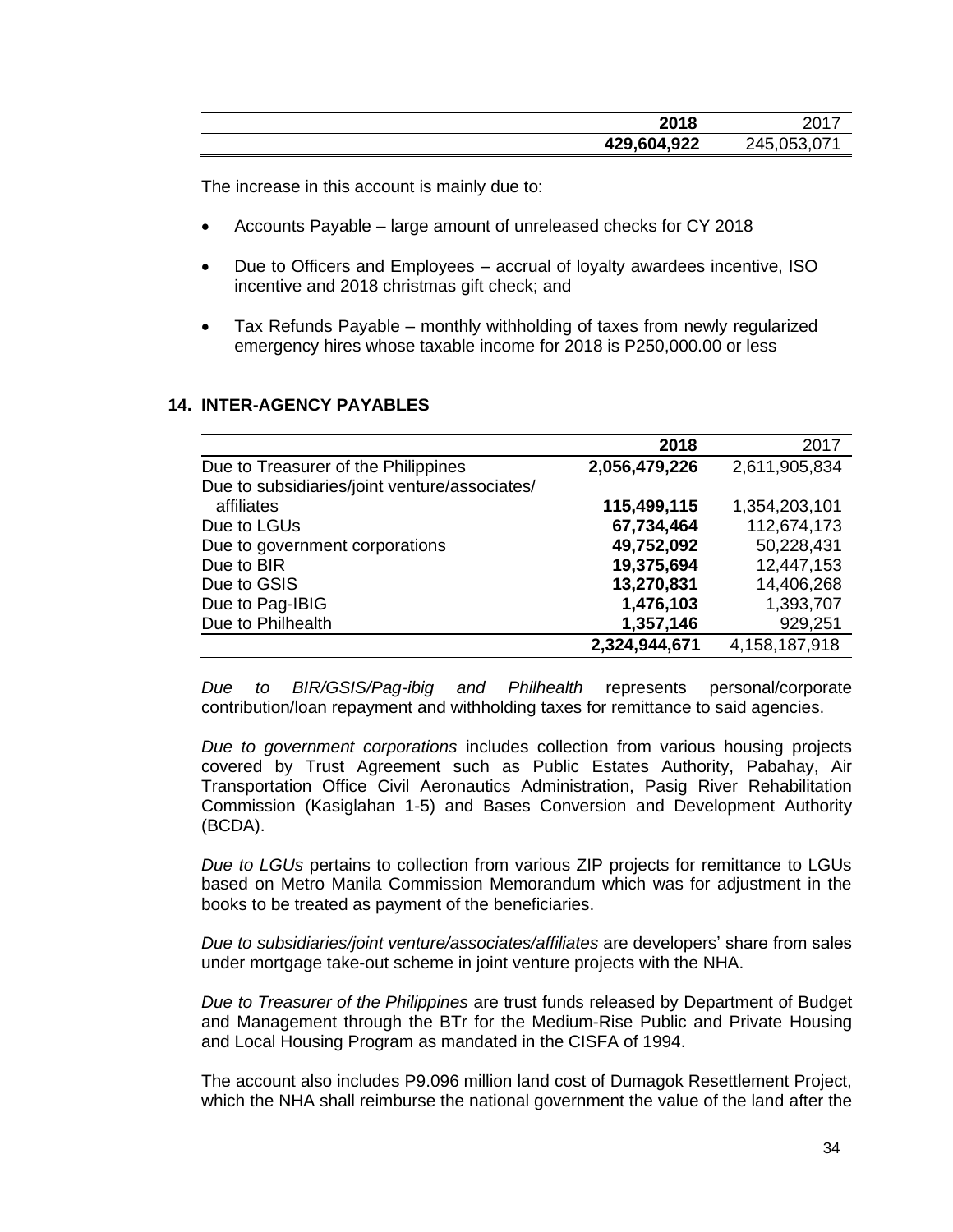| 2018        | ה מר<br>ZU I. |
|-------------|---------------|
| 429,604,922 | 245,053,071   |

The increase in this account is mainly due to:

- Accounts Payable large amount of unreleased checks for CY 2018
- Due to Officers and Employees accrual of loyalty awardees incentive, ISO incentive and 2018 christmas gift check; and
- Tax Refunds Payable monthly withholding of taxes from newly regularized emergency hires whose taxable income for 2018 is P250,000.00 or less

### **2018** 2017 Due to Treasurer of the Philippines **2,056,479,226** 2,611,905,834 Due to subsidiaries/joint venture/associates/ affiliates **115,499,115** 1,354,203,101 Due to LGUs **67,734,464** 112,674,173 Due to government corporations **49,752,092** 50,228,431 Due to BIR **19,375,694** 12,447,153 Due to GSIS **13,270,831** 14,406,268 Due to Pag-IBIG **1,476,103** 1,393,707 Due to Philhealth **1,357,146** 929,251  **2,324,944,671** 4,158,187,918

# **14. INTER-AGENCY PAYABLES**

*Due to BIR/GSIS/Pag-ibig and Philhealth* represents personal/corporate contribution/loan repayment and withholding taxes for remittance to said agencies.

*Due to government corporations* includes collection from various housing projects covered by Trust Agreement such as Public Estates Authority, Pabahay, Air Transportation Office Civil Aeronautics Administration, Pasig River Rehabilitation Commission (Kasiglahan 1-5) and Bases Conversion and Development Authority (BCDA).

*Due to LGUs* pertains to collection from various ZIP projects for remittance to LGUs based on Metro Manila Commission Memorandum which was for adjustment in the books to be treated as payment of the beneficiaries.

*Due to subsidiaries/joint venture/associates/affiliates* are developers' share from sales under mortgage take-out scheme in joint venture projects with the NHA.

*Due to Treasurer of the Philippines* are trust funds released by Department of Budget and Management through the BTr for the Medium-Rise Public and Private Housing and Local Housing Program as mandated in the CISFA of 1994.

The account also includes P9.096 million land cost of Dumagok Resettlement Project, which the NHA shall reimburse the national government the value of the land after the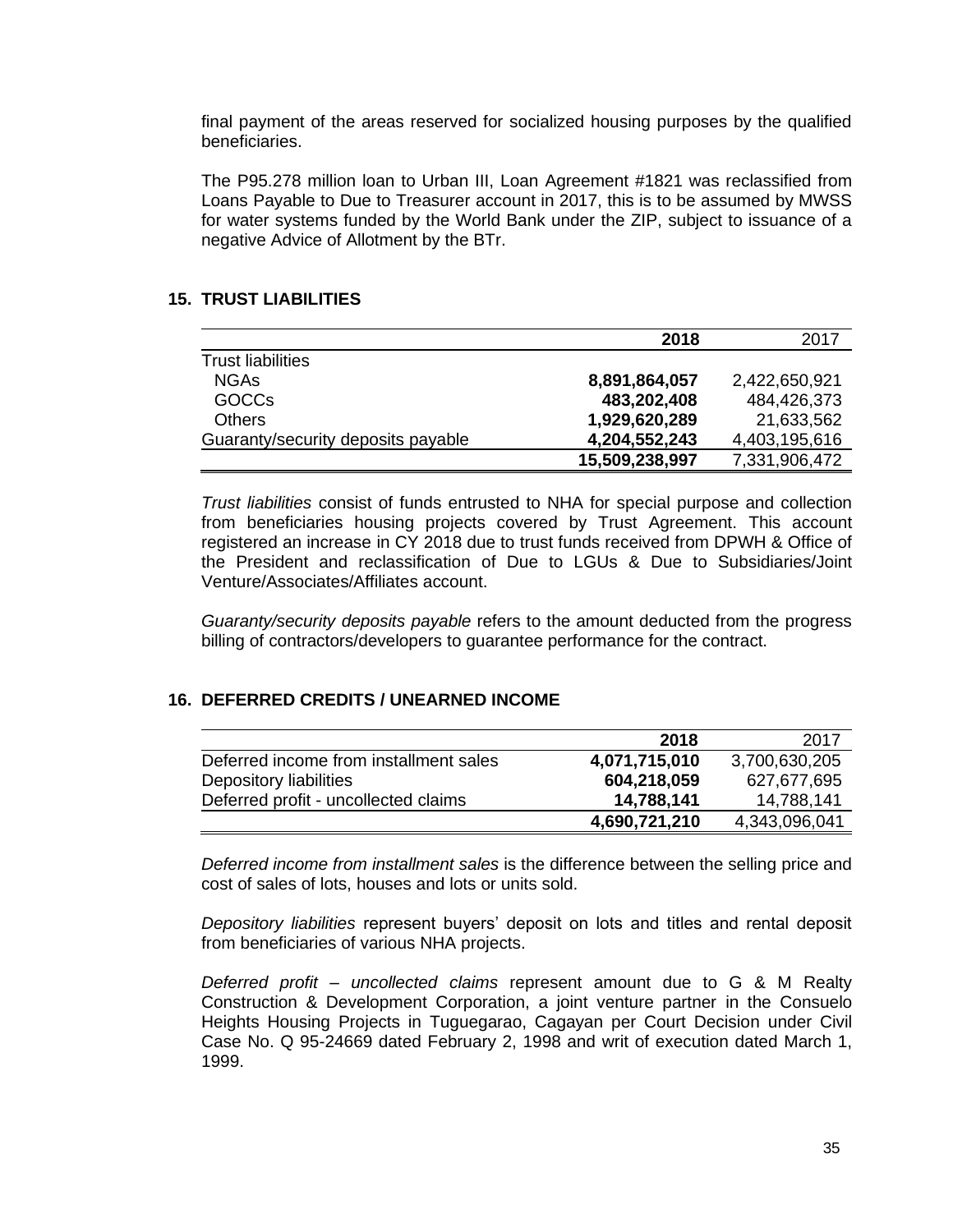final payment of the areas reserved for socialized housing purposes by the qualified beneficiaries.

The P95.278 million loan to Urban III, Loan Agreement #1821 was reclassified from Loans Payable to Due to Treasurer account in 2017, this is to be assumed by MWSS for water systems funded by the World Bank under the ZIP, subject to issuance of a negative Advice of Allotment by the BTr.

# **15. TRUST LIABILITIES**

|                                    | 2018           | 2017          |
|------------------------------------|----------------|---------------|
| <b>Trust liabilities</b>           |                |               |
| <b>NGAs</b>                        | 8,891,864,057  | 2,422,650,921 |
| <b>GOCCs</b>                       | 483,202,408    | 484,426,373   |
| <b>Others</b>                      | 1,929,620,289  | 21,633,562    |
| Guaranty/security deposits payable | 4,204,552,243  | 4,403,195,616 |
|                                    | 15,509,238,997 | 7,331,906,472 |

*Trust liabilities* consist of funds entrusted to NHA for special purpose and collection from beneficiaries housing projects covered by Trust Agreement. This account registered an increase in CY 2018 due to trust funds received from DPWH & Office of the President and reclassification of Due to LGUs & Due to Subsidiaries/Joint Venture/Associates/Affiliates account.

*Guaranty/security deposits payable* refers to the amount deducted from the progress billing of contractors/developers to guarantee performance for the contract.

### **16. DEFERRED CREDITS / UNEARNED INCOME**

|                                        | 2018          | 2017          |
|----------------------------------------|---------------|---------------|
| Deferred income from installment sales | 4,071,715,010 | 3,700,630,205 |
| Depository liabilities                 | 604,218,059   | 627,677,695   |
| Deferred profit - uncollected claims   | 14,788,141    | 14,788,141    |
|                                        | 4,690,721,210 | 4,343,096,041 |

*Deferred income from installment sales* is the difference between the selling price and cost of sales of lots, houses and lots or units sold.

*Depository liabilities* represent buyers' deposit on lots and titles and rental deposit from beneficiaries of various NHA projects.

*Deferred profit – uncollected claims* represent amount due to G & M Realty Construction & Development Corporation, a joint venture partner in the Consuelo Heights Housing Projects in Tuguegarao, Cagayan per Court Decision under Civil Case No. Q 95-24669 dated February 2, 1998 and writ of execution dated March 1, 1999.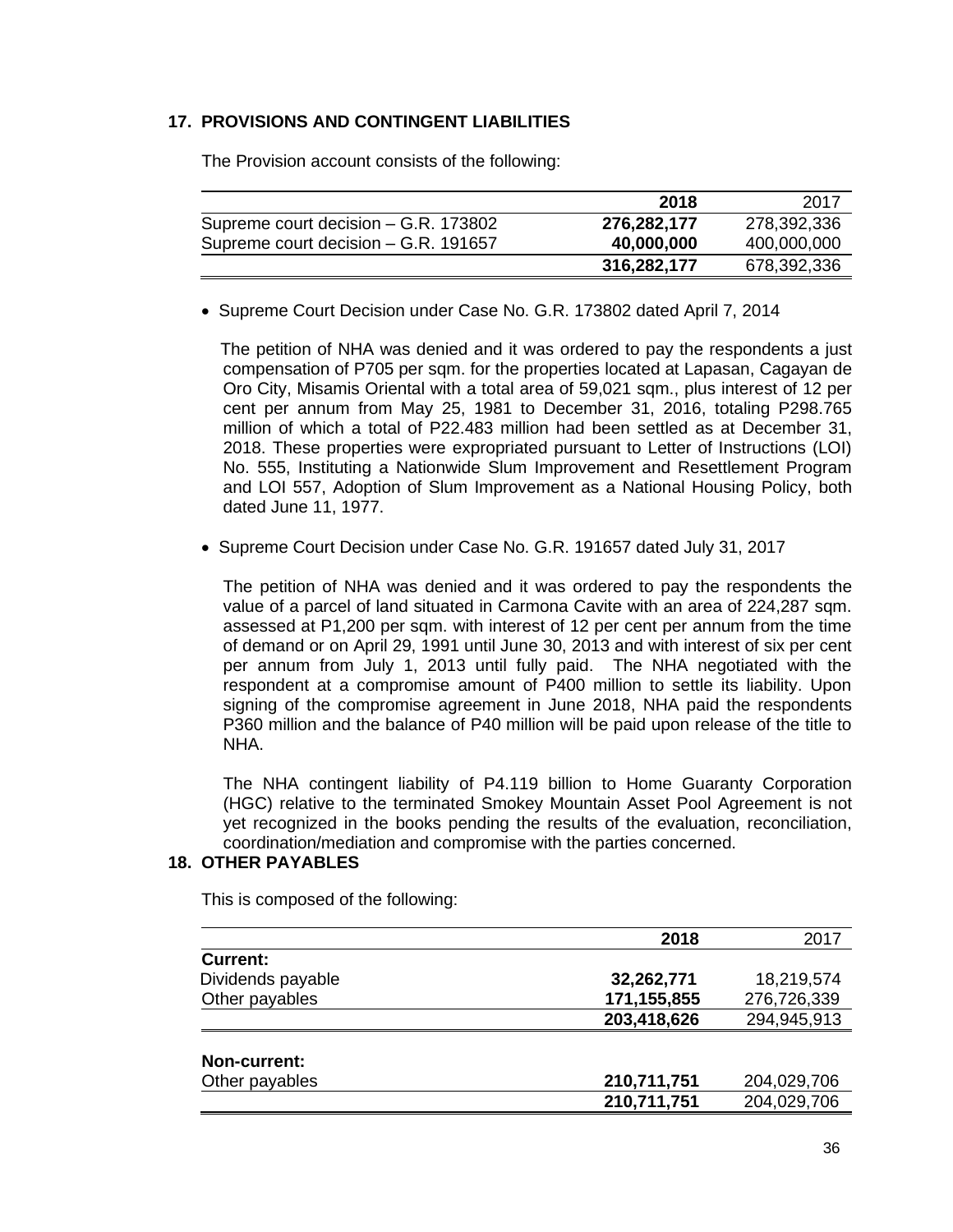### **17. PROVISIONS AND CONTINGENT LIABILITIES**

|                                      | 2018        | 2017        |
|--------------------------------------|-------------|-------------|
| Supreme court decision – G.R. 173802 | 276,282,177 | 278,392,336 |
| Supreme court decision - G.R. 191657 | 40,000,000  | 400,000,000 |
|                                      | 316,282,177 | 678,392,336 |

The Provision account consists of the following:

• Supreme Court Decision under Case No. G.R. 173802 dated April 7, 2014

 The petition of NHA was denied and it was ordered to pay the respondents a just compensation of P705 per sqm. for the properties located at Lapasan, Cagayan de Oro City, Misamis Oriental with a total area of 59,021 sqm., plus interest of 12 per cent per annum from May 25, 1981 to December 31, 2016, totaling P298.765 million of which a total of P22.483 million had been settled as at December 31, 2018. These properties were expropriated pursuant to Letter of Instructions (LOI) No. 555, Instituting a Nationwide Slum Improvement and Resettlement Program and LOI 557, Adoption of Slum Improvement as a National Housing Policy, both dated June 11, 1977.

• Supreme Court Decision under Case No. G.R. 191657 dated July 31, 2017

The petition of NHA was denied and it was ordered to pay the respondents the value of a parcel of land situated in Carmona Cavite with an area of 224,287 sqm. assessed at P1,200 per sqm. with interest of 12 per cent per annum from the time of demand or on April 29, 1991 until June 30, 2013 and with interest of six per cent per annum from July 1, 2013 until fully paid. The NHA negotiated with the respondent at a compromise amount of P400 million to settle its liability. Upon signing of the compromise agreement in June 2018, NHA paid the respondents P360 million and the balance of P40 million will be paid upon release of the title to NHA.

The NHA contingent liability of P4.119 billion to Home Guaranty Corporation (HGC) relative to the terminated Smokey Mountain Asset Pool Agreement is not yet recognized in the books pending the results of the evaluation, reconciliation, coordination/mediation and compromise with the parties concerned.

#### **18. OTHER PAYABLES**

This is composed of the following:

|                     | 2018          | 2017        |
|---------------------|---------------|-------------|
| <b>Current:</b>     |               |             |
| Dividends payable   | 32,262,771    | 18,219,574  |
| Other payables      | 171, 155, 855 | 276,726,339 |
|                     | 203,418,626   | 294,945,913 |
|                     |               |             |
| <b>Non-current:</b> |               |             |
| Other payables      | 210,711,751   | 204,029,706 |
|                     | 210,711,751   | 204,029,706 |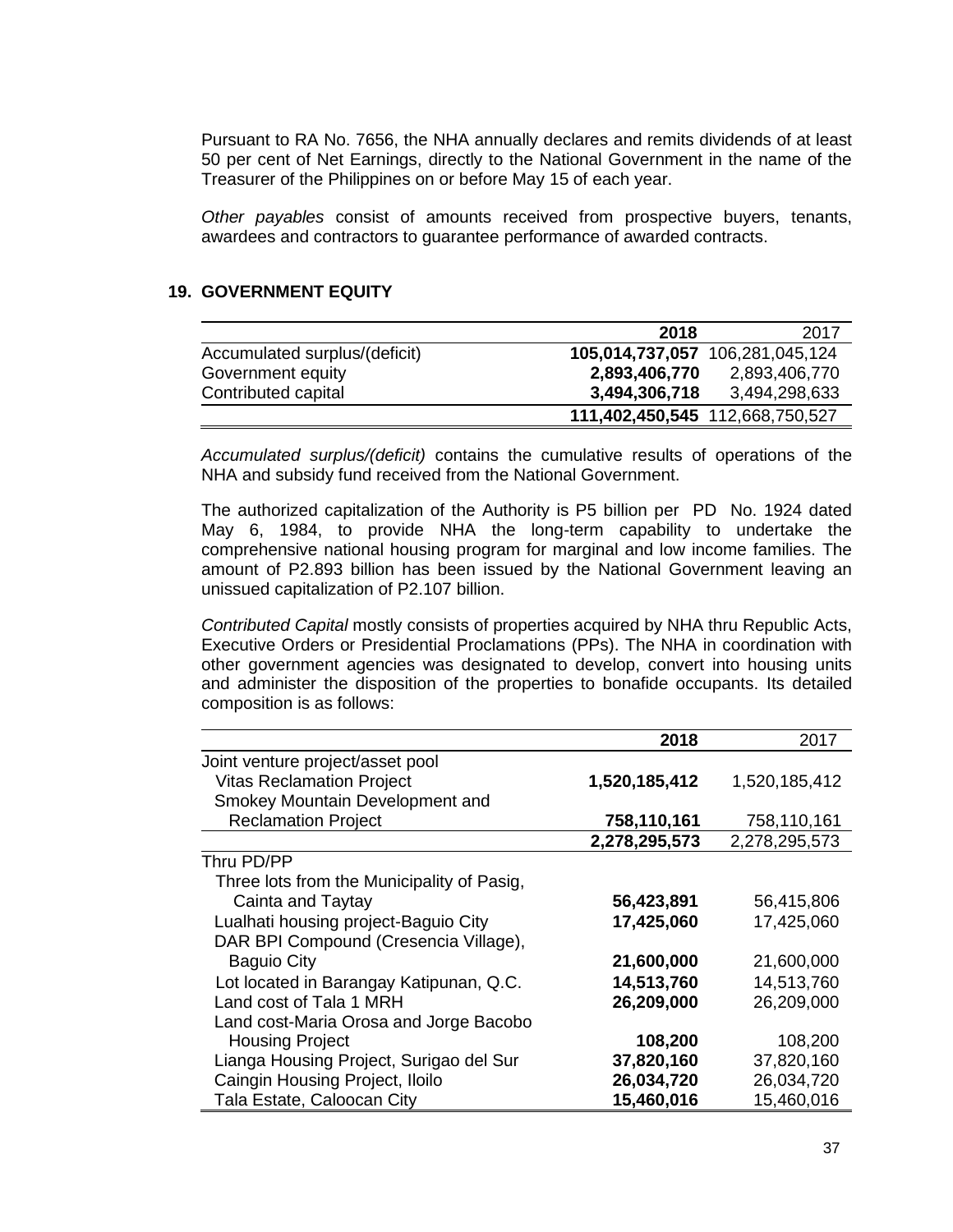Pursuant to RA No. 7656, the NHA annually declares and remits dividends of at least 50 per cent of Net Earnings, directly to the National Government in the name of the Treasurer of the Philippines on or before May 15 of each year.

*Other payables* consist of amounts received from prospective buyers, tenants, awardees and contractors to guarantee performance of awarded contracts.

#### **19. GOVERNMENT EQUITY**

|                               | 2018                            | 2017                            |
|-------------------------------|---------------------------------|---------------------------------|
| Accumulated surplus/(deficit) |                                 | 105,014,737,057 106,281,045,124 |
| Government equity             | 2,893,406,770                   | 2,893,406,770                   |
| Contributed capital           | 3,494,306,718                   | 3,494,298,633                   |
|                               | 111,402,450,545 112,668,750,527 |                                 |

*Accumulated surplus/(deficit)* contains the cumulative results of operations of the NHA and subsidy fund received from the National Government.

The authorized capitalization of the Authority is P5 billion per PD No. 1924 dated May 6, 1984, to provide NHA the long-term capability to undertake the comprehensive national housing program for marginal and low income families. The amount of P2.893 billion has been issued by the National Government leaving an unissued capitalization of P2.107 billion.

*Contributed Capital* mostly consists of properties acquired by NHA thru Republic Acts, Executive Orders or Presidential Proclamations (PPs). The NHA in coordination with other government agencies was designated to develop, convert into housing units and administer the disposition of the properties to bonafide occupants. Its detailed composition is as follows:

|                                            | 2018          | 2017          |
|--------------------------------------------|---------------|---------------|
| Joint venture project/asset pool           |               |               |
| <b>Vitas Reclamation Project</b>           | 1,520,185,412 | 1,520,185,412 |
| Smokey Mountain Development and            |               |               |
| <b>Reclamation Project</b>                 | 758,110,161   | 758,110,161   |
|                                            | 2,278,295,573 | 2,278,295,573 |
| Thru PD/PP                                 |               |               |
| Three lots from the Municipality of Pasig, |               |               |
| Cainta and Taytay                          | 56,423,891    | 56,415,806    |
| Lualhati housing project-Baguio City       | 17,425,060    | 17,425,060    |
| DAR BPI Compound (Cresencia Village),      |               |               |
| <b>Baguio City</b>                         | 21,600,000    | 21,600,000    |
| Lot located in Barangay Katipunan, Q.C.    | 14,513,760    | 14,513,760    |
| Land cost of Tala 1 MRH                    | 26,209,000    | 26,209,000    |
| Land cost-Maria Orosa and Jorge Bacobo     |               |               |
| <b>Housing Project</b>                     | 108,200       | 108,200       |
| Lianga Housing Project, Surigao del Sur    | 37,820,160    | 37,820,160    |
| Caingin Housing Project, Iloilo            | 26,034,720    | 26,034,720    |
| Tala Estate, Caloocan City                 | 15,460,016    | 15,460,016    |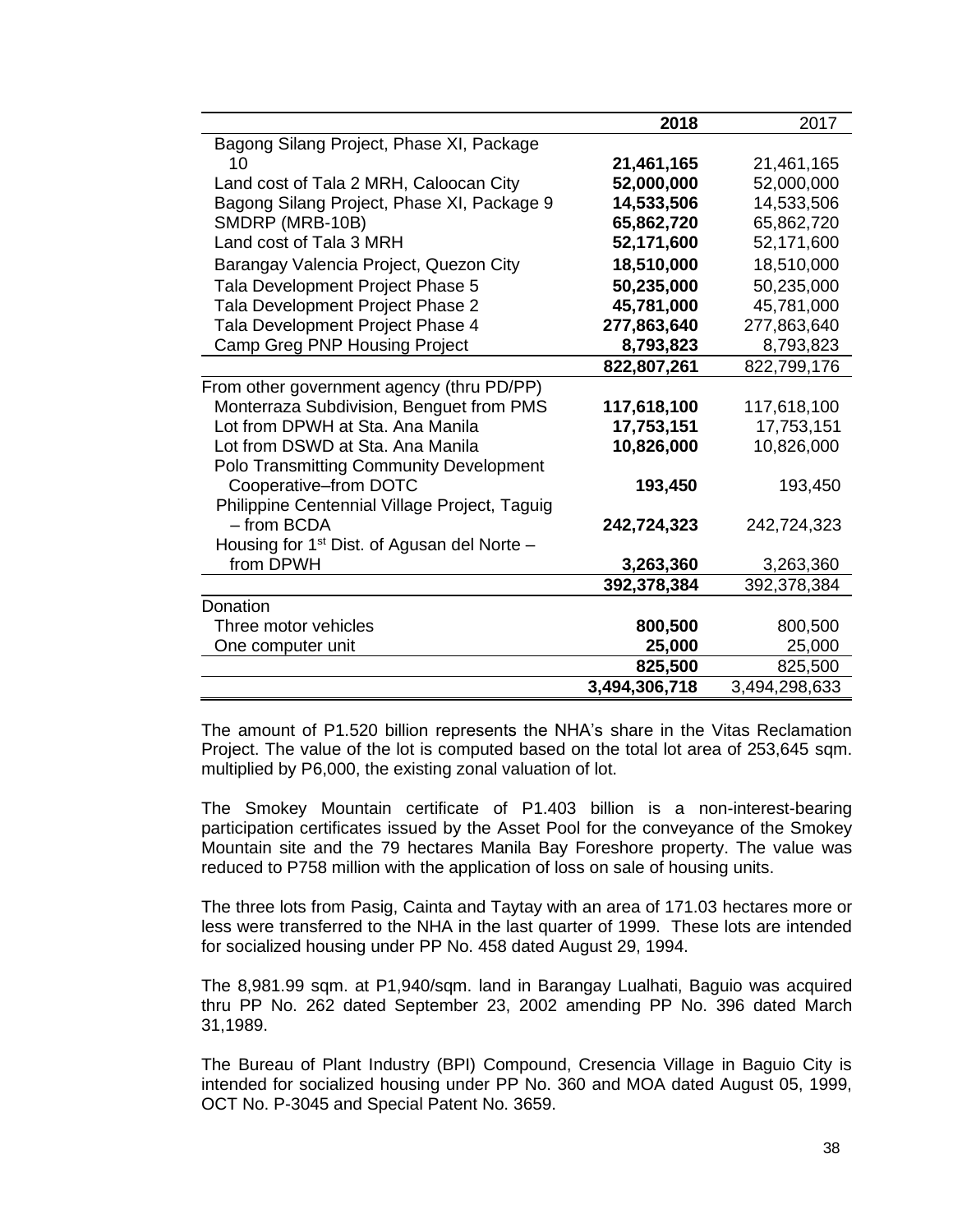|                                                | 2018          | 2017          |
|------------------------------------------------|---------------|---------------|
| Bagong Silang Project, Phase XI, Package       |               |               |
| 10                                             | 21,461,165    | 21,461,165    |
| Land cost of Tala 2 MRH, Caloocan City         | 52,000,000    | 52,000,000    |
| Bagong Silang Project, Phase XI, Package 9     | 14,533,506    | 14,533,506    |
| SMDRP (MRB-10B)                                | 65,862,720    | 65,862,720    |
| Land cost of Tala 3 MRH                        | 52,171,600    | 52,171,600    |
| Barangay Valencia Project, Quezon City         | 18,510,000    | 18,510,000    |
| Tala Development Project Phase 5               | 50,235,000    | 50,235,000    |
| Tala Development Project Phase 2               | 45,781,000    | 45,781,000    |
| Tala Development Project Phase 4               | 277,863,640   | 277,863,640   |
| Camp Greg PNP Housing Project                  | 8,793,823     | 8,793,823     |
|                                                | 822,807,261   | 822,799,176   |
| From other government agency (thru PD/PP)      |               |               |
| Monterraza Subdivision, Benguet from PMS       | 117,618,100   | 117,618,100   |
| Lot from DPWH at Sta. Ana Manila               | 17,753,151    | 17,753,151    |
| Lot from DSWD at Sta. Ana Manila               | 10,826,000    | 10,826,000    |
| <b>Polo Transmitting Community Development</b> |               |               |
| Cooperative-from DOTC                          | 193,450       | 193,450       |
| Philippine Centennial Village Project, Taguig  |               |               |
| - from BCDA                                    | 242,724,323   | 242,724,323   |
| Housing for $1st$ Dist. of Agusan del Norte –  |               |               |
| from DPWH                                      | 3,263,360     | 3,263,360     |
|                                                | 392,378,384   | 392,378,384   |
| Donation                                       |               |               |
| Three motor vehicles                           | 800,500       | 800,500       |
| One computer unit                              | 25,000        | 25,000        |
|                                                | 825,500       | 825,500       |
|                                                | 3,494,306,718 | 3,494,298,633 |

The amount of P1.520 billion represents the NHA's share in the Vitas Reclamation Project. The value of the lot is computed based on the total lot area of 253,645 sqm. multiplied by P6,000, the existing zonal valuation of lot.

The Smokey Mountain certificate of P1.403 billion is a non-interest-bearing participation certificates issued by the Asset Pool for the conveyance of the Smokey Mountain site and the 79 hectares Manila Bay Foreshore property. The value was reduced to P758 million with the application of loss on sale of housing units.

The three lots from Pasig, Cainta and Taytay with an area of 171.03 hectares more or less were transferred to the NHA in the last quarter of 1999. These lots are intended for socialized housing under PP No. 458 dated August 29, 1994.

The 8,981.99 sqm. at P1,940/sqm. land in Barangay Lualhati, Baguio was acquired thru PP No. 262 dated September 23, 2002 amending PP No. 396 dated March 31,1989.

The Bureau of Plant Industry (BPI) Compound, Cresencia Village in Baguio City is intended for socialized housing under PP No. 360 and MOA dated August 05, 1999, OCT No. P-3045 and Special Patent No. 3659.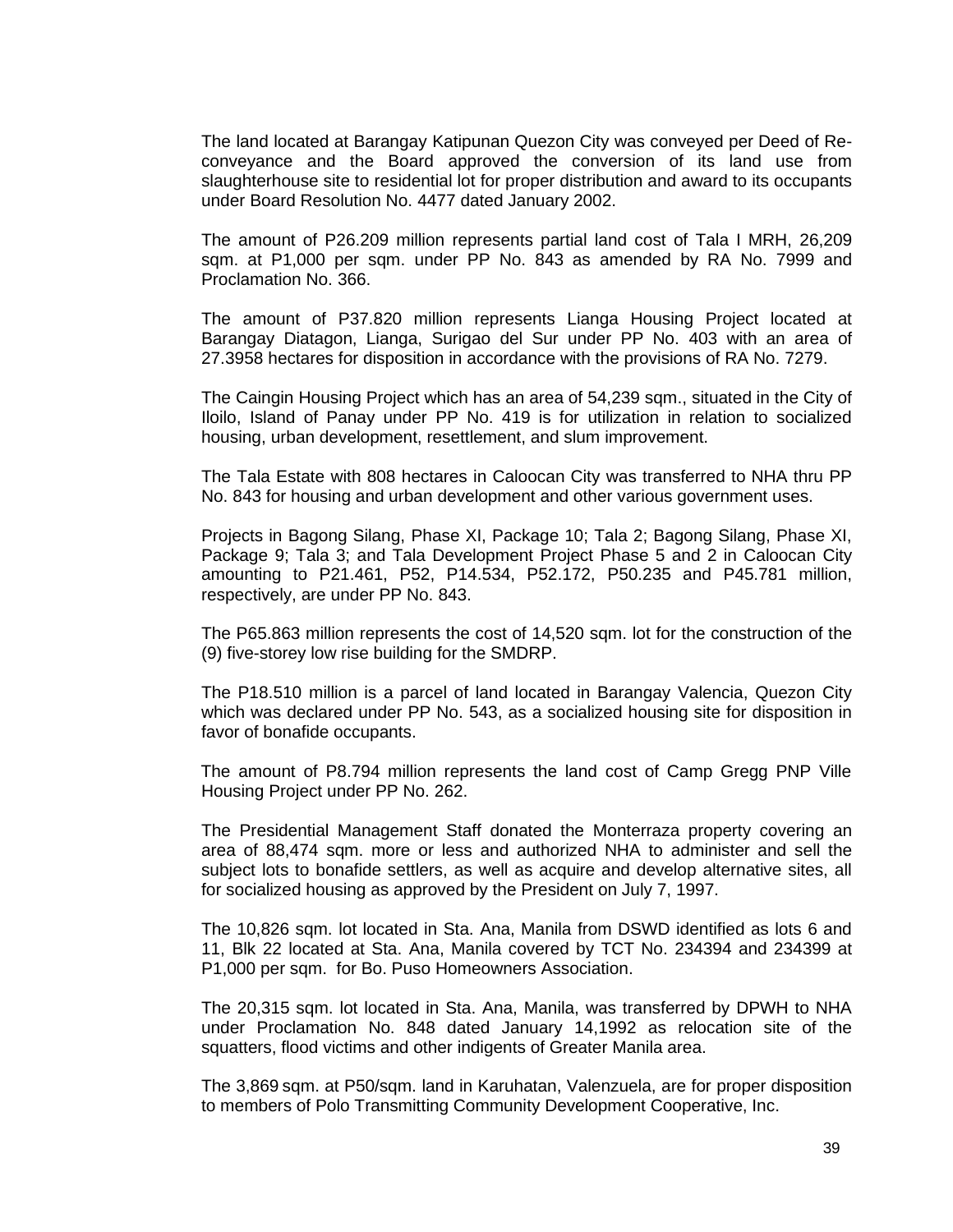The land located at Barangay Katipunan Quezon City was conveyed per Deed of Reconveyance and the Board approved the conversion of its land use from slaughterhouse site to residential lot for proper distribution and award to its occupants under Board Resolution No. 4477 dated January 2002.

The amount of P26.209 million represents partial land cost of Tala I MRH, 26,209 sqm. at P1,000 per sqm. under PP No. 843 as amended by RA No. 7999 and Proclamation No. 366.

The amount of P37.820 million represents Lianga Housing Project located at Barangay Diatagon, Lianga, Surigao del Sur under PP No. 403 with an area of 27.3958 hectares for disposition in accordance with the provisions of RA No. 7279.

The Caingin Housing Project which has an area of 54,239 sqm., situated in the City of Iloilo, Island of Panay under PP No. 419 is for utilization in relation to socialized housing, urban development, resettlement, and slum improvement.

The Tala Estate with 808 hectares in Caloocan City was transferred to NHA thru PP No. 843 for housing and urban development and other various government uses.

Projects in Bagong Silang, Phase XI, Package 10; Tala 2; Bagong Silang, Phase XI, Package 9; Tala 3; and Tala Development Project Phase 5 and 2 in Caloocan City amounting to P21.461, P52, P14.534, P52.172, P50.235 and P45.781 million, respectively, are under PP No. 843.

The P65.863 million represents the cost of 14,520 sqm. lot for the construction of the (9) five-storey low rise building for the SMDRP.

The P18.510 million is a parcel of land located in Barangay Valencia, Quezon City which was declared under PP No. 543, as a socialized housing site for disposition in favor of bonafide occupants.

The amount of P8.794 million represents the land cost of Camp Gregg PNP Ville Housing Project under PP No. 262.

The Presidential Management Staff donated the Monterraza property covering an area of 88,474 sqm. more or less and authorized NHA to administer and sell the subject lots to bonafide settlers, as well as acquire and develop alternative sites, all for socialized housing as approved by the President on July 7, 1997.

The 10,826 sqm. lot located in Sta. Ana, Manila from DSWD identified as lots 6 and 11, Blk 22 located at Sta. Ana, Manila covered by TCT No. 234394 and 234399 at P1,000 per sqm. for Bo. Puso Homeowners Association.

The 20,315 sqm. lot located in Sta. Ana, Manila, was transferred by DPWH to NHA under Proclamation No. 848 dated January 14,1992 as relocation site of the squatters, flood victims and other indigents of Greater Manila area.

The 3,869 sqm. at P50/sqm. land in Karuhatan, Valenzuela, are for proper disposition to members of Polo Transmitting Community Development Cooperative, Inc.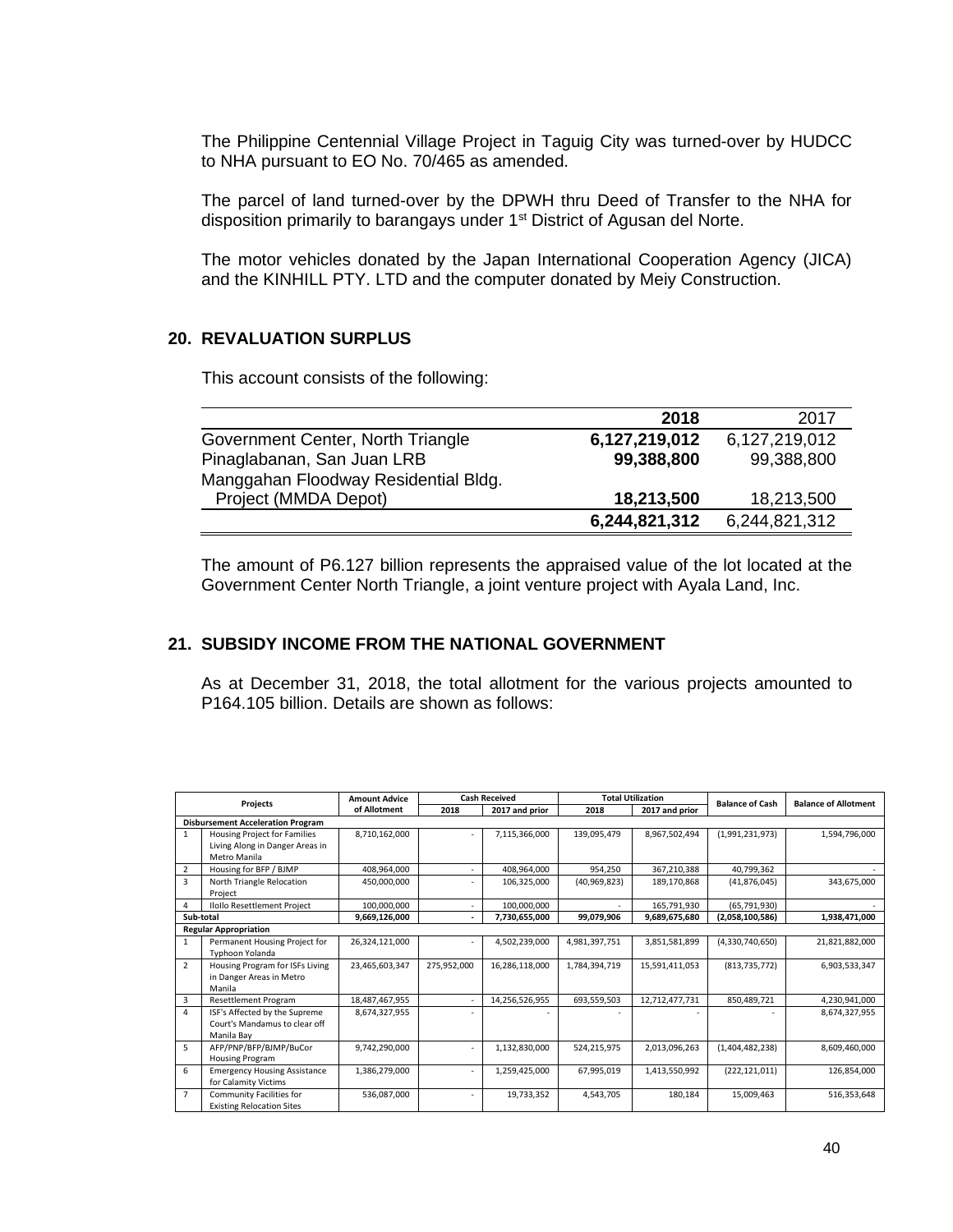The Philippine Centennial Village Project in Taguig City was turned-over by HUDCC to NHA pursuant to EO No. 70/465 as amended.

The parcel of land turned-over by the DPWH thru Deed of Transfer to the NHA for disposition primarily to barangays under 1<sup>st</sup> District of Agusan del Norte.

The motor vehicles donated by the Japan International Cooperation Agency (JICA) and the KINHILL PTY. LTD and the computer donated by Meiy Construction.

### **20. REVALUATION SURPLUS**

This account consists of the following:

|                                      | 2018          | 2017          |
|--------------------------------------|---------------|---------------|
| Government Center, North Triangle    | 6,127,219,012 | 6,127,219,012 |
| Pinaglabanan, San Juan LRB           | 99,388,800    | 99,388,800    |
| Manggahan Floodway Residential Bldg. |               |               |
| Project (MMDA Depot)                 | 18,213,500    | 18,213,500    |
|                                      | 6,244,821,312 | 6,244,821,312 |

The amount of P6.127 billion represents the appraised value of the lot located at the Government Center North Triangle, a joint venture project with Ayala Land, Inc.

### **21. SUBSIDY INCOME FROM THE NATIONAL GOVERNMENT**

As at December 31, 2018, the total allotment for the various projects amounted to P164.105 billion. Details are shown as follows:

| Projects       |                                                                                        | <b>Amount Advice</b> |             | <b>Cash Received</b> |                | <b>Total Utilization</b> |                        | <b>Balance of Allotment</b> |
|----------------|----------------------------------------------------------------------------------------|----------------------|-------------|----------------------|----------------|--------------------------|------------------------|-----------------------------|
|                |                                                                                        | of Allotment         | 2018        | 2017 and prior       | 2018           | 2017 and prior           | <b>Balance of Cash</b> |                             |
|                | <b>Disbursement Acceleration Program</b>                                               |                      |             |                      |                |                          |                        |                             |
| 1              | <b>Housing Project for Families</b><br>Living Along in Danger Areas in<br>Metro Manila | 8,710,162,000        |             | 7,115,366,000        | 139,095,479    | 8,967,502,494            | (1,991,231,973)        | 1,594,796,000               |
| $\overline{2}$ | Housing for BFP / BJMP                                                                 | 408,964,000          |             | 408,964,000          | 954,250        | 367,210,388              | 40,799,362             |                             |
| 3              | North Triangle Relocation<br>Project                                                   | 450,000,000          |             | 106,325,000          | (40, 969, 823) | 189,170,868              | (41, 876, 045)         | 343,675,000                 |
| 4              | Ilollo Resettlement Project                                                            | 100,000,000          |             | 100,000,000          |                | 165,791,930              | (65,791,930)           |                             |
|                | Sub-total                                                                              | 9,669,126,000        |             | 7,730,655,000        | 99,079,906     | 9,689,675,680            | (2,058,100,586)        | 1,938,471,000               |
|                | <b>Regular Appropriation</b>                                                           |                      |             |                      |                |                          |                        |                             |
| 1              | Permanent Housing Project for<br>Typhoon Yolanda                                       | 26,324,121,000       |             | 4,502,239,000        | 4,981,397,751  | 3,851,581,899            | (4,330,740,650)        | 21,821,882,000              |
| $\overline{2}$ | Housing Program for ISFs Living<br>in Danger Areas in Metro<br>Manila                  | 23,465,603,347       | 275,952,000 | 16,286,118,000       | 1,784,394,719  | 15,591,411,053           | (813, 735, 772)        | 6,903,533,347               |
| 3              | <b>Resettlement Program</b>                                                            | 18,487,467,955       |             | 14,256,526,955       | 693,559,503    | 12,712,477,731           | 850,489,721            | 4,230,941,000               |
| 4              | ISF's Affected by the Supreme<br>Court's Mandamus to clear off<br>Manila Bav           | 8,674,327,955        |             |                      |                |                          |                        | 8,674,327,955               |
| 5              | AFP/PNP/BFP/BJMP/BuCor<br><b>Housing Program</b>                                       | 9,742,290,000        |             | 1,132,830,000        | 524,215,975    | 2,013,096,263            | (1,404,482,238)        | 8,609,460,000               |
| 6              | <b>Emergency Housing Assistance</b><br>for Calamity Victims                            | 1,386,279,000        |             | 1,259,425,000        | 67.995.019     | 1,413,550,992            | (222, 121, 011)        | 126,854,000                 |
| $\overline{7}$ | Community Facilities for<br><b>Existing Relocation Sites</b>                           | 536,087,000          |             | 19,733,352           | 4,543,705      | 180,184                  | 15,009,463             | 516,353,648                 |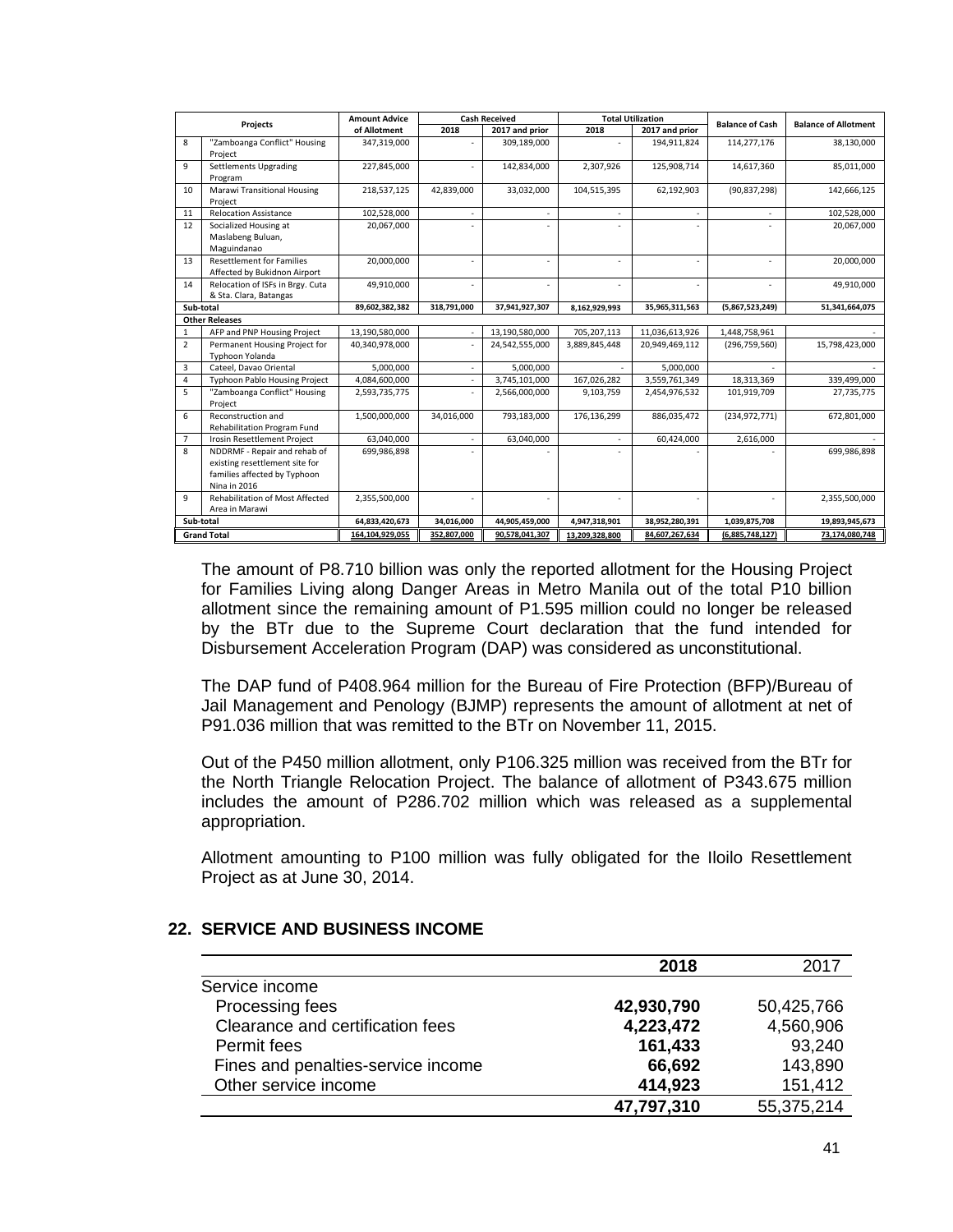| Projects       |                                         | <b>Amount Advice</b> |             | <b>Cash Received</b> |                | <b>Total Utilization</b> | <b>Balance of Cash</b> | <b>Balance of Allotment</b> |
|----------------|-----------------------------------------|----------------------|-------------|----------------------|----------------|--------------------------|------------------------|-----------------------------|
|                |                                         | of Allotment         | 2018        | 2017 and prior       | 2018           | 2017 and prior           |                        |                             |
| 8              | "Zamboanga Conflict" Housing            | 347,319,000          |             | 309,189,000          |                | 194,911,824              | 114,277,176            | 38,130,000                  |
|                | Project                                 |                      |             |                      |                |                          |                        |                             |
| 9              | <b>Settlements Upgrading</b><br>Program | 227,845,000          |             | 142,834,000          | 2,307,926      | 125,908,714              | 14,617,360             | 85,011,000                  |
| 10             | <b>Marawi Transitional Housing</b>      | 218,537,125          | 42,839,000  | 33,032,000           | 104,515,395    | 62,192,903               | (90, 837, 298)         | 142,666,125                 |
|                | Project                                 |                      |             |                      |                |                          |                        |                             |
| 11             | <b>Relocation Assistance</b>            | 102,528,000          |             |                      |                |                          |                        | 102,528,000                 |
| 12             | Socialized Housing at                   | 20,067,000           |             |                      |                |                          |                        | 20,067,000                  |
|                | Maslabeng Buluan,                       |                      |             |                      |                |                          |                        |                             |
|                | Maguindanao                             |                      |             |                      |                |                          |                        |                             |
| 13             | <b>Resettlement for Families</b>        | 20,000,000           |             |                      |                | ÷                        |                        | 20,000,000                  |
|                | Affected by Bukidnon Airport            |                      |             |                      |                |                          |                        |                             |
| 14             | Relocation of ISFs in Brgy. Cuta        | 49,910,000           |             |                      |                |                          |                        | 49,910,000                  |
|                | & Sta. Clara, Batangas                  |                      |             |                      |                |                          |                        |                             |
| Sub-total      |                                         | 89,602,382,382       | 318.791.000 | 37,941,927,307       | 8,162,929,993  | 35,965,311,563           | (5,867,523,249)        | 51,341,664,075              |
|                | <b>Other Releases</b>                   |                      |             |                      |                |                          |                        |                             |
| 1              | AFP and PNP Housing Project             | 13.190.580.000       |             | 13,190,580,000       | 705,207,113    | 11.036.613.926           | 1,448,758,961          |                             |
| $\overline{2}$ | Permanent Housing Project for           | 40,340,978,000       |             | 24,542,555,000       | 3,889,845,448  | 20,949,469,112           | (296, 759, 560)        | 15,798,423,000              |
|                | Typhoon Yolanda                         |                      |             |                      |                |                          |                        |                             |
| 3              | Cateel, Davao Oriental                  | 5,000,000            |             | 5,000,000            |                | 5,000,000                |                        |                             |
| 4              | <b>Typhoon Pablo Housing Project</b>    | 4,084,600,000        |             | 3,745,101,000        | 167,026,282    | 3,559,761,349            | 18,313,369             | 339,499,000                 |
| 5              | "Zamboanga Conflict" Housing            | 2,593,735,775        |             | 2,566,000,000        | 9,103,759      | 2,454,976,532            | 101,919,709            | 27,735,775                  |
|                | Project                                 |                      |             |                      |                |                          |                        |                             |
| 6              | Reconstruction and                      | 1,500,000,000        | 34,016,000  | 793,183,000          | 176,136,299    | 886,035,472              | (234, 972, 771)        | 672,801,000                 |
|                | Rehabilitation Program Fund             |                      |             |                      |                |                          |                        |                             |
| $\overline{7}$ | Irosin Resettlement Project             | 63,040,000           |             | 63,040,000           |                | 60,424,000               | 2,616,000              |                             |
| 8              | NDDRMF - Repair and rehab of            | 699,986,898          |             |                      |                |                          |                        | 699,986,898                 |
|                | existing resettlement site for          |                      |             |                      |                |                          |                        |                             |
|                | families affected by Typhoon            |                      |             |                      |                |                          |                        |                             |
|                | <b>Nina in 2016</b>                     |                      |             |                      |                |                          |                        |                             |
| 9              | Rehabilitation of Most Affected         | 2,355,500,000        |             |                      |                |                          |                        | 2,355,500,000               |
|                | Area in Marawi                          |                      |             |                      |                |                          |                        |                             |
| Sub-total      |                                         | 64,833,420,673       | 34,016,000  | 44,905,459,000       | 4,947,318,901  | 38,952,280,391           | 1,039,875,708          | 19,893,945,673              |
|                | <b>Grand Total</b>                      | 164.104.929.055      | 352.807.000 | 90.578.041.307       | 13.209.328.800 | 84.607.267.634           | (6.885.748.127)        | 73.174.080.748              |

The amount of P8.710 billion was only the reported allotment for the Housing Project for Families Living along Danger Areas in Metro Manila out of the total P10 billion allotment since the remaining amount of P1.595 million could no longer be released by the BTr due to the Supreme Court declaration that the fund intended for Disbursement Acceleration Program (DAP) was considered as unconstitutional.

The DAP fund of P408.964 million for the Bureau of Fire Protection (BFP)/Bureau of Jail Management and Penology (BJMP) represents the amount of allotment at net of P91.036 million that was remitted to the BTr on November 11, 2015.

Out of the P450 million allotment, only P106.325 million was received from the BTr for the North Triangle Relocation Project. The balance of allotment of P343.675 million includes the amount of P286.702 million which was released as a supplemental appropriation.

Allotment amounting to P100 million was fully obligated for the Iloilo Resettlement Project as at June 30, 2014.

|                                    | 2018       | 2017       |
|------------------------------------|------------|------------|
| Service income                     |            |            |
| Processing fees                    | 42,930,790 | 50,425,766 |
| Clearance and certification fees   | 4,223,472  | 4,560,906  |
| Permit fees                        | 161,433    | 93,240     |
| Fines and penalties-service income | 66,692     | 143,890    |
| Other service income               | 414,923    | 151,412    |
|                                    | 47,797,310 | 55,375,214 |

#### **22. SERVICE AND BUSINESS INCOME**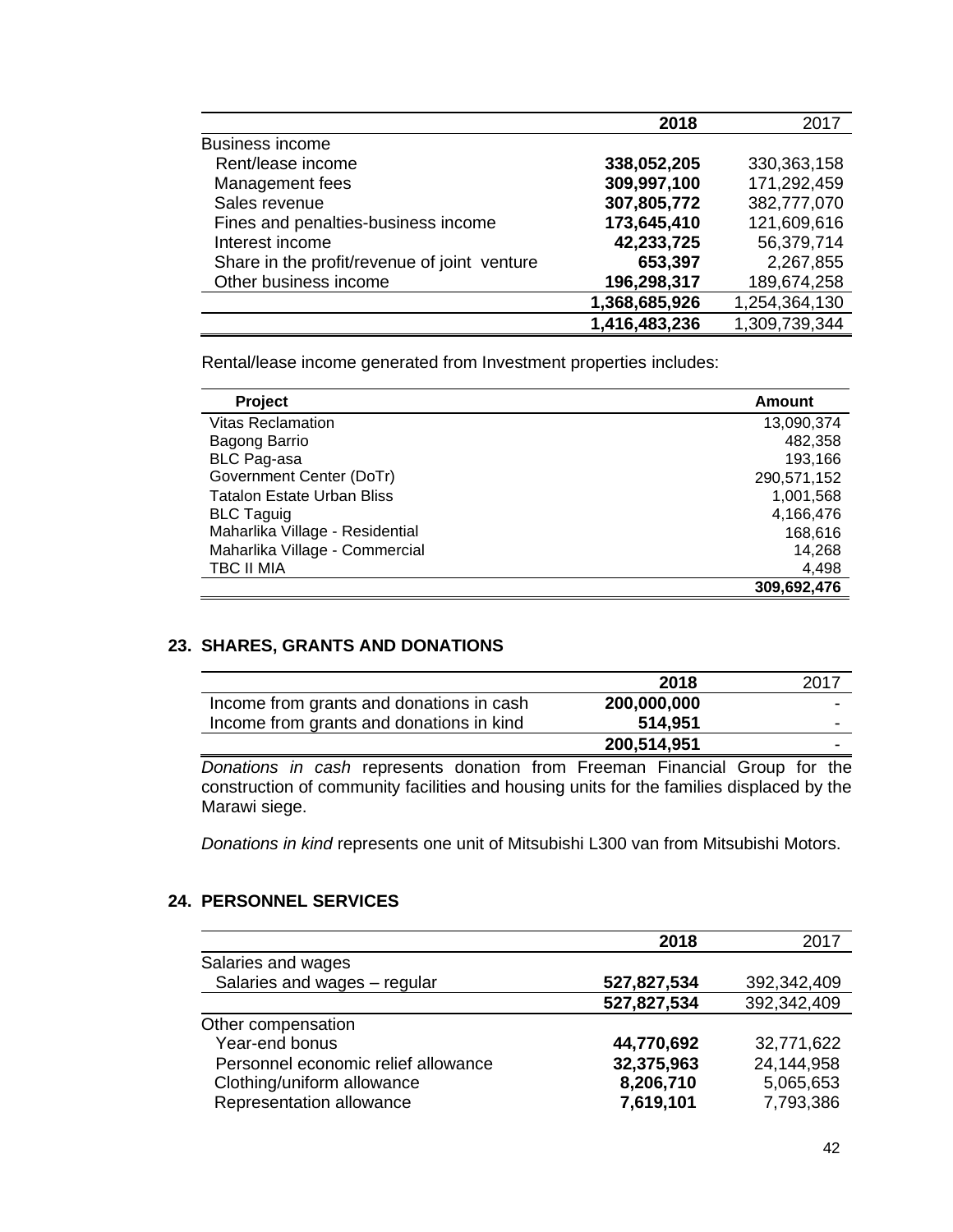|                                              | 2018          | 2017          |
|----------------------------------------------|---------------|---------------|
| <b>Business income</b>                       |               |               |
| Rent/lease income                            | 338,052,205   | 330, 363, 158 |
| Management fees                              | 309,997,100   | 171,292,459   |
| Sales revenue                                | 307,805,772   | 382,777,070   |
| Fines and penalties-business income          | 173,645,410   | 121,609,616   |
| Interest income                              | 42,233,725    | 56,379,714    |
| Share in the profit/revenue of joint venture | 653,397       | 2,267,855     |
| Other business income                        | 196,298,317   | 189,674,258   |
|                                              | 1,368,685,926 | 1,254,364,130 |
|                                              | 1,416,483,236 | 1,309,739,344 |

Rental/lease income generated from Investment properties includes:

| Project                           | <b>Amount</b> |
|-----------------------------------|---------------|
| <b>Vitas Reclamation</b>          | 13,090,374    |
| Bagong Barrio                     | 482,358       |
| <b>BLC Pag-asa</b>                | 193,166       |
| Government Center (DoTr)          | 290,571,152   |
| <b>Tatalon Estate Urban Bliss</b> | 1,001,568     |
| <b>BLC Taguig</b>                 | 4,166,476     |
| Maharlika Village - Residential   | 168,616       |
| Maharlika Village - Commercial    | 14.268        |
| TBC II MIA                        | 4,498         |
|                                   | 309,692,476   |

### **23. SHARES, GRANTS AND DONATIONS**

|                                          | 2018        | -2017 |
|------------------------------------------|-------------|-------|
| Income from grants and donations in cash | 200,000,000 |       |
| Income from grants and donations in kind | 514,951     |       |
|                                          | 200,514,951 |       |
| $\sim$ $\sim$<br>$\sim$                  | $\sim$      |       |

*Donations in cash* represents donation from Freeman Financial Group for the construction of community facilities and housing units for the families displaced by the Marawi siege.

*Donations in kind* represents one unit of Mitsubishi L300 van from Mitsubishi Motors.

### **24. PERSONNEL SERVICES**

|                                     | 2018        | 2017        |
|-------------------------------------|-------------|-------------|
| Salaries and wages                  |             |             |
| Salaries and wages - regular        | 527,827,534 | 392,342,409 |
|                                     | 527,827,534 | 392,342,409 |
| Other compensation                  |             |             |
| Year-end bonus                      | 44,770,692  | 32,771,622  |
| Personnel economic relief allowance | 32,375,963  | 24,144,958  |
| Clothing/uniform allowance          | 8,206,710   | 5,065,653   |
| Representation allowance            | 7,619,101   | 7,793,386   |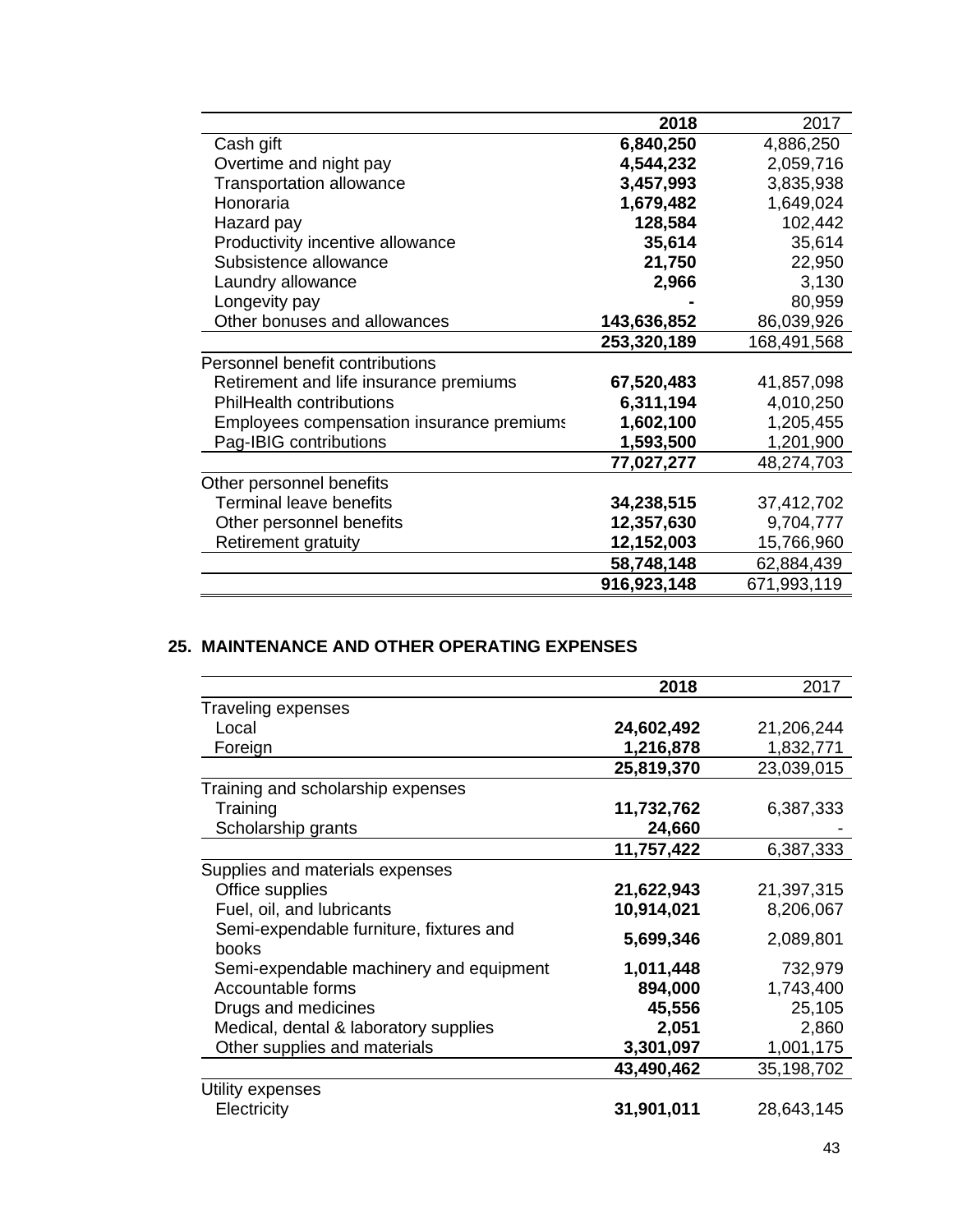|                                           | 2018        | 2017        |
|-------------------------------------------|-------------|-------------|
| Cash gift                                 | 6,840,250   | 4,886,250   |
| Overtime and night pay                    | 4,544,232   | 2,059,716   |
| <b>Transportation allowance</b>           | 3,457,993   | 3,835,938   |
| Honoraria                                 | 1,679,482   | 1,649,024   |
| Hazard pay                                | 128,584     | 102,442     |
| Productivity incentive allowance          | 35,614      | 35,614      |
| Subsistence allowance                     | 21,750      | 22,950      |
| Laundry allowance                         | 2,966       | 3,130       |
| Longevity pay                             |             | 80,959      |
| Other bonuses and allowances              | 143,636,852 | 86,039,926  |
|                                           | 253,320,189 | 168,491,568 |
| Personnel benefit contributions           |             |             |
| Retirement and life insurance premiums    | 67,520,483  | 41,857,098  |
| <b>PhilHealth contributions</b>           | 6,311,194   | 4,010,250   |
| Employees compensation insurance premiums | 1,602,100   | 1,205,455   |
| Pag-IBIG contributions                    | 1,593,500   | 1,201,900   |
|                                           | 77,027,277  | 48,274,703  |
| Other personnel benefits                  |             |             |
| <b>Terminal leave benefits</b>            | 34,238,515  | 37,412,702  |
| Other personnel benefits                  | 12,357,630  | 9,704,777   |
| Retirement gratuity                       | 12,152,003  | 15,766,960  |
|                                           | 58,748,148  | 62,884,439  |
|                                           | 916,923,148 | 671,993,119 |

# **25. MAINTENANCE AND OTHER OPERATING EXPENSES**

|                                         | 2018       | 2017       |
|-----------------------------------------|------------|------------|
| Traveling expenses                      |            |            |
| Local                                   | 24,602,492 | 21,206,244 |
| Foreign                                 | 1,216,878  | 1,832,771  |
|                                         | 25,819,370 | 23,039,015 |
| Training and scholarship expenses       |            |            |
| Training                                | 11,732,762 | 6,387,333  |
| Scholarship grants                      | 24,660     |            |
|                                         | 11,757,422 | 6,387,333  |
| Supplies and materials expenses         |            |            |
| Office supplies                         | 21,622,943 | 21,397,315 |
| Fuel, oil, and lubricants               | 10,914,021 | 8,206,067  |
| Semi-expendable furniture, fixtures and |            |            |
| books                                   | 5,699,346  | 2,089,801  |
| Semi-expendable machinery and equipment | 1,011,448  | 732,979    |
| Accountable forms                       | 894,000    | 1,743,400  |
| Drugs and medicines                     | 45,556     | 25,105     |
| Medical, dental & laboratory supplies   | 2,051      | 2,860      |
| Other supplies and materials            | 3,301,097  | 1,001,175  |
|                                         | 43,490,462 | 35,198,702 |
| Utility expenses                        |            |            |
| Electricity                             | 31,901,011 | 28,643,145 |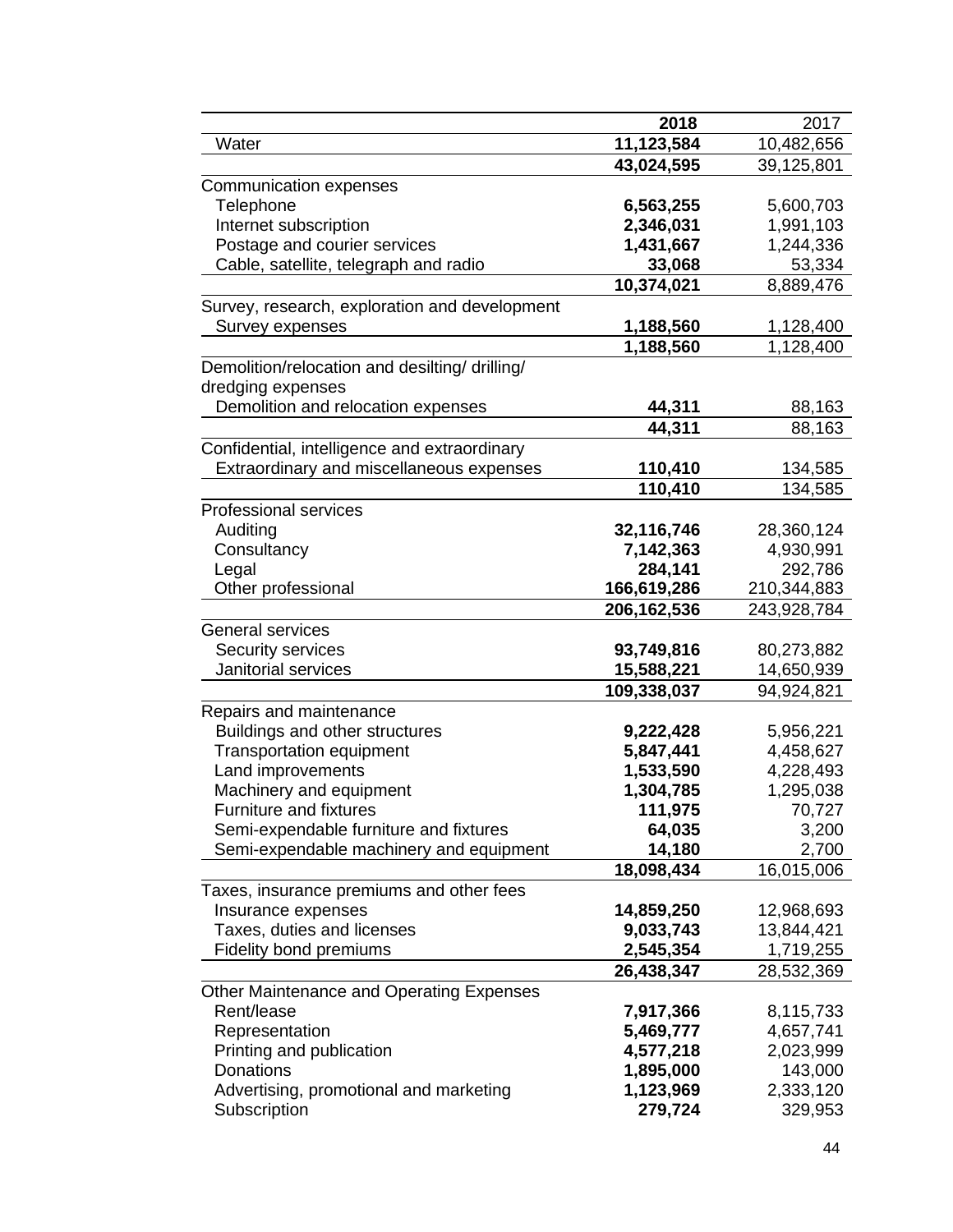|                                                | 2018                 | 2017                 |
|------------------------------------------------|----------------------|----------------------|
| Water                                          | 11,123,584           | 10,482,656           |
|                                                | 43,024,595           | 39,125,801           |
| <b>Communication expenses</b>                  |                      |                      |
| Telephone                                      | 6,563,255            | 5,600,703            |
| Internet subscription                          | 2,346,031            | 1,991,103            |
| Postage and courier services                   | 1,431,667            | 1,244,336            |
| Cable, satellite, telegraph and radio          | 33,068               | 53,334               |
|                                                | 10,374,021           | 8,889,476            |
| Survey, research, exploration and development  |                      |                      |
| Survey expenses                                | 1,188,560            | 1,128,400            |
|                                                | 1,188,560            | 1,128,400            |
| Demolition/relocation and desilting/ drilling/ |                      |                      |
| dredging expenses                              |                      |                      |
| Demolition and relocation expenses             | 44,311               | 88,163               |
|                                                | 44,311               | 88,163               |
| Confidential, intelligence and extraordinary   |                      |                      |
| Extraordinary and miscellaneous expenses       | 110,410              | 134,585              |
|                                                |                      |                      |
|                                                | 110,410              | 134,585              |
| <b>Professional services</b>                   |                      |                      |
| Auditing                                       | 32,116,746           | 28,360,124           |
| Consultancy<br>Legal                           | 7,142,363<br>284,141 | 4,930,991<br>292,786 |
| Other professional                             | 166,619,286          |                      |
|                                                |                      | 210,344,883          |
|                                                | 206,162,536          | 243,928,784          |
| <b>General services</b>                        |                      |                      |
| Security services                              | 93,749,816           | 80,273,882           |
| Janitorial services                            | 15,588,221           | 14,650,939           |
|                                                | 109,338,037          | 94,924,821           |
| Repairs and maintenance                        |                      |                      |
| Buildings and other structures                 | 9,222,428            | 5,956,221            |
| <b>Transportation equipment</b>                | 5,847,441            | 4,458,627            |
| Land improvements                              | 1,533,590            | 4,228,493            |
| Machinery and equipment                        | 1,304,785            | 1,295,038            |
| Furniture and fixtures                         | 111,975              | 70,727               |
| Semi-expendable furniture and fixtures         | 64,035               | 3,200                |
| Semi-expendable machinery and equipment        | 14,180               | 2,700                |
|                                                | 18,098,434           | 16,015,006           |
| Taxes, insurance premiums and other fees       |                      |                      |
| Insurance expenses                             | 14,859,250           | 12,968,693           |
| Taxes, duties and licenses                     | 9,033,743            | 13,844,421           |
| <b>Fidelity bond premiums</b>                  | 2,545,354            | 1,719,255            |
|                                                | 26,438,347           | 28,532,369           |
| Other Maintenance and Operating Expenses       |                      |                      |
| Rent/lease                                     | 7,917,366            | 8,115,733            |
| Representation                                 | 5,469,777            | 4,657,741            |
| Printing and publication                       | 4,577,218            | 2,023,999            |
| Donations                                      | 1,895,000            | 143,000              |
| Advertising, promotional and marketing         | 1,123,969            | 2,333,120            |
| Subscription                                   | 279,724              | 329,953              |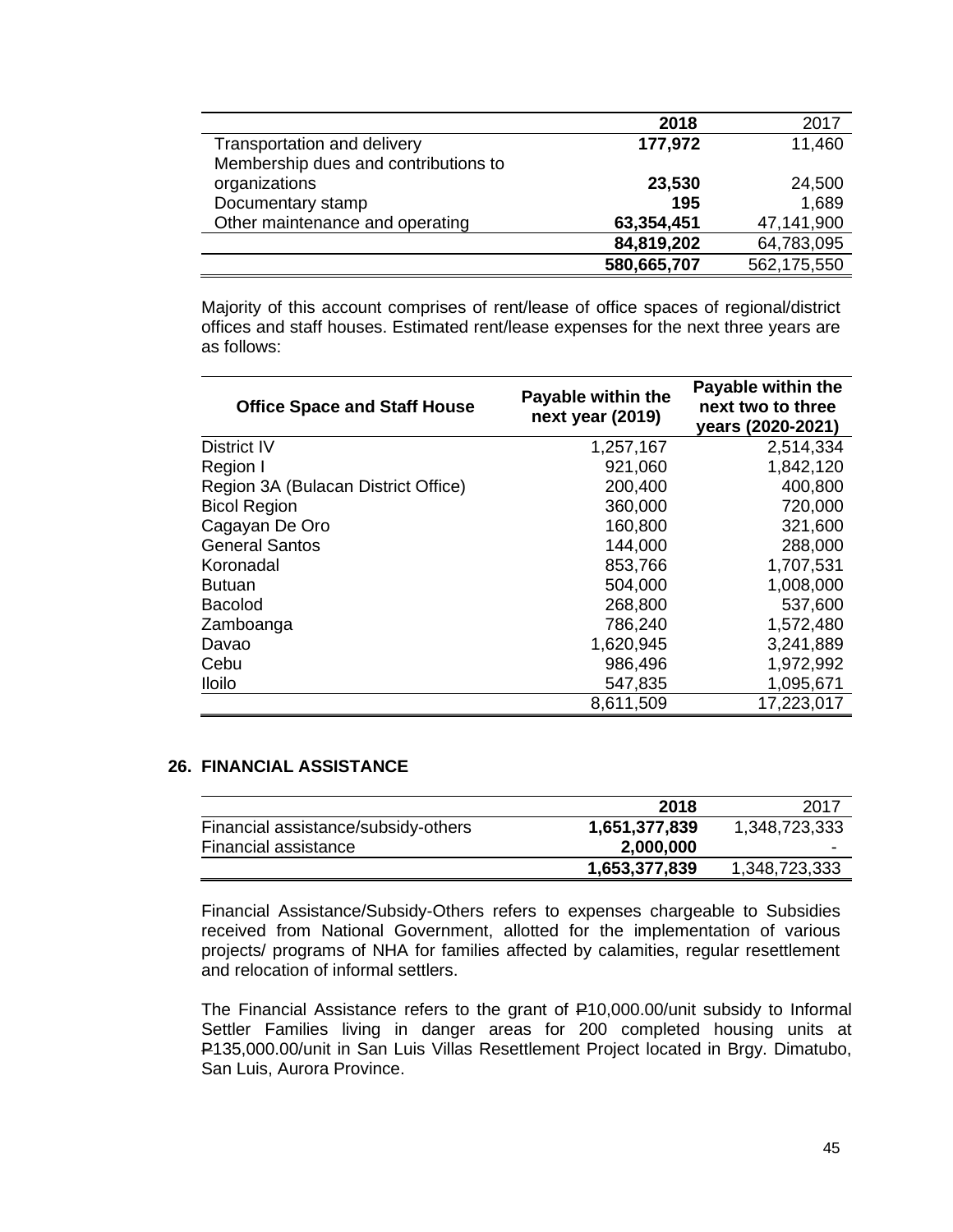|                                      | 2018        | 2017        |
|--------------------------------------|-------------|-------------|
|                                      |             |             |
| Transportation and delivery          | 177,972     | 11,460      |
| Membership dues and contributions to |             |             |
| organizations                        | 23,530      | 24,500      |
| Documentary stamp                    | 195         | 1,689       |
| Other maintenance and operating      | 63,354,451  | 47,141,900  |
|                                      | 84,819,202  | 64,783,095  |
|                                      | 580,665,707 | 562,175,550 |

Majority of this account comprises of rent/lease of office spaces of regional/district offices and staff houses. Estimated rent/lease expenses for the next three years are as follows:

| <b>Office Space and Staff House</b> | Payable within the<br>next year (2019) | Payable within the<br>next two to three<br>years (2020-2021) |
|-------------------------------------|----------------------------------------|--------------------------------------------------------------|
| District IV                         | 1,257,167                              | 2,514,334                                                    |
| Region I                            | 921,060                                | 1,842,120                                                    |
| Region 3A (Bulacan District Office) | 200,400                                | 400,800                                                      |
| <b>Bicol Region</b>                 | 360,000                                | 720,000                                                      |
| Cagayan De Oro                      | 160,800                                | 321,600                                                      |
| <b>General Santos</b>               | 144,000                                | 288,000                                                      |
| Koronadal                           | 853,766                                | 1,707,531                                                    |
| <b>Butuan</b>                       | 504,000                                | 1,008,000                                                    |
| <b>Bacolod</b>                      | 268,800                                | 537,600                                                      |
| Zamboanga                           | 786,240                                | 1,572,480                                                    |
| Davao                               | 1,620,945                              | 3,241,889                                                    |
| Cebu                                | 986,496                                | 1,972,992                                                    |
| <b>Iloilo</b>                       | 547,835                                | 1,095,671                                                    |
|                                     | 8,611,509                              | 17,223,017                                                   |

### **26. FINANCIAL ASSISTANCE**

|                                     | 2018          | 2017          |
|-------------------------------------|---------------|---------------|
| Financial assistance/subsidy-others | 1,651,377,839 | 1,348,723,333 |
| Financial assistance                | 2,000,000     | -             |
|                                     | 1,653,377,839 | 1,348,723,333 |

Financial Assistance/Subsidy-Others refers to expenses chargeable to Subsidies received from National Government, allotted for the implementation of various projects/ programs of NHA for families affected by calamities, regular resettlement and relocation of informal settlers.

The Financial Assistance refers to the grant of P10,000.00/unit subsidy to Informal Settler Families living in danger areas for 200 completed housing units at P135,000.00/unit in San Luis Villas Resettlement Project located in Brgy. Dimatubo, San Luis, Aurora Province.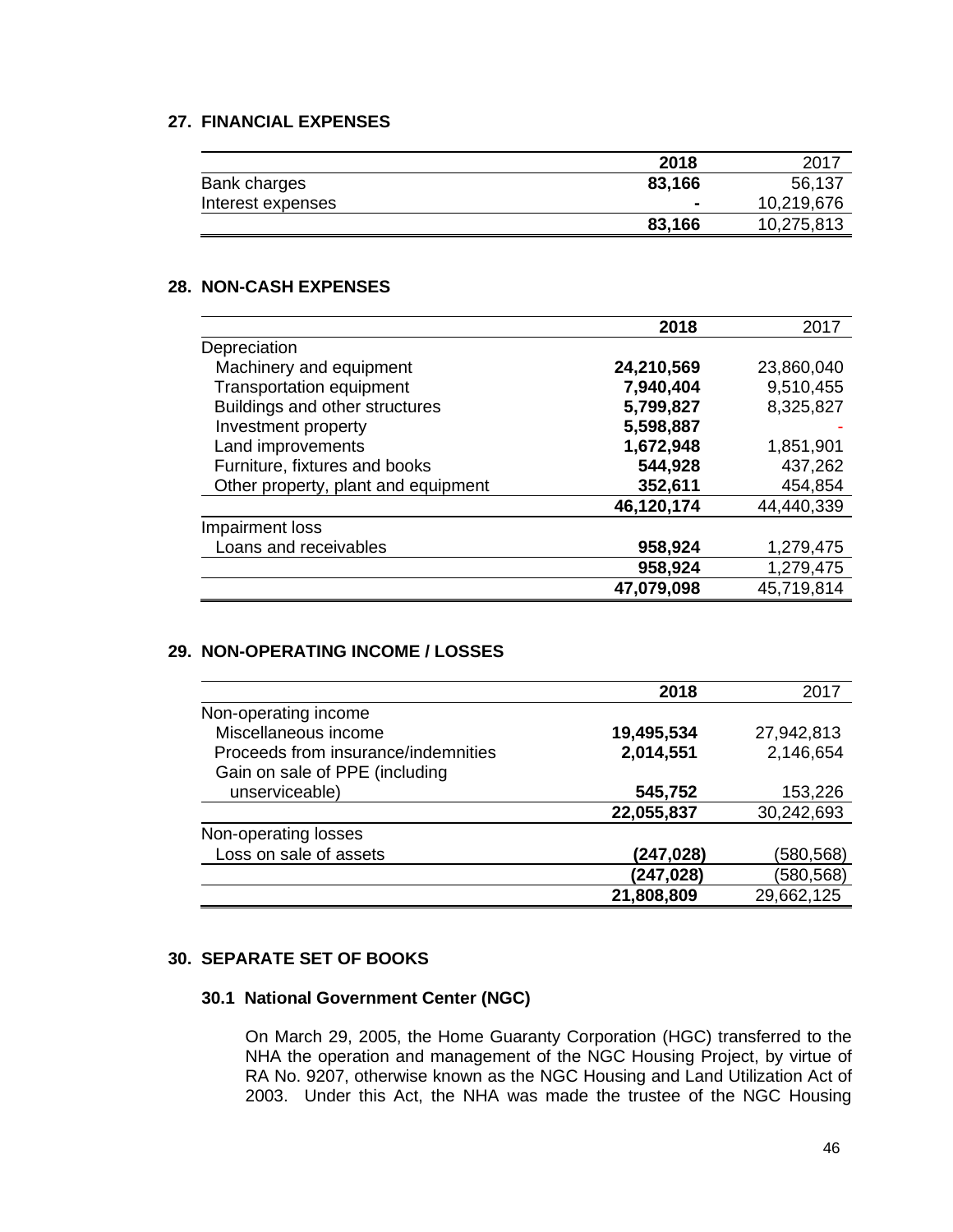# **27. FINANCIAL EXPENSES**

|                   | 2018   | 2017       |
|-------------------|--------|------------|
| Bank charges      | 83,166 | 56,137     |
| Interest expenses |        | 10,219,676 |
|                   | 83,166 | 10,275,813 |

### **28. NON-CASH EXPENSES**

|                                     | 2018       | 2017       |
|-------------------------------------|------------|------------|
| Depreciation                        |            |            |
| Machinery and equipment             | 24,210,569 | 23,860,040 |
| <b>Transportation equipment</b>     | 7,940,404  | 9,510,455  |
| Buildings and other structures      | 5,799,827  | 8,325,827  |
| Investment property                 | 5,598,887  |            |
| Land improvements                   | 1,672,948  | 1,851,901  |
| Furniture, fixtures and books       | 544,928    | 437,262    |
| Other property, plant and equipment | 352,611    | 454,854    |
|                                     | 46,120,174 | 44,440,339 |
| Impairment loss                     |            |            |
| Loans and receivables               | 958,924    | 1,279,475  |
|                                     | 958,924    | 1,279,475  |
|                                     | 47,079,098 | 45,719,814 |

### **29. NON-OPERATING INCOME / LOSSES**

|                                     | 2018       | 2017       |
|-------------------------------------|------------|------------|
| Non-operating income                |            |            |
| Miscellaneous income                | 19,495,534 | 27,942,813 |
| Proceeds from insurance/indemnities | 2,014,551  | 2,146,654  |
| Gain on sale of PPE (including      |            |            |
| unserviceable)                      | 545,752    | 153,226    |
|                                     | 22,055,837 | 30,242,693 |
| Non-operating losses                |            |            |
| Loss on sale of assets              | (247,028)  | (580,568)  |
|                                     | (247,028)  | (580, 568) |
|                                     | 21,808,809 | 29,662,125 |

### **30. SEPARATE SET OF BOOKS**

# **30.1 National Government Center (NGC)**

On March 29, 2005, the Home Guaranty Corporation (HGC) transferred to the NHA the operation and management of the NGC Housing Project, by virtue of RA No. 9207, otherwise known as the NGC Housing and Land Utilization Act of 2003. Under this Act, the NHA was made the trustee of the NGC Housing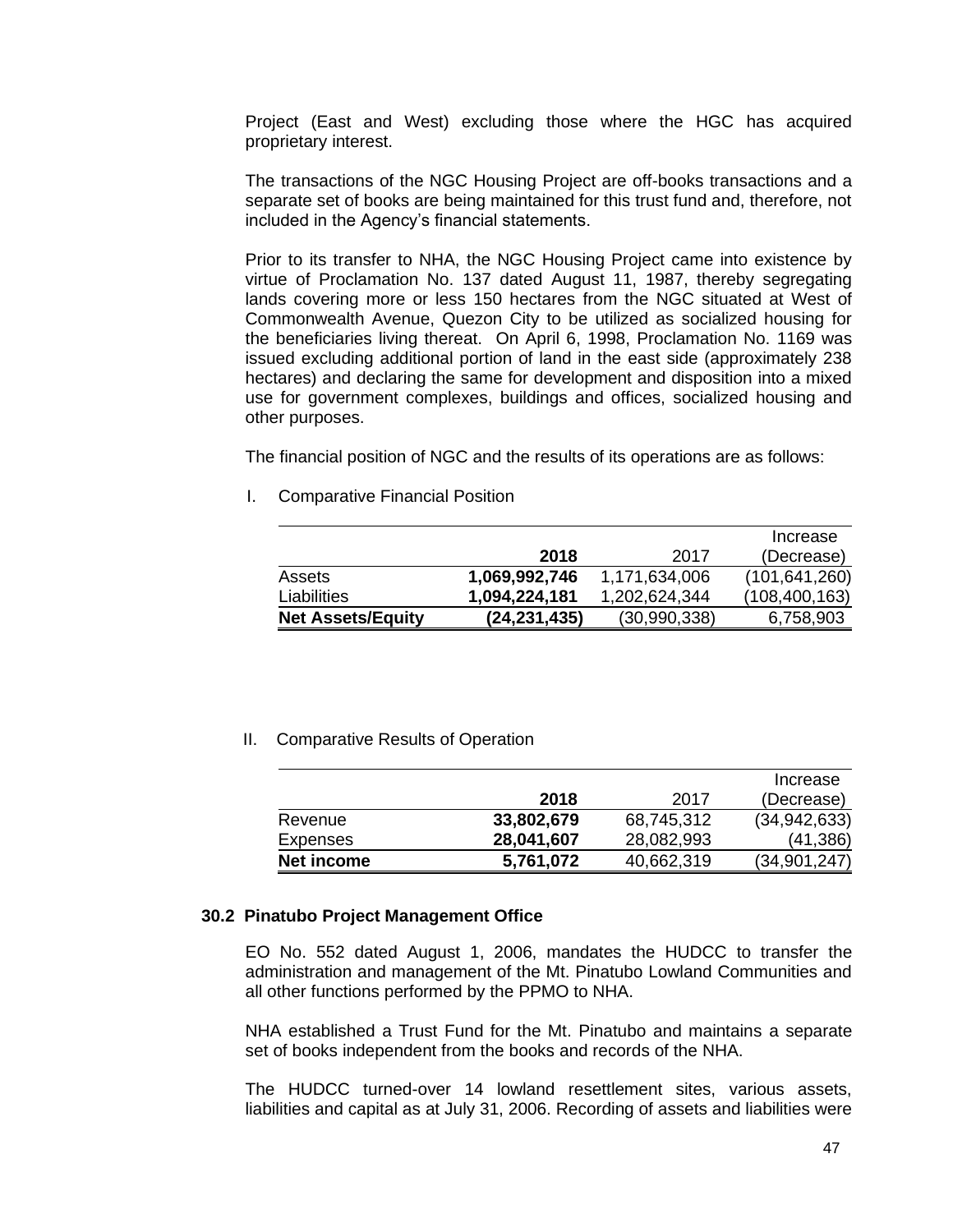Project (East and West) excluding those where the HGC has acquired proprietary interest.

The transactions of the NGC Housing Project are off-books transactions and a separate set of books are being maintained for this trust fund and, therefore, not included in the Agency's financial statements.

Prior to its transfer to NHA, the NGC Housing Project came into existence by virtue of Proclamation No. 137 dated August 11, 1987, thereby segregating lands covering more or less 150 hectares from the NGC situated at West of Commonwealth Avenue, Quezon City to be utilized as socialized housing for the beneficiaries living thereat. On April 6, 1998, Proclamation No. 1169 was issued excluding additional portion of land in the east side (approximately 238 hectares) and declaring the same for development and disposition into a mixed use for government complexes, buildings and offices, socialized housing and other purposes.

The financial position of NGC and the results of its operations are as follows:

I. Comparative Financial Position

|                          |                |               | Increase        |
|--------------------------|----------------|---------------|-----------------|
|                          | 2018           | 2017          | (Decrease)      |
| Assets                   | 1,069,992,746  | 1,171,634,006 | (101, 641, 260) |
| Liabilities              | 1,094,224,181  | 1,202,624,344 | (108, 400, 163) |
| <b>Net Assets/Equity</b> | (24, 231, 435) | (30,990,338)  | 6,758,903       |

II. Comparative Results of Operation

|            |            |            | Increase       |
|------------|------------|------------|----------------|
|            | 2018       | 2017       | (Decrease)     |
| Revenue    | 33,802,679 | 68,745,312 | (34, 942, 633) |
| Expenses   | 28,041,607 | 28,082,993 | (41, 386)      |
| Net income | 5,761,072  | 40,662,319 | (34, 901, 247) |

#### **30.2 Pinatubo Project Management Office**

EO No. 552 dated August 1, 2006, mandates the HUDCC to transfer the administration and management of the Mt. Pinatubo Lowland Communities and all other functions performed by the PPMO to NHA.

NHA established a Trust Fund for the Mt. Pinatubo and maintains a separate set of books independent from the books and records of the NHA.

The HUDCC turned-over 14 lowland resettlement sites, various assets, liabilities and capital as at July 31, 2006. Recording of assets and liabilities were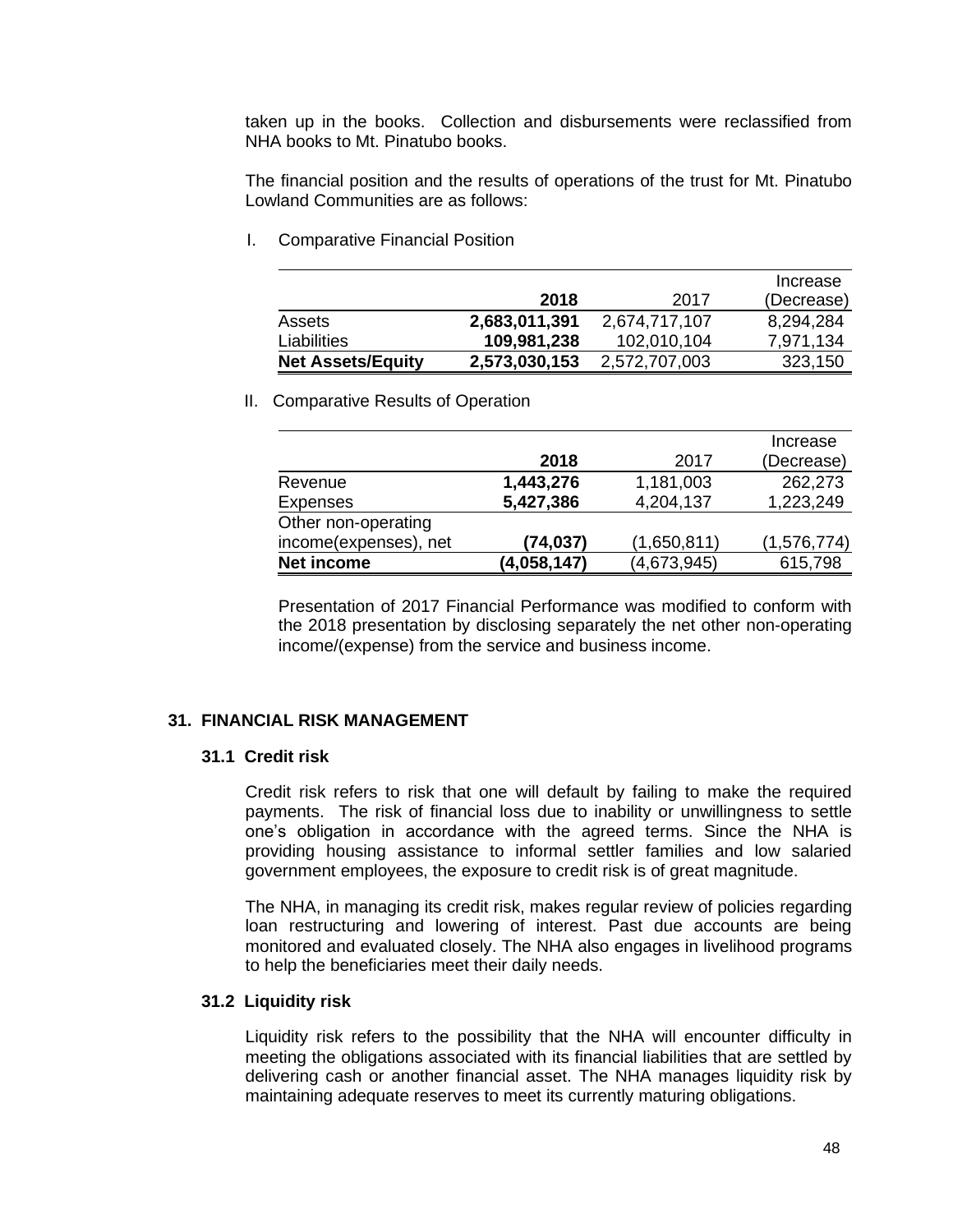taken up in the books. Collection and disbursements were reclassified from NHA books to Mt. Pinatubo books.

The financial position and the results of operations of the trust for Mt. Pinatubo Lowland Communities are as follows:

I. Comparative Financial Position

|                          |               |               | Increase   |
|--------------------------|---------------|---------------|------------|
|                          | 2018          | 2017          | (Decrease) |
| Assets                   | 2,683,011,391 | 2,674,717,107 | 8,294,284  |
| Liabilities              | 109,981,238   | 102,010,104   | 7.971.134  |
| <b>Net Assets/Equity</b> | 2,573,030,153 | 2,572,707,003 | 323,150    |

II. Comparative Results of Operation

|                       |             |             | Increase    |
|-----------------------|-------------|-------------|-------------|
|                       | 2018        | 2017        | (Decrease)  |
| Revenue               | 1,443,276   | 1,181,003   | 262,273     |
| <b>Expenses</b>       | 5,427,386   | 4,204,137   | 1,223,249   |
| Other non-operating   |             |             |             |
| income(expenses), net | (74, 037)   | (1,650,811) | (1,576,774) |
| <b>Net income</b>     | (4,058,147) | (4,673,945) | 615,798     |

Presentation of 2017 Financial Performance was modified to conform with the 2018 presentation by disclosing separately the net other non-operating income/(expense) from the service and business income.

#### **31. FINANCIAL RISK MANAGEMENT**

#### **31.1 Credit risk**

Credit risk refers to risk that one will default by failing to make the required payments. The risk of financial loss due to inability or unwillingness to settle one's obligation in accordance with the agreed terms. Since the NHA is providing housing assistance to informal settler families and low salaried government employees, the exposure to credit risk is of great magnitude.

The NHA, in managing its credit risk, makes regular review of policies regarding loan restructuring and lowering of interest. Past due accounts are being monitored and evaluated closely. The NHA also engages in livelihood programs to help the beneficiaries meet their daily needs.

#### **31.2 Liquidity risk**

Liquidity risk refers to the possibility that the NHA will encounter difficulty in meeting the obligations associated with its financial liabilities that are settled by delivering cash or another financial asset. The NHA manages liquidity risk by maintaining adequate reserves to meet its currently maturing obligations.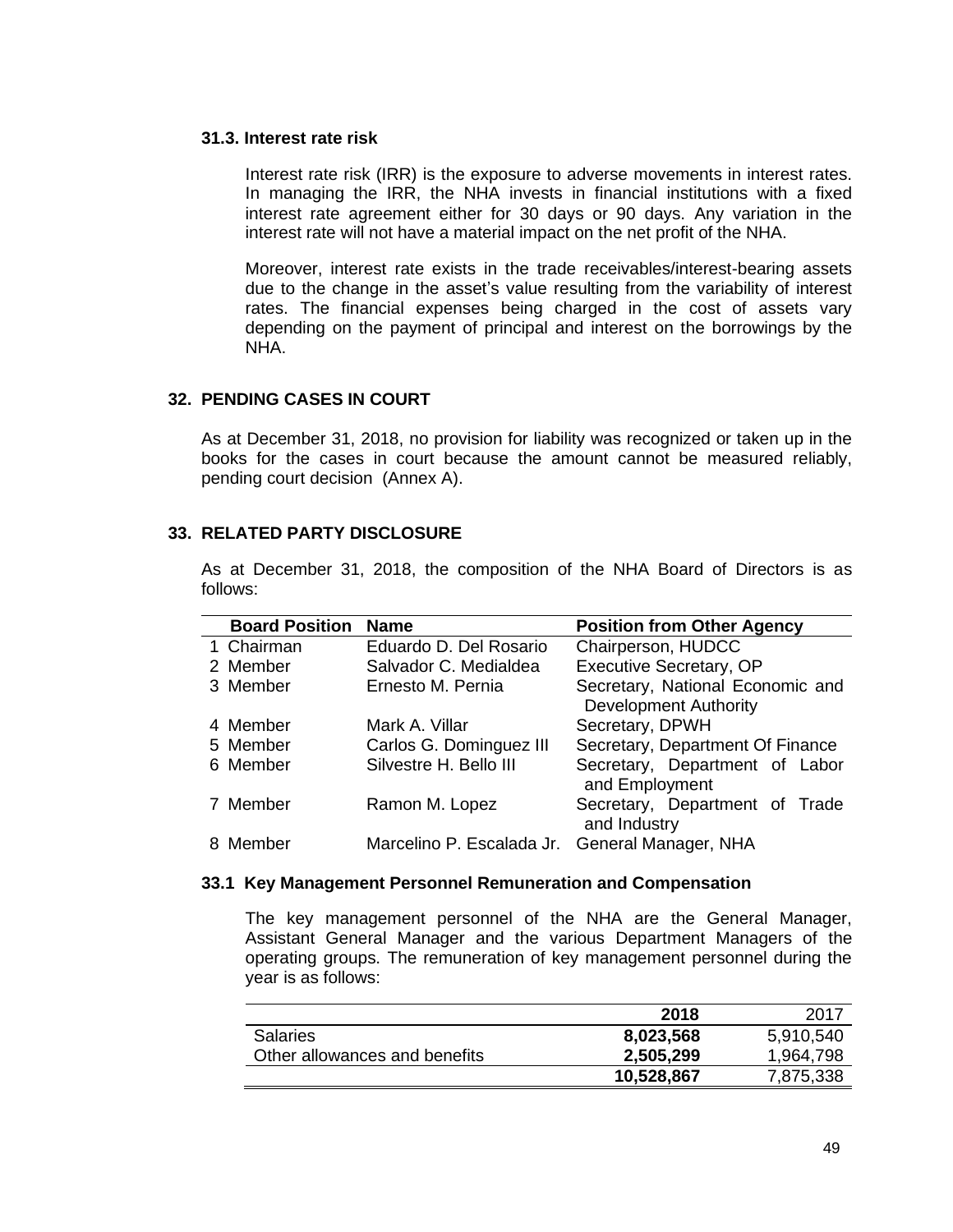#### **31.3. Interest rate risk**

Interest rate risk (IRR) is the exposure to adverse movements in interest rates. In managing the IRR, the NHA invests in financial institutions with a fixed interest rate agreement either for 30 days or 90 days. Any variation in the interest rate will not have a material impact on the net profit of the NHA.

Moreover, interest rate exists in the trade receivables/interest-bearing assets due to the change in the asset's value resulting from the variability of interest rates. The financial expenses being charged in the cost of assets vary depending on the payment of principal and interest on the borrowings by the NHA.

### **32. PENDING CASES IN COURT**

As at December 31, 2018, no provision for liability was recognized or taken up in the books for the cases in court because the amount cannot be measured reliably, pending court decision (Annex A).

### **33. RELATED PARTY DISCLOSURE**

As at December 31, 2018, the composition of the NHA Board of Directors is as follows:

| <b>Board Position</b> | <b>Name</b>                                    | <b>Position from Other Agency</b>                                |
|-----------------------|------------------------------------------------|------------------------------------------------------------------|
| 1 Chairman            | Eduardo D. Del Rosario                         | Chairperson, HUDCC                                               |
| 2 Member              | Salvador C. Medialdea                          | <b>Executive Secretary, OP</b>                                   |
| 3 Member              | Ernesto M. Pernia                              | Secretary, National Economic and<br><b>Development Authority</b> |
| 4 Member              | Mark A. Villar                                 | Secretary, DPWH                                                  |
| 5 Member              | Carlos G. Dominguez III                        | Secretary, Department Of Finance                                 |
| 6 Member              | Silvestre H. Bello III                         | Secretary, Department of Labor<br>and Employment                 |
| 7 Member              | Ramon M. Lopez                                 | Secretary, Department of Trade<br>and Industry                   |
| 8 Member              | Marcelino P. Escalada Jr. General Manager, NHA |                                                                  |

#### **33.1 Key Management Personnel Remuneration and Compensation**

The key management personnel of the NHA are the General Manager, Assistant General Manager and the various Department Managers of the operating groups. The remuneration of key management personnel during the year is as follows:

|                               | 2018       | 2017      |
|-------------------------------|------------|-----------|
| <b>Salaries</b>               | 8,023,568  | 5,910,540 |
| Other allowances and benefits | 2,505,299  | 1,964,798 |
|                               | 10,528,867 | 7,875,338 |